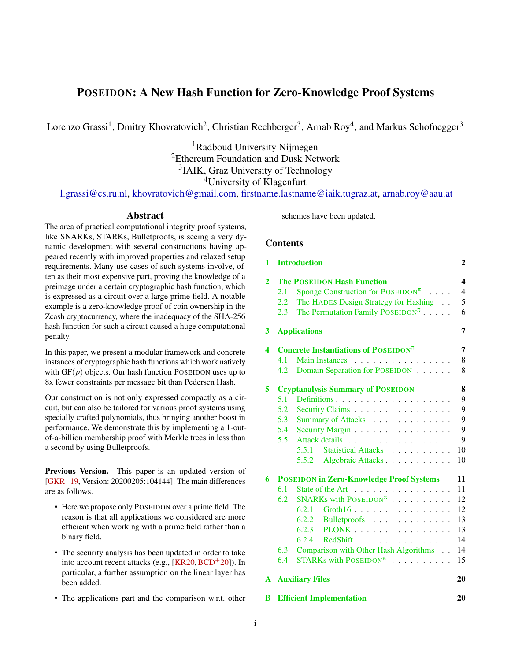# POSEIDON: A New Hash Function for Zero-Knowledge Proof Systems

Lorenzo Grassi<sup>1</sup>, Dmitry Khovratovich<sup>2</sup>, Christian Rechberger<sup>3</sup>, Arnab Roy<sup>4</sup>, and Markus Schofnegger<sup>3</sup>

<sup>1</sup>Radboud University Nijmegen <sup>2</sup>Ethereum Foundation and Dusk Network <sup>3</sup>IAIK, Graz University of Technology <sup>4</sup>University of Klagenfurt

[l.grassi@cs.ru.nl,](mailto:l.grassi@cs.ru.nl) [khovratovich@gmail.com,](mailto:khovratovich@gmail.com) [firstname.lastname@iaik.tugraz.at,](mailto:firstname.lastname@iaik.tugraz.at) [arnab.roy@aau.at](mailto:arnab.roy@aau.at)

# Abstract

The area of practical computational integrity proof systems, like SNARKs, STARKs, Bulletproofs, is seeing a very dynamic development with several constructions having appeared recently with improved properties and relaxed setup requirements. Many use cases of such systems involve, often as their most expensive part, proving the knowledge of a preimage under a certain cryptographic hash function, which is expressed as a circuit over a large prime field. A notable example is a zero-knowledge proof of coin ownership in the Zcash cryptocurrency, where the inadequacy of the SHA-256 hash function for such a circuit caused a huge computational penalty.

In this paper, we present a modular framework and concrete instances of cryptographic hash functions which work natively with  $GF(p)$  objects. Our hash function POSEIDON uses up to 8x fewer constraints per message bit than Pedersen Hash.

Our construction is not only expressed compactly as a circuit, but can also be tailored for various proof systems using specially crafted polynomials, thus bringing another boost in performance. We demonstrate this by implementing a 1-outof-a-billion membership proof with Merkle trees in less than a second by using Bulletproofs.

Previous Version. This paper is an updated version of  $[GKR+19, Version: 20200205:104144]$  $[GKR+19, Version: 20200205:104144]$ . The main differences are as follows.

- Here we propose only POSEIDON over a prime field. The reason is that all applications we considered are more efficient when working with a prime field rather than a binary field.
- The security analysis has been updated in order to take into account recent attacks (e.g.,  $[KR20, BCD+20]$  $[KR20, BCD+20]$  $[KR20, BCD+20]$  $[KR20, BCD+20]$ ). In particular, a further assumption on the linear layer has been added.
- The applications part and the comparison w.r.t. other

schemes have been updated.

# **Contents**

| 1            |                                                                                                                                                                                                                                | <b>Introduction</b>                                             | $\overline{2}$ |  |  |  |  |
|--------------|--------------------------------------------------------------------------------------------------------------------------------------------------------------------------------------------------------------------------------|-----------------------------------------------------------------|----------------|--|--|--|--|
| $\mathbf{2}$ | <b>The POSEIDON Hash Function</b><br>Sponge Construction for POSEIDON <sup><math>\pi</math></sup><br>2.1<br>The HADES Design Strategy for Hashing<br>2.2<br>The Permutation Family POSEIDON <sup><math>\pi</math></sup><br>2.3 |                                                                 |                |  |  |  |  |
| 3            |                                                                                                                                                                                                                                | <b>Applications</b>                                             | 7              |  |  |  |  |
| 4            |                                                                                                                                                                                                                                | Concrete Instantiations of POSEIDON <sup><math>\pi</math></sup> | 7              |  |  |  |  |
|              | 4.1                                                                                                                                                                                                                            | <b>Main Instances</b><br>.                                      | 8              |  |  |  |  |
|              | 4.2                                                                                                                                                                                                                            | Domain Separation for POSEIDON                                  | 8              |  |  |  |  |
| 5            |                                                                                                                                                                                                                                | <b>Cryptanalysis Summary of POSEIDON</b>                        | 8              |  |  |  |  |
|              | 5.1                                                                                                                                                                                                                            |                                                                 | 9              |  |  |  |  |
|              | 5.2                                                                                                                                                                                                                            | Security Claims                                                 | 9              |  |  |  |  |
|              | 5.3                                                                                                                                                                                                                            | Summary of Attacks                                              | 9              |  |  |  |  |
|              | 5.4                                                                                                                                                                                                                            | Security Margin                                                 | 9              |  |  |  |  |
|              | 5.5                                                                                                                                                                                                                            | Attack details                                                  | 9              |  |  |  |  |
|              |                                                                                                                                                                                                                                | 5.5.1 Statistical Attacks                                       | 10             |  |  |  |  |
|              |                                                                                                                                                                                                                                | 5.5.2 Algebraic Attacks                                         | 10             |  |  |  |  |
| 6            |                                                                                                                                                                                                                                | <b>POSEIDON in Zero-Knowledge Proof Systems</b>                 | 11             |  |  |  |  |
|              | 6.1                                                                                                                                                                                                                            | State of the Art                                                | 11             |  |  |  |  |
|              | 6.2                                                                                                                                                                                                                            | SNARKs with $\text{POSEIDON}^{\pi}$                             | 12             |  |  |  |  |
|              |                                                                                                                                                                                                                                | 6.2.1 $Groth16$                                                 | 12             |  |  |  |  |
|              |                                                                                                                                                                                                                                | $6.2.2$ Bulletproofs                                            | 13             |  |  |  |  |
|              |                                                                                                                                                                                                                                | $6.2.3$ PLONK                                                   | 13             |  |  |  |  |
|              |                                                                                                                                                                                                                                | 6.2.4<br>$RedShift$ ,                                           | 14             |  |  |  |  |
|              | 6.3                                                                                                                                                                                                                            | Comparison with Other Hash Algorithms                           | 14             |  |  |  |  |
|              | 6.4                                                                                                                                                                                                                            | STARKs with $\text{POSEIDON}^{\pi}$                             | 15             |  |  |  |  |
| A            |                                                                                                                                                                                                                                | <b>Auxiliary Files</b>                                          | 20             |  |  |  |  |

[B Efficient Implementation](#page-19-1) 20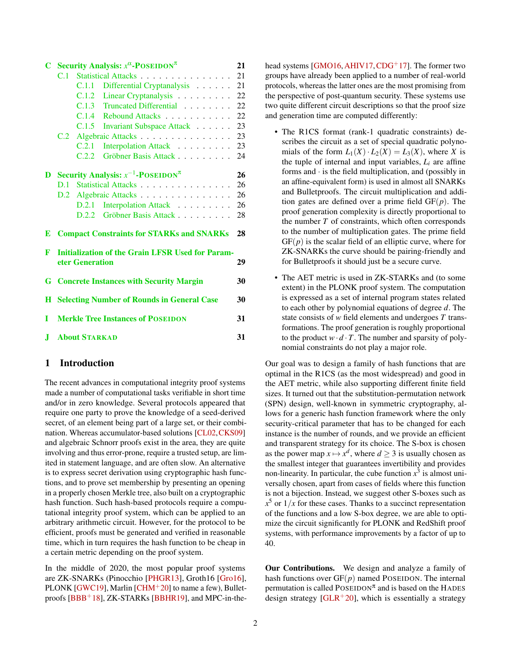| C        |                                                         | Security Analysis: $x^{\alpha}$ -POSEIDON <sup><math>\pi</math></sup> | 21 |  |  |  |  |  |
|----------|---------------------------------------------------------|-----------------------------------------------------------------------|----|--|--|--|--|--|
|          |                                                         | C.1 Statistical Attacks 21                                            |    |  |  |  |  |  |
|          |                                                         | Differential Cryptanalysis 21<br>C.1.1                                |    |  |  |  |  |  |
|          |                                                         | C.1.2 Linear Cryptanalysis 22                                         |    |  |  |  |  |  |
|          |                                                         | C.1.3 Truncated Differential                                          | 22 |  |  |  |  |  |
|          |                                                         | C.1.4 Rebound Attacks                                                 | 22 |  |  |  |  |  |
|          |                                                         | C.1.5 Invariant Subspace Attack 23                                    |    |  |  |  |  |  |
|          |                                                         | C.2 Algebraic Attacks                                                 | 23 |  |  |  |  |  |
|          |                                                         | Interpolation Attack 23<br>C.2.1                                      |    |  |  |  |  |  |
|          |                                                         | Gröbner Basis Attack 24<br>C.2.2                                      |    |  |  |  |  |  |
| D        |                                                         | Security Analysis: $x^{-1}$ -POSEIDON <sup><math>\pi</math></sup>     | 26 |  |  |  |  |  |
|          | D.1                                                     | Statistical Attacks                                                   | 26 |  |  |  |  |  |
|          |                                                         | D.2 Algebraic Attacks 26                                              |    |  |  |  |  |  |
|          |                                                         | D.2.1 Interpolation Attack                                            | 26 |  |  |  |  |  |
|          |                                                         | D.2.2 Gröbner Basis Attack                                            | 28 |  |  |  |  |  |
| E        |                                                         | <b>Compact Constraints for STARKs and SNARKs</b>                      | 28 |  |  |  |  |  |
| F        |                                                         | <b>Initialization of the Grain LFSR Used for Param-</b>               |    |  |  |  |  |  |
|          |                                                         | eter Generation                                                       | 29 |  |  |  |  |  |
| G.       | <b>Concrete Instances with Security Margin</b><br>30    |                                                                       |    |  |  |  |  |  |
| $\bf{H}$ | <b>Selecting Number of Rounds in General Case</b><br>30 |                                                                       |    |  |  |  |  |  |
| Т        | <b>Merkle Tree Instances of POSEIDON</b><br>31          |                                                                       |    |  |  |  |  |  |
|          |                                                         |                                                                       |    |  |  |  |  |  |
| J        | <b>About STARKAD</b><br>31                              |                                                                       |    |  |  |  |  |  |

## <span id="page-1-0"></span>1 Introduction

The recent advances in computational integrity proof systems made a number of computational tasks verifiable in short time and/or in zero knowledge. Several protocols appeared that require one party to prove the knowledge of a seed-derived secret, of an element being part of a large set, or their combination. Whereas accumulator-based solutions [\[CL02,](#page-16-1)[CKS09\]](#page-15-1) and algebraic Schnorr proofs exist in the area, they are quite involving and thus error-prone, require a trusted setup, are limited in statement language, and are often slow. An alternative is to express secret derivation using cryptographic hash functions, and to prove set membership by presenting an opening in a properly chosen Merkle tree, also built on a cryptographic hash function. Such hash-based protocols require a computational integrity proof system, which can be applied to an arbitrary arithmetic circuit. However, for the protocol to be efficient, proofs must be generated and verified in reasonable time, which in turn requires the hash function to be cheap in a certain metric depending on the proof system.

In the middle of 2020, the most popular proof systems are ZK-SNARKs (Pinocchio [\[PHGR13\]](#page-17-1), Groth16 [\[Gro16\]](#page-16-2), PLONK [\[GWC19\]](#page-16-3), Marlin [\[CHM](#page-15-2)<sup>+</sup>20] to name a few), Bullet-proofs [\[BBB](#page-15-3)<sup>+</sup>18], ZK-STARKs [\[BBHR19\]](#page-15-4), and MPC-in-thehead systems [\[GMO16,](#page-16-4) [AHIV17,](#page-14-1) [CDG](#page-15-5)<sup>+</sup>17]. The former two groups have already been applied to a number of real-world protocols, whereas the latter ones are the most promising from the perspective of post-quantum security. These systems use two quite different circuit descriptions so that the proof size and generation time are computed differently:

- The R1CS format (rank-1 quadratic constraints) describes the circuit as a set of special quadratic polynomials of the form  $L_1(X) \cdot L_2(X) = L_3(X)$ , where *X* is the tuple of internal and input variables,  $L_i$  are affine forms and  $\cdot$  is the field multiplication, and (possibly in an affine-equivalent form) is used in almost all SNARKs and Bulletproofs. The circuit multiplication and addition gates are defined over a prime field GF(*p*). The proof generation complexity is directly proportional to the number *T* of constraints, which often corresponds to the number of multiplication gates. The prime field  $GF(p)$  is the scalar field of an elliptic curve, where for ZK-SNARKs the curve should be pairing-friendly and for Bulletproofs it should just be a secure curve.
- The AET metric is used in ZK-STARKs and (to some extent) in the PLONK proof system. The computation is expressed as a set of internal program states related to each other by polynomial equations of degree *d*. The state consists of *w* field elements and undergoes *T* transformations. The proof generation is roughly proportional to the product  $w \cdot d \cdot T$ . The number and sparsity of polynomial constraints do not play a major role.

Our goal was to design a family of hash functions that are optimal in the R1CS (as the most widespread) and good in the AET metric, while also supporting different finite field sizes. It turned out that the substitution-permutation network (SPN) design, well-known in symmetric cryptography, allows for a generic hash function framework where the only security-critical parameter that has to be changed for each instance is the number of rounds, and we provide an efficient and transparent strategy for its choice. The S-box is chosen as the power map  $x \mapsto x^d$ , where  $d \ge 3$  is usually chosen as the smallest integer that guarantees invertibility and provides non-linearity. In particular, the cube function  $x^3$  is almost universally chosen, apart from cases of fields where this function is not a bijection. Instead, we suggest other S-boxes such as  $x^5$  or  $1/x$  for these cases. Thanks to a succinct representation of the functions and a low S-box degree, we are able to optimize the circuit significantly for PLONK and RedShift proof systems, with performance improvements by a factor of up to 40.

Our Contributions. We design and analyze a family of hash functions over  $GF(p)$  named POSEIDON. The internal permutation is called  $\text{POSEIDON}^{\pi}$  and is based on the HADES design strategy  $[GLR+20]$  $[GLR+20]$ , which is essentially a strategy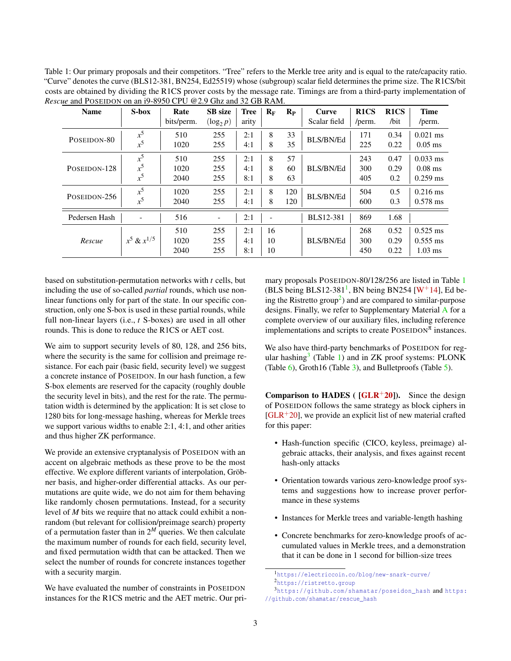<span id="page-2-0"></span>Table 1: Our primary proposals and their competitors. "Tree" refers to the Merkle tree arity and is equal to the rate/capacity ratio. "Curve" denotes the curve (BLS12-381, BN254, Ed25519) whose (subgroup) scalar field determines the prime size. The R1CS/bit costs are obtained by dividing the R1CS prover costs by the message rate. Timings are from a third-party implementation of *Rescue* and POSEIDON on an i9-8950 CPU @2.9 Ghz and 32 GB RAM.

| <b>Name</b>   | $S-box$          | Rate<br>bits/perm. | <b>SB</b> size<br>$(\log_2 p)$ | <b>Tree</b><br>arity | $R_{\rm F}$ | $R_{P}$ | <b>Curve</b><br>Scalar field | R <sub>1</sub> CS<br>/perm. | R <sub>1</sub> CS<br>$\sqrt{bit}$ | <b>Time</b><br>/perm. |
|---------------|------------------|--------------------|--------------------------------|----------------------|-------------|---------|------------------------------|-----------------------------|-----------------------------------|-----------------------|
| POSEIDON-80   | $x^5$<br>$x^5$   | 510                | 255                            | 2:1                  | 8           | 33      | BLS/BN/Ed                    | 171                         | 0.34                              | $0.021$ ms            |
|               |                  | 1020               | 255                            | 4:1                  | 8           | 35      |                              | 225                         | 0.22                              | $0.05$ ms             |
|               | $x^5$            | 510                | 255                            | 2:1                  | 8           | 57      |                              | 243                         | 0.47                              | $0.033$ ms            |
| POSEIDON-128  | $x^5$            | 1020               | 255                            | 4:1                  | 8           | 60      | <b>BLS/BN/Ed</b>             | 300                         | 0.29                              | $0.08$ ms             |
|               | $x^5$            | 2040               | 255                            | 8:1                  | 8           | 63      |                              | 405                         | 0.2                               | $0.259$ ms            |
| POSEIDON-256  | $x^5$            | 1020               | 255                            | 2:1                  | 8           | 120     | BLS/BN/Ed                    | 504                         | 0.5                               | $0.216$ ms            |
|               | $x^5$            | 2040               | 255                            | 4:1                  | 8           | 120     |                              | 600                         | 0.3                               | $0.578$ ms            |
| Pedersen Hash | ۰                | 516                | $\overline{a}$                 | 2:1                  | ۰           |         | <b>BLS12-381</b>             | 869                         | 1.68                              |                       |
|               |                  | 510                | 255                            | 2:1                  | 16          |         |                              | 268                         | 0.52                              | $0.525$ ms            |
| Rescue        | $x^5 \& x^{1/5}$ | 1020               | 255                            | 4:1                  | 10          |         | BLS/BN/Ed                    | 300                         | 0.29                              | $0.555$ ms            |
|               |                  | 2040               | 255                            | 8:1                  | 10          |         |                              | 450                         | 0.22                              | $1.03$ ms             |

based on substitution-permutation networks with *t* cells, but including the use of so-called *partial* rounds, which use nonlinear functions only for part of the state. In our specific construction, only one S-box is used in these partial rounds, while full non-linear layers (i.e., *t* S-boxes) are used in all other rounds. This is done to reduce the R1CS or AET cost.

We aim to support security levels of 80, 128, and 256 bits, where the security is the same for collision and preimage resistance. For each pair (basic field, security level) we suggest a concrete instance of POSEIDON. In our hash function, a few S-box elements are reserved for the capacity (roughly double the security level in bits), and the rest for the rate. The permutation width is determined by the application: It is set close to 1280 bits for long-message hashing, whereas for Merkle trees we support various widths to enable 2:1, 4:1, and other arities and thus higher ZK performance.

We provide an extensive cryptanalysis of POSEIDON with an accent on algebraic methods as these prove to be the most effective. We explore different variants of interpolation, Gröbner basis, and higher-order differential attacks. As our permutations are quite wide, we do not aim for them behaving like randomly chosen permutations. Instead, for a security level of *M* bits we require that no attack could exhibit a nonrandom (but relevant for collision/preimage search) property of a permutation faster than in  $2^M$  queries. We then calculate the maximum number of rounds for each field, security level, and fixed permutation width that can be attacked. Then we select the number of rounds for concrete instances together with a security margin.

We have evaluated the number of constraints in POSEIDON instances for the R1CS metric and the AET metric. Our primary proposals POSEIDON-80/128/256 are listed in Table [1](#page-2-0) (BLS being BLS[1](#page-2-1)2-381<sup>1</sup>, BN being BN254 [W<sup>+</sup>[14\]](#page-18-0), Ed be-ing the Ristretto group<sup>[2](#page-2-2)</sup>) and are compared to similar-purpose designs. Finally, we refer to Supplementary Material [A](#page-19-0) for a complete overview of our auxiliary files, including reference implementations and scripts to create  $\text{POSEIDON}^{\pi}$  instances.

We also have third-party benchmarks of POSEIDON for regular hashing $3$  (Table [1\)](#page-2-0) and in ZK proof systems: PLONK (Table [6\)](#page-13-2), Groth16 (Table [3\)](#page-12-2), and Bulletproofs (Table [5\)](#page-13-3).

Comparison to HADES ( $\overline{[GLR^+20]}$  $\overline{[GLR^+20]}$  $\overline{[GLR^+20]}$ ). Since the design of POSEIDON follows the same strategy as block ciphers in  $[GLR+20]$  $[GLR+20]$ , we provide an explicit list of new material crafted for this paper:

- Hash-function specific (CICO, keyless, preimage) algebraic attacks, their analysis, and fixes against recent hash-only attacks
- Orientation towards various zero-knowledge proof systems and suggestions how to increase prover performance in these systems
- Instances for Merkle trees and variable-length hashing
- Concrete benchmarks for zero-knowledge proofs of accumulated values in Merkle trees, and a demonstration that it can be done in 1 second for billion-size trees

<span id="page-2-2"></span><span id="page-2-1"></span><sup>1</sup><https://electriccoin.co/blog/new-snark-curve/> <sup>2</sup><https://ristretto.group>

<span id="page-2-3"></span> $3$ [https://github.com/shamatar/poseidon\\_hash](https://github.com/shamatar/poseidon_hash) and [https:]( https://github.com/shamatar/rescue_hash) [//github.com/shamatar/rescue\\_hash]( https://github.com/shamatar/rescue_hash)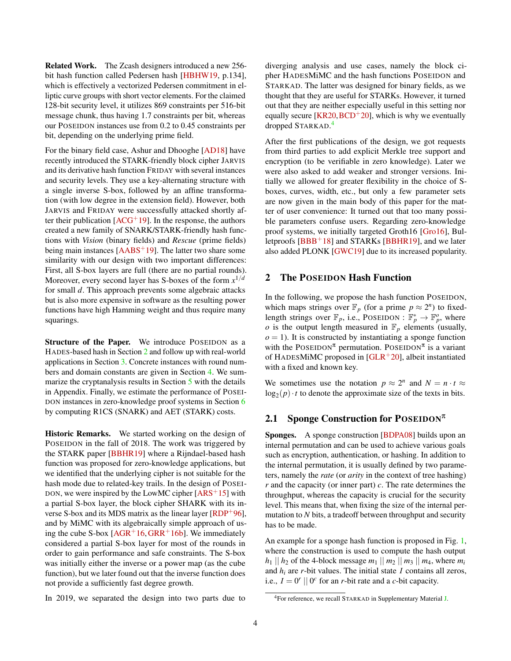Related Work. The Zcash designers introduced a new 256 bit hash function called Pedersen hash [\[HBHW19,](#page-17-2) p.134], which is effectively a vectorized Pedersen commitment in elliptic curve groups with short vector elements. For the claimed 128-bit security level, it utilizes 869 constraints per 516-bit message chunk, thus having 1.7 constraints per bit, whereas our POSEIDON instances use from 0.2 to 0.45 constraints per bit, depending on the underlying prime field.

For the binary field case, Ashur and Dhooghe [\[AD18\]](#page-14-2) have recently introduced the STARK-friendly block cipher JARVIS and its derivative hash function FRIDAY with several instances and security levels. They use a key-alternating structure with a single inverse S-box, followed by an affine transformation (with low degree in the extension field). However, both JARVIS and FRIDAY were successfully attacked shortly after their publication  $[ACG^+19]$  $[ACG^+19]$ . In the response, the authors created a new family of SNARK/STARK-friendly hash functions with *Vision* (binary fields) and *Rescue* (prime fields) being main instances  $[{\rm AABS}^+19]$ . The latter two share some similarity with our design with two important differences: First, all S-box layers are full (there are no partial rounds). Moreover, every second layer has S-boxes of the form *x* 1/*d* for small *d*. This approach prevents some algebraic attacks but is also more expensive in software as the resulting power functions have high Hamming weight and thus require many squarings.

Structure of the Paper. We introduce POSEIDON as a HADES-based hash in Section [2](#page-3-0) and follow up with real-world applications in Section [3.](#page-6-0) Concrete instances with round numbers and domain constants are given in Section [4.](#page-6-1) We summarize the cryptanalysis results in Section [5](#page-7-2) with the details in Appendix. Finally, we estimate the performance of POSEI-DON instances in zero-knowledge proof systems in Section [6](#page-10-0) by computing R1CS (SNARK) and AET (STARK) costs.

Historic Remarks. We started working on the design of POSEIDON in the fall of 2018. The work was triggered by the STARK paper [\[BBHR19\]](#page-15-4) where a Rijndael-based hash function was proposed for zero-knowledge applications, but we identified that the underlying cipher is not suitable for the hash mode due to related-key trails. In the design of POSEI-DON, we were inspired by the LowMC cipher  $[ARS<sup>+</sup>15]$  $[ARS<sup>+</sup>15]$  with a partial S-box layer, the block cipher SHARK with its inverse S-box and its MDS matrix as the linear layer  $[RDP<sup>+</sup>96]$  $[RDP<sup>+</sup>96]$ , and by MiMC with its algebraically simple approach of using the cube S-box  $[AGR<sup>+</sup>16, GRR<sup>+</sup>16b]$  $[AGR<sup>+</sup>16, GRR<sup>+</sup>16b]$  $[AGR<sup>+</sup>16, GRR<sup>+</sup>16b]$  $[AGR<sup>+</sup>16, GRR<sup>+</sup>16b]$ . We immediately considered a partial S-box layer for most of the rounds in order to gain performance and safe constraints. The S-box was initially either the inverse or a power map (as the cube function), but we later found out that the inverse function does not provide a sufficiently fast degree growth.

In 2019, we separated the design into two parts due to

diverging analysis and use cases, namely the block cipher HADESMiMC and the hash functions POSEIDON and STARKAD. The latter was designed for binary fields, as we thought that they are useful for STARKs. However, it turned out that they are neither especially useful in this setting nor equally secure  $[KR20, BCD+20]$  $[KR20, BCD+20]$  $[KR20, BCD+20]$  $[KR20, BCD+20]$ , which is why we eventually dropped STARKAD. [4](#page-3-2)

After the first publications of the design, we got requests from third parties to add explicit Merkle tree support and encryption (to be verifiable in zero knowledge). Later we were also asked to add weaker and stronger versions. Initially we allowed for greater flexibility in the choice of Sboxes, curves, width, etc., but only a few parameter sets are now given in the main body of this paper for the matter of user convenience: It turned out that too many possible parameters confuse users. Regarding zero-knowledge proof systems, we initially targeted Groth16 [\[Gro16\]](#page-16-2), Bulletproofs  $[BBB<sup>+</sup>18]$  $[BBB<sup>+</sup>18]$  and STARKs  $[BBHR19]$ , and we later also added PLONK [\[GWC19\]](#page-16-3) due to its increased popularity.

### <span id="page-3-0"></span>2 The POSEIDON Hash Function

In the following, we propose the hash function POSEIDON, which maps strings over  $\mathbb{F}_p$  (for a prime  $p \approx 2^n$ ) to fixedlength strings over  $\mathbb{F}_p$ , i.e., POSEIDON :  $\mathbb{F}_p^* \to \mathbb{F}_p^o$ , where  $\varphi$  is the output length measured in  $\mathbb{F}_p$  elements (usually,  $o = 1$ ). It is constructed by instantiating a sponge function with the POSEIDON<sup> $\pi$ </sup> permutation. POSEIDON<sup> $\pi$ </sup> is a variant of HADESMiMC proposed in  $[GLR<sup>+</sup>20]$  $[GLR<sup>+</sup>20]$ , albeit instantiated with a fixed and known key.

We sometimes use the notation  $p \approx 2^n$  and  $N = n \cdot t \approx$  $log_2(p) \cdot t$  to denote the approximate size of the texts in bits.

### <span id="page-3-1"></span>2.1 Sponge Construction for POSEIDON $\pi$

Sponges. A sponge construction [\[BDPA08\]](#page-15-6) builds upon an internal permutation and can be used to achieve various goals such as encryption, authentication, or hashing. In addition to the internal permutation, it is usually defined by two parameters, namely the *rate* (or *arity* in the context of tree hashing) *r* and the capacity (or inner part) *c*. The rate determines the throughput, whereas the capacity is crucial for the security level. This means that, when fixing the size of the internal permutation to *N* bits, a tradeoff between throughput and security has to be made.

An example for a sponge hash function is proposed in Fig. [1,](#page-4-1) where the construction is used to compute the hash output  $h_1$  ||  $h_2$  of the 4-block message  $m_1$  ||  $m_2$  ||  $m_3$  ||  $m_4$ , where  $m_i$ and  $h_i$  are  $r$ -bit values. The initial state  $I$  contains all zeros, i.e.,  $I = 0^r \mid 0^c$  for an *r*-bit rate and a *c*-bit capacity.

<span id="page-3-2"></span><sup>4</sup>For reference, we recall STARKAD in Supplementary Material [J.](#page-30-1)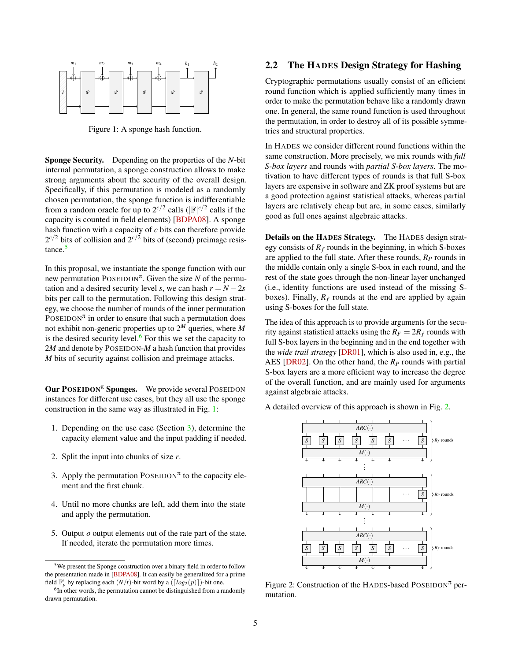

<span id="page-4-1"></span>Figure 1: A sponge hash function.

Sponge Security. Depending on the properties of the *N*-bit internal permutation, a sponge construction allows to make strong arguments about the security of the overall design. Specifically, if this permutation is modeled as a randomly chosen permutation, the sponge function is indifferentiable from a random oracle for up to  $2^{c/2}$  calls ( $|\mathbb{F}|^{c/2}$  calls if the capacity is counted in field elements) [\[BDPA08\]](#page-15-6). A sponge hash function with a capacity of *c* bits can therefore provide  $2^{c/2}$  bits of collision and  $2^{c/2}$  bits of (second) preimage resis-tance.<sup>[5](#page-4-2)</sup>

In this proposal, we instantiate the sponge function with our new permutation  $\text{POSEIDON}^{\pi}$ . Given the size *N* of the permutation and a desired security level *s*, we can hash  $r = N - 2s$ bits per call to the permutation. Following this design strategy, we choose the number of rounds of the inner permutation POSEIDON<sup> $\pi$ </sup> in order to ensure that such a permutation does not exhibit non-generic properties up to 2 *<sup>M</sup>* queries, where *M* is the desired security level. $6$  For this we set the capacity to 2*M* and denote by POSEIDON-*M* a hash function that provides *M* bits of security against collision and preimage attacks.

**Our POSEIDON<sup>** $\pi$ **</sup> Sponges.** We provide several POSEIDON instances for different use cases, but they all use the sponge construction in the same way as illustrated in Fig. [1:](#page-4-1)

- 1. Depending on the use case (Section [3\)](#page-6-0), determine the capacity element value and the input padding if needed.
- 2. Split the input into chunks of size *r*.
- 3. Apply the permutation  $Poss_{\tau}$  to the capacity element and the first chunk.
- 4. Until no more chunks are left, add them into the state and apply the permutation.
- 5. Output *o* output elements out of the rate part of the state. If needed, iterate the permutation more times.

# <span id="page-4-0"></span>2.2 The HADES Design Strategy for Hashing

Cryptographic permutations usually consist of an efficient round function which is applied sufficiently many times in order to make the permutation behave like a randomly drawn one. In general, the same round function is used throughout the permutation, in order to destroy all of its possible symmetries and structural properties.

In HADES we consider different round functions within the same construction. More precisely, we mix rounds with *full S-box layers* and rounds with *partial S-box layers*. The motivation to have different types of rounds is that full S-box layers are expensive in software and ZK proof systems but are a good protection against statistical attacks, whereas partial layers are relatively cheap but are, in some cases, similarly good as full ones against algebraic attacks.

Details on the HADES Strategy. The HADES design strategy consists of  $R_f$  rounds in the beginning, in which S-boxes are applied to the full state. After these rounds, *R<sup>P</sup>* rounds in the middle contain only a single S-box in each round, and the rest of the state goes through the non-linear layer unchanged (i.e., identity functions are used instead of the missing Sboxes). Finally,  $R_f$  rounds at the end are applied by again using S-boxes for the full state.

The idea of this approach is to provide arguments for the security against statistical attacks using the  $R_F = 2R_f$  rounds with full S-box layers in the beginning and in the end together with the *wide trail strategy* [\[DR01\]](#page-16-7), which is also used in, e.g., the AES [\[DR02\]](#page-16-8). On the other hand, the *R<sup>P</sup>* rounds with partial S-box layers are a more efficient way to increase the degree of the overall function, and are mainly used for arguments against algebraic attacks.

A detailed overview of this approach is shown in Fig. [2.](#page-4-4)



<span id="page-4-4"></span>Figure 2: Construction of the HADES-based POSEIDON<sup> $\pi$ </sup> permutation.

<span id="page-4-2"></span><sup>5</sup>We present the Sponge construction over a binary field in order to follow the presentation made in [\[BDPA08\]](#page-15-6). It can easily be generalized for a prime field  $\mathbb{F}_p^t$  by replacing each  $(N/t)$ -bit word by a  $(\lceil log_2(p) \rceil)$ -bit one.

<span id="page-4-3"></span> $6$ In other words, the permutation cannot be distinguished from a randomly drawn permutation.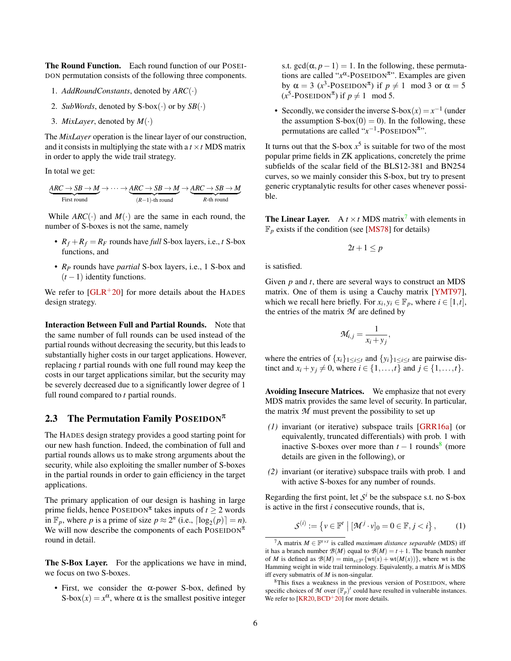The Round Function. Each round function of our POSEI-DON permutation consists of the following three components.

- 1. *AddRoundConstants*, denoted by *ARC*(·)
- 2. *SubWords*, denoted by  $S-box(\cdot)$  or by  $SB(\cdot)$
- 3. *MixLayer*, denoted by *M*(·)

The *MixLayer* operation is the linear layer of our construction, and it consists in multiplying the state with a  $t \times t$  MDS matrix in order to apply the wide trail strategy.

In total we get:

$$
\underbrace{ARC \to SB \to M}_{First\; round} \to \cdots \to \underbrace{ARC \to SB \to M}_{(R-1)\text{-th}\; round} \to \underbrace{ARC \to SB \to M}_{R\text{-th}\; round}
$$

While  $ARC(\cdot)$  and  $M(\cdot)$  are the same in each round, the number of S-boxes is not the same, namely

- $R_f + R_f = R_F$  rounds have *full* S-box layers, i.e., *t* S-box functions, and
- *R<sup>P</sup>* rounds have *partial* S-box layers, i.e., 1 S-box and  $(t-1)$  identity functions.

We refer to  $[GLR+20]$  $[GLR+20]$  for more details about the HADES design strategy.

Interaction Between Full and Partial Rounds. Note that the same number of full rounds can be used instead of the partial rounds without decreasing the security, but this leads to substantially higher costs in our target applications. However, replacing *t* partial rounds with one full round may keep the costs in our target applications similar, but the security may be severely decreased due to a significantly lower degree of 1 full round compared to *t* partial rounds.

# <span id="page-5-0"></span>2.3 The Permutation Family POSEIDON $\pi$

The HADES design strategy provides a good starting point for our new hash function. Indeed, the combination of full and partial rounds allows us to make strong arguments about the security, while also exploiting the smaller number of S-boxes in the partial rounds in order to gain efficiency in the target applications.

The primary application of our design is hashing in large prime fields, hence  $\text{POSEIDON}^{\pi}$  takes inputs of  $t \geq 2$  words in  $\mathbb{F}_p$ , where *p* is a prime of size  $p \approx 2^n$  (i.e.,  $\lceil \log_2(p) \rceil = n$ ). We will now describe the components of each POSEIDON $\pi$ round in detail.

The S-Box Layer. For the applications we have in mind, we focus on two S-boxes.

• First, we consider the  $\alpha$ -power S-box, defined by S-box $(x) = x^{\alpha}$ , where  $\alpha$  is the smallest positive integer

s.t. gcd( $\alpha$ , *p*−1) = 1. In the following, these permutations are called "*x*<sup>α</sup>-POSEIDON<sup>π</sup>". Examples are given by  $\alpha = 3$  ( $x^3$ -POSEIDON<sup>T</sup>) if  $p \neq 1 \mod 3$  or  $\alpha = 5$  $(x^5$ -POSEIDON<sup> $\pi$ </sup>) if  $p \neq 1 \mod 5$ .

• Secondly, we consider the inverse  $S$ -box $(x) = x^{-1}$  (under the assumption  $S-box(0) = 0$ ). In the following, these permutations are called " $x^{-1}$ -POSEIDON<sup> $\pi$ </sup>".

It turns out that the S-box  $x^5$  is suitable for two of the most popular prime fields in ZK applications, concretely the prime subfields of the scalar field of the BLS12-381 and BN254 curves, so we mainly consider this S-box, but try to present generic cryptanalytic results for other cases whenever possible.

<span id="page-5-3"></span>**The Linear Layer.** A  $t \times t$  MDS matrix<sup>[7](#page-5-1)</sup> with elements in  $\mathbb{F}_p$  exists if the condition (see [\[MS78\]](#page-17-4) for details)

$$
2t+1\leq p
$$

is satisfied.

Given *p* and *t*, there are several ways to construct an MDS matrix. One of them is using a Cauchy matrix [\[YMT97\]](#page-18-1), which we recall here briefly. For  $x_i, y_i \in \mathbb{F}_p$ , where  $i \in [1, t]$ , the entries of the matrix *M* are defined by

$$
\mathcal{M}_{i,j} = \frac{1}{x_i + y_j},
$$

where the entries of  $\{x_i\}_{1 \leq i \leq t}$  and  $\{y_i\}_{1 \leq i \leq t}$  are pairwise distinct and  $x_i + y_j \neq 0$ , where  $i \in \{1, ..., t\}$  and  $j \in \{1, ..., t\}$ .

Avoiding Insecure Matrices. We emphasize that not every MDS matrix provides the same level of security. In particular, the matrix *M* must prevent the possibility to set up

- *(1)* invariant (or iterative) subspace trails [\[GRR16a\]](#page-16-9) (or equivalently, truncated differentials) with prob. 1 with inactive S-boxes over more than  $t - 1$  rounds<sup>[8](#page-5-2)</sup> (more details are given in the following), or
- *(2)* invariant (or iterative) subspace trails with prob. 1 and with active S-boxes for any number of rounds.

Regarding the first point, let  $S^i$  be the subspace s.t. no S-box is active in the first *i* consecutive rounds, that is,

<span id="page-5-4"></span>
$$
\mathcal{S}^{(i)} := \left\{ v \in \mathbb{F}^t \mid [\mathcal{M}^j \cdot v]_0 = 0 \in \mathbb{F}, j < i \right\},\tag{1}
$$

<span id="page-5-1"></span><sup>&</sup>lt;sup>7</sup>A matrix  $M \in \mathbb{F}^{t \times t}$  is called *maximum distance separable* (MDS) iff it has a branch number  $B(M)$  equal to  $B(M) = t + 1$ . The branch number of *M* is defined as  $\mathcal{B}(M) = \min_{x \in \mathbb{F}^t} \{wt(x) + wt(M(x))\}$ , where wt is the Hamming weight in wide trail terminology. Equivalently, a matrix *M* is MDS iff every submatrix of *M* is non-singular.

<span id="page-5-2"></span><sup>8</sup>This fixes a weakness in the previous version of POSEIDON, where specific choices of M over  $(\mathbb{F}_p)^t$  could have resulted in vulnerable instances. We refer to  $[KR20, BCD+20]$  $[KR20, BCD+20]$  $[KR20, BCD+20]$  $[KR20, BCD+20]$  for more details.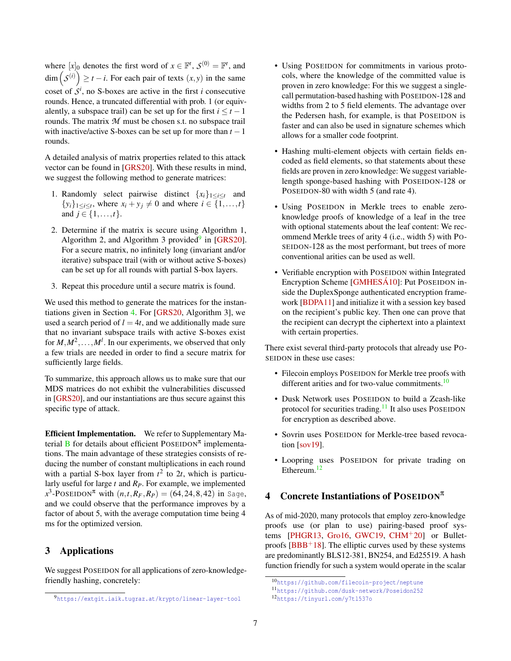where  $[x]_0$  denotes the first word of  $x \in \mathbb{F}^t$ ,  $\mathcal{S}^{(0)} = \mathbb{F}^t$ , and  $\dim(S^{(i)}) \ge t - i$ . For each pair of texts  $(x, y)$  in the same coset of  $S^i$ , no S-boxes are active in the first *i* consecutive rounds. Hence, a truncated differential with prob. 1 (or equivalently, a subspace trail) can be set up for the first  $i \leq t - 1$ rounds. The matrix *M* must be chosen s.t. no subspace trail with inactive/active S-boxes can be set up for more than  $t - 1$ rounds.

A detailed analysis of matrix properties related to this attack vector can be found in [\[GRS20\]](#page-16-10). With these results in mind, we suggest the following method to generate matrices:

- 1. Randomly select pairwise distinct  ${x_i}_{1 \leq i \leq t}$  and  $\{y_i\}_{1 \le i \le t}$ , where  $x_i + y_j \ne 0$  and where  $i \in \{1, ..., t\}$ and  $j \in \{1, ..., t\}$ .
- 2. Determine if the matrix is secure using Algorithm 1, Algorithm 2, and Algorithm 3 provided $9$  in [\[GRS20\]](#page-16-10). For a secure matrix, no infinitely long (invariant and/or iterative) subspace trail (with or without active S-boxes) can be set up for all rounds with partial S-box layers.
- 3. Repeat this procedure until a secure matrix is found.

We used this method to generate the matrices for the instantiations given in Section [4.](#page-6-1) For [\[GRS20,](#page-16-10) Algorithm 3], we used a search period of  $l = 4t$ , and we additionally made sure that no invariant subspace trails with active S-boxes exist for  $M, M^2, \ldots, M^l$ . In our experiments, we observed that only a few trials are needed in order to find a secure matrix for sufficiently large fields.

To summarize, this approach allows us to make sure that our MDS matrices do not exhibit the vulnerabilities discussed in [\[GRS20\]](#page-16-10), and our instantiations are thus secure against this specific type of attack.

Efficient Implementation. We refer to Supplementary Material  $\bf{B}$  $\bf{B}$  $\bf{B}$  for details about efficient POSEIDON<sup> $\pi$ </sup> implementations. The main advantage of these strategies consists of reducing the number of constant multiplications in each round with a partial S-box layer from  $t^2$  to  $2t$ , which is particularly useful for large *t* and *RP*. For example, we implemented  $x^3$ -POSEIDON<sup> $\pi$ </sup> with  $(n, t, R_F, R_P) = (64, 24, 8, 42)$  in Sage, and we could observe that the performance improves by a factor of about 5, with the average computation time being 4 ms for the optimized version.

# <span id="page-6-0"></span>3 Applications

We suggest POSEIDON for all applications of zero-knowledgefriendly hashing, concretely:

- Using POSEIDON for commitments in various protocols, where the knowledge of the committed value is proven in zero knowledge: For this we suggest a singlecall permutation-based hashing with POSEIDON-128 and widths from 2 to 5 field elements. The advantage over the Pedersen hash, for example, is that POSEIDON is faster and can also be used in signature schemes which allows for a smaller code footprint.
- Hashing multi-element objects with certain fields encoded as field elements, so that statements about these fields are proven in zero knowledge: We suggest variablelength sponge-based hashing with POSEIDON-128 or POSEIDON-80 with width 5 (and rate 4).
- Using POSEIDON in Merkle trees to enable zeroknowledge proofs of knowledge of a leaf in the tree with optional statements about the leaf content: We recommend Merkle trees of arity 4 (i.e., width 5) with PO-SEIDON-128 as the most performant, but trees of more conventional arities can be used as well.
- Verifiable encryption with POSEIDON within Integrated Encryption Scheme [\[GMHESÁ10\]](#page-16-11): Put POSEIDON inside the DuplexSponge authenticated encryption framework [\[BDPA11\]](#page-15-7) and initialize it with a session key based on the recipient's public key. Then one can prove that the recipient can decrypt the ciphertext into a plaintext with certain properties.

There exist several third-party protocols that already use PO-SEIDON in these use cases:

- Filecoin employs POSEIDON for Merkle tree proofs with different arities and for two-value commitments. $10$
- Dusk Network uses POSEIDON to build a Zcash-like protocol for securities trading. $11$  It also uses POSEIDON for encryption as described above.
- Sovrin uses POSEIDON for Merkle-tree based revocation [\[sov19\]](#page-18-2).
- Loopring uses POSEIDON for private trading on Ethereum.<sup>[12](#page-6-5)</sup>

# <span id="page-6-1"></span>4 Concrete Instantiations of POSEIDON $\pi$

As of mid-2020, many protocols that employ zero-knowledge proofs use (or plan to use) pairing-based proof sys-tems [\[PHGR13,](#page-17-1) [Gro16,](#page-16-2) [GWC19,](#page-16-3) [CHM](#page-15-2) $+20$ ] or Bulletproofs  $[BBB+18]$  $[BBB+18]$ . The elliptic curves used by these systems are predominantly BLS12-381, BN254, and Ed25519. A hash function friendly for such a system would operate in the scalar

<span id="page-6-2"></span><sup>9</sup><https://extgit.iaik.tugraz.at/krypto/linear-layer-tool>

<span id="page-6-3"></span><sup>10</sup><https://github.com/filecoin-project/neptune>

<span id="page-6-4"></span><sup>11</sup><https://github.com/dusk-network/Poseidon252>

<span id="page-6-5"></span><sup>12</sup><https://tinyurl.com/y7tl537o>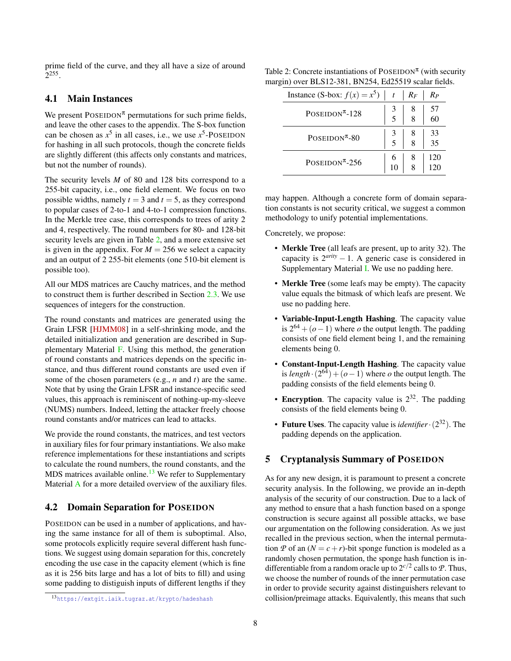prime field of the curve, and they all have a size of around 2 255 .

#### <span id="page-7-0"></span>4.1 Main Instances

We present  $\text{POSEIDON}^{\pi}$  permutations for such prime fields, and leave the other cases to the appendix. The S-box function can be chosen as  $x^5$  in all cases, i.e., we use  $x^5$ -POSEIDON for hashing in all such protocols, though the concrete fields are slightly different (this affects only constants and matrices, but not the number of rounds).

The security levels *M* of 80 and 128 bits correspond to a 255-bit capacity, i.e., one field element. We focus on two possible widths, namely  $t = 3$  and  $t = 5$ , as they correspond to popular cases of 2-to-1 and 4-to-1 compression functions. In the Merkle tree case, this corresponds to trees of arity 2 and 4, respectively. The round numbers for 80- and 128-bit security levels are given in Table [2,](#page-7-3) and a more extensive set is given in the appendix. For  $M = 256$  we select a capacity and an output of 2 255-bit elements (one 510-bit element is possible too).

All our MDS matrices are Cauchy matrices, and the method to construct them is further described in Section [2.3.](#page-5-3) We use sequences of integers for the construction.

The round constants and matrices are generated using the Grain LFSR [\[HJMM08\]](#page-17-5) in a self-shrinking mode, and the detailed initialization and generation are described in Supplementary Material [F.](#page-28-0) Using this method, the generation of round constants and matrices depends on the specific instance, and thus different round constants are used even if some of the chosen parameters (e.g., *n* and *t*) are the same. Note that by using the Grain LFSR and instance-specific seed values, this approach is reminiscent of nothing-up-my-sleeve (NUMS) numbers. Indeed, letting the attacker freely choose round constants and/or matrices can lead to attacks.

We provide the round constants, the matrices, and test vectors in auxiliary files for four primary instantiations. We also make reference implementations for these instantiations and scripts to calculate the round numbers, the round constants, and the  $MDS$  matrices available online.<sup>[13](#page-7-4)</sup> We refer to Supplementary Material [A](#page-19-0) for a more detailed overview of the auxiliary files.

### <span id="page-7-1"></span>4.2 Domain Separation for POSEIDON

POSEIDON can be used in a number of applications, and having the same instance for all of them is suboptimal. Also, some protocols explicitly require several different hash functions. We suggest using domain separation for this, concretely encoding the use case in the capacity element (which is fine as it is 256 bits large and has a lot of bits to fill) and using some padding to distiguish inputs of different lengths if they

Table 2: Concrete instantiations of  $\text{POSEIDON}^{\pi}$  (with security margin) over BLS12-381, BN254, Ed25519 scalar fields.

<span id="page-7-3"></span>

| Instance (S-box: $f(x) = x^5 \mid t$      |                | $R_F$ | $R_P$                                                               |
|-------------------------------------------|----------------|-------|---------------------------------------------------------------------|
| $POSEIDON^{\pi}-128$                      |                | 8     | $\begin{array}{c} 57 \\ 60 \end{array}$                             |
| $PostIDON^{\pi}-80$                       |                | 8     | $\begin{array}{ c c } \hline 33 \\ \hline 35 \\ \hline \end{array}$ |
| POSEIDON <sup><math>\pi</math></sup> -256 | $\frac{6}{10}$ | 8     | 120                                                                 |

may happen. Although a concrete form of domain separation constants is not security critical, we suggest a common methodology to unify potential implementations.

Concretely, we propose:

- Merkle Tree (all leafs are present, up to arity 32). The capacity is  $2^{arity} - 1$ . A generic case is considered in Supplementary Material [I.](#page-30-0) We use no padding here.
- Merkle Tree (some leafs may be empty). The capacity value equals the bitmask of which leafs are present. We use no padding here.
- Variable-Input-Length Hashing. The capacity value is  $2^{64} + (o - 1)$  where *o* the output length. The padding consists of one field element being 1, and the remaining elements being 0.
- Constant-Input-Length Hashing. The capacity value is  $length \cdot (2^{64}) + (o - 1)$  where *o* the output length. The padding consists of the field elements being 0.
- Encryption. The capacity value is  $2^{32}$ . The padding consists of the field elements being 0.
- Future Uses. The capacity value is *identifier*·(2 <sup>32</sup>). The padding depends on the application.

# <span id="page-7-2"></span>5 Cryptanalysis Summary of POSEIDON

As for any new design, it is paramount to present a concrete security analysis. In the following, we provide an in-depth analysis of the security of our construction. Due to a lack of any method to ensure that a hash function based on a sponge construction is secure against all possible attacks, we base our argumentation on the following consideration. As we just recalled in the previous section, when the internal permutation *P* of an  $(N = c + r)$ -bit sponge function is modeled as a randomly chosen permutation, the sponge hash function is indifferentiable from a random oracle up to  $2^{c/2}$  calls to  $P$ . Thus, we choose the number of rounds of the inner permutation case in order to provide security against distinguishers relevant to collision/preimage attacks. Equivalently, this means that such

<span id="page-7-4"></span><sup>13</sup><https://extgit.iaik.tugraz.at/krypto/hadeshash>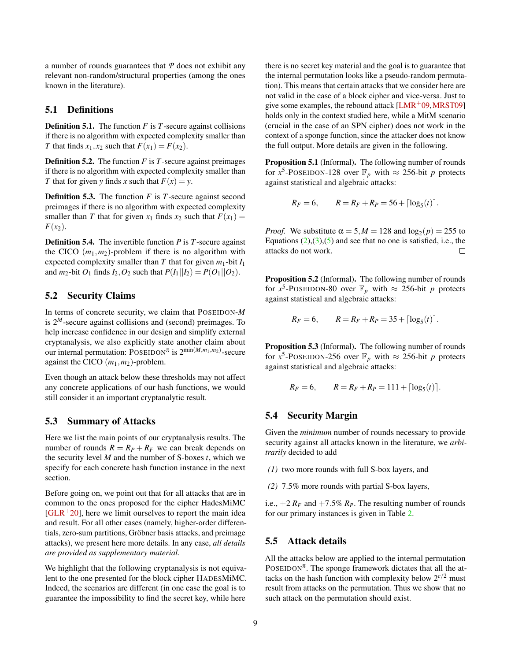a number of rounds guarantees that *P* does not exhibit any relevant non-random/structural properties (among the ones known in the literature).

# <span id="page-8-0"></span>5.1 Definitions

Definition 5.1. The function *F* is *T*-secure against collisions if there is no algorithm with expected complexity smaller than *T* that finds  $x_1, x_2$  such that  $F(x_1) = F(x_2)$ .

Definition 5.2. The function *F* is *T*-secure against preimages if there is no algorithm with expected complexity smaller than *T* that for given *y* finds *x* such that  $F(x) = y$ .

Definition 5.3. The function *F* is *T*-secure against second preimages if there is no algorithm with expected complexity smaller than *T* that for given  $x_1$  finds  $x_2$  such that  $F(x_1) =$  $F(x_2)$ .

Definition 5.4. The invertible function *P* is *T*-secure against the CICO  $(m_1, m_2)$ -problem if there is no algorithm with expected complexity smaller than  $T$  that for given  $m_1$ -bit  $I_1$ and *m*<sub>2</sub>-bit *O*<sub>1</sub> finds *I*<sub>2</sub>, *O*<sub>2</sub> such that  $P(I_1||I_2) = P(O_1||O_2)$ .

### <span id="page-8-1"></span>5.2 Security Claims

In terms of concrete security, we claim that POSEIDON-*M* is  $2^M$ -secure against collisions and (second) preimages. To help increase confidence in our design and simplify external cryptanalysis, we also explicitly state another claim about our internal permutation:  $\text{POSEIDON}^{\pi}$  is  $2^{\min(M,m_1,m_2)}$ -secure against the CICO (*m*1,*m*2)-problem.

Even though an attack below these thresholds may not affect any concrete applications of our hash functions, we would still consider it an important cryptanalytic result.

### <span id="page-8-2"></span>5.3 Summary of Attacks

Here we list the main points of our cryptanalysis results. The number of rounds  $R = R_P + R_F$  we can break depends on the security level *M* and the number of S-boxes *t*, which we specify for each concrete hash function instance in the next section.

Before going on, we point out that for all attacks that are in common to the ones proposed for the cipher HadesMiMC  $[GLR+20]$  $[GLR+20]$ , here we limit ourselves to report the main idea and result. For all other cases (namely, higher-order differentials, zero-sum partitions, Gröbner basis attacks, and preimage attacks), we present here more details. In any case, *all details are provided as supplementary material.*

We highlight that the following cryptanalysis is not equivalent to the one presented for the block cipher HADESMiMC. Indeed, the scenarios are different (in one case the goal is to guarantee the impossibility to find the secret key, while here

there is no secret key material and the goal is to guarantee that the internal permutation looks like a pseudo-random permutation). This means that certain attacks that we consider here are not valid in the case of a block cipher and vice-versa. Just to give some examples, the rebound attack  $[LMR<sup>+</sup>09, MRST09]$  $[LMR<sup>+</sup>09, MRST09]$ holds only in the context studied here, while a MitM scenario (crucial in the case of an SPN cipher) does not work in the context of a sponge function, since the attacker does not know the full output. More details are given in the following.

Proposition 5.1 (Informal). The following number of rounds for  $x^5$ -POSEIDON-128 over  $\mathbb{F}_p$  with  $\approx$  256-bit *p* protects against statistical and algebraic attacks:

$$
R_F = 6
$$
,  $R = R_F + R_P = 56 + \lfloor \log_5(t) \rfloor$ .

*Proof.* We substitute  $\alpha = 5, M = 128$  and  $\log_2(p) = 255$  to Equations  $(2)$ , $(3)$ , $(5)$  and see that no one is satisfied, i.e., the attacks do not work.  $\Box$ 

Proposition 5.2 (Informal). The following number of rounds for  $x^5$ -POSEIDON-80 over  $\mathbb{F}_p$  with  $\approx$  256-bit *p* protects against statistical and algebraic attacks:

$$
R_F = 6
$$
,  $R = R_F + R_P = 35 + \lfloor \log_5(t) \rfloor$ .

Proposition 5.3 (Informal). The following number of rounds for  $x^5$ -POSEIDON-256 over  $\mathbb{F}_p$  with  $\approx$  256-bit *p* protects against statistical and algebraic attacks:

$$
R_F = 6
$$
,  $R = R_F + R_P = 111 + \lfloor \log_5(t) \rfloor$ .

# <span id="page-8-3"></span>5.4 Security Margin

Given the *minimum* number of rounds necessary to provide security against all attacks known in the literature, we *arbitrarily* decided to add

- *(1)* two more rounds with full S-box layers, and
- *(2)* 7.5% more rounds with partial S-box layers,

i.e.,  $+2 R_F$  and  $+7.5\% R_P$ . The resulting number of rounds for our primary instances is given in Table [2.](#page-7-3)

### <span id="page-8-4"></span>5.5 Attack details

All the attacks below are applied to the internal permutation POSEIDON<sup> $\pi$ </sup>. The sponge framework dictates that all the attacks on the hash function with complexity below  $2^{c/2}$  must result from attacks on the permutation. Thus we show that no such attack on the permutation should exist.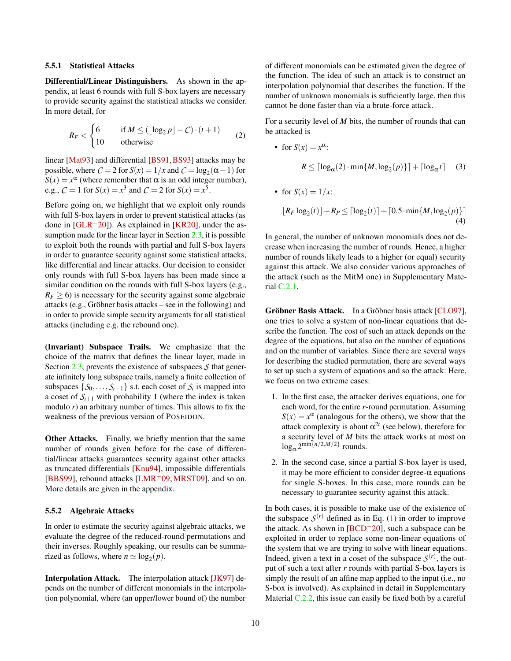#### <span id="page-9-0"></span>5.5.1 Statistical Attacks

Differential/Linear Distinguishers. As shown in the appendix, at least 6 rounds with full S-box layers are necessary to provide security against the statistical attacks we consider. In more detail, for

<span id="page-9-2"></span>
$$
R_F < \begin{cases} 6 & \text{if } M \le (\lfloor \log_2 p \rfloor - C) \cdot (t+1) \\ 10 & \text{otherwise} \end{cases} \tag{2}
$$

linear [\[Mat93\]](#page-17-8) and differential [\[BS91,](#page-15-8)[BS93\]](#page-15-9) attacks may be possible, where  $C = 2$  for  $S(x) = 1/x$  and  $C = \log_2(\alpha - 1)$  for  $S(x) = x^{\alpha}$  (where remember that  $\alpha$  is an odd integer number), e.g.,  $C = 1$  for  $S(x) = x^3$  and  $C = 2$  for  $S(x) = x^5$ .

Before going on, we highlight that we exploit only rounds with full S-box layers in order to prevent statistical attacks (as done in  $[GLR<sup>+</sup>20]$  $[GLR<sup>+</sup>20]$ ). As explained in [\[KR20\]](#page-17-0), under the assumption made for the linear layer in Section [2.3,](#page-5-3) it is possible to exploit both the rounds with partial and full S-box layers in order to guarantee security against some statistical attacks, like differential and linear attacks. Our decision to consider only rounds with full S-box layers has been made since a similar condition on the rounds with full S-box layers (e.g.,  $R_F$   $>$  6) is necessary for the security against some algebraic attacks (e.g., Gröbner basis attacks – see in the following) and in order to provide simple security arguments for all statistical attacks (including e.g. the rebound one).

(Invariant) Subspace Trails. We emphasize that the choice of the matrix that defines the linear layer, made in Section [2.3,](#page-5-3) prevents the existence of subspaces *S* that generate infinitely long subspace trails, namely a finite collection of subspaces  $\{S_0, \ldots, S_{r-1}\}\$  s.t. each coset of  $S_i$  is mapped into a coset of  $S_{i+1}$  with probability 1 (where the index is taken modulo *r*) an arbitrary number of times. This allows to fix the weakness of the previous version of POSEIDON.

Other Attacks. Finally, we briefly mention that the same number of rounds given before for the case of differential/linear attacks guarantees security against other attacks as truncated differentials [\[Knu94\]](#page-17-9), impossible differentials [\[BBS99\]](#page-15-10), rebound attacks  $[LMR<sup>+</sup>09, MRST09]$  $[LMR<sup>+</sup>09, MRST09]$  $[LMR<sup>+</sup>09, MRST09]$ , and so on. More details are given in the appendix.

#### <span id="page-9-1"></span>5.5.2 Algebraic Attacks

In order to estimate the security against algebraic attacks, we evaluate the degree of the reduced-round permutations and their inverses. Roughly speaking, our results can be summarized as follows, where  $n \simeq \log_2(p)$ .

Interpolation Attack. The interpolation attack [\[JK97\]](#page-17-10) depends on the number of different monomials in the interpolation polynomial, where (an upper/lower bound of) the number

of different monomials can be estimated given the degree of the function. The idea of such an attack is to construct an interpolation polynomial that describes the function. If the number of unknown monomials is sufficiently large, then this cannot be done faster than via a brute-force attack.

For a security level of *M* bits, the number of rounds that can be attacked is

<span id="page-9-3"></span>• for 
$$
S(x) = x^{\alpha}
$$
:  
\n
$$
R \leq \lceil \log_{\alpha}(2) \cdot \min\{M, \log_2(p)\}\rceil + \lceil \log_{\alpha} t \rceil \quad (3)
$$

• for 
$$
S(x) = 1/x
$$
:  
\n
$$
[R_F \log_2(t)] + R_P \leq \lceil \log_2(t) \rceil + \lceil 0.5 \cdot \min\{M, \log_2(p)\}\rceil
$$
\n(4)

In general, the number of unknown monomials does not decrease when increasing the number of rounds. Hence, a higher number of rounds likely leads to a higher (or equal) security against this attack. We also consider various approaches of the attack (such as the MitM one) in Supplementary Material [C.2.1.](#page-22-2)

Gröbner Basis Attack. In a Gröbner basis attack [\[CLO97\]](#page-16-12), one tries to solve a system of non-linear equations that describe the function. The cost of such an attack depends on the degree of the equations, but also on the number of equations and on the number of variables. Since there are several ways for describing the studied permutation, there are several ways to set up such a system of equations and so the attack. Here, we focus on two extreme cases:

- 1. In the first case, the attacker derives equations, one for each word, for the entire *r*-round permutation. Assuming  $S(x) = x^{\alpha}$  (analogous for the others), we show that the attack complexity is about  $\alpha^{2t}$  (see below), therefore for a security level of *M* bits the attack works at most on  $\log_{\alpha} 2^{\min\{n/2,M/2\}}$  rounds.
- 2. In the second case, since a partial S-box layer is used, it may be more efficient to consider degree- $\alpha$  equations for single S-boxes. In this case, more rounds can be necessary to guarantee security against this attack.

In both cases, it is possible to make use of the existence of the subspace  $S^{(r)}$  defined as in Eq. [\(1\)](#page-5-4) in order to improve the attack. As shown in  $[BCD<sup>+</sup>20]$  $[BCD<sup>+</sup>20]$ , such a subspace can be exploited in order to replace some non-linear equations of the system that we are trying to solve with linear equations. Indeed, given a text in a coset of the subspace  $S^{(r)}$ , the output of such a text after *r* rounds with partial S-box layers is simply the result of an affine map applied to the input (i.e., no S-box is involved). As explained in detail in Supplementary Material [C.2.2,](#page-23-0) this issue can easily be fixed both by a careful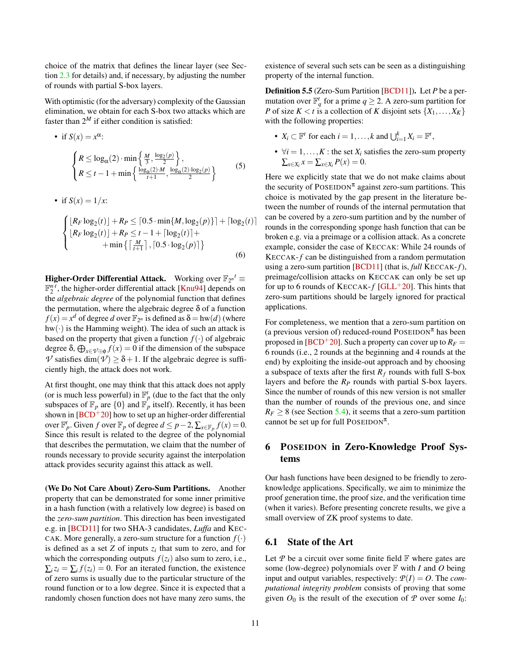choice of the matrix that defines the linear layer (see Section [2.3](#page-5-3) for details) and, if necessary, by adjusting the number of rounds with partial S-box layers.

With optimistic (for the adversary) complexity of the Gaussian elimination, we obtain for each S-box two attacks which are faster than  $2^M$  if either condition is satisfied:

<span id="page-10-2"></span>• if 
$$
S(x) = x^{\alpha}
$$
:  
\n
$$
\begin{cases}\nR \le \log_{\alpha}(2) \cdot \min\left\{\frac{M}{3}, \frac{\log_{2}(p)}{2}\right\}, \\
R \le t - 1 + \min\left\{\frac{\log_{\alpha}(2) \cdot M}{t + 1}, \frac{\log_{\alpha}(2) \cdot \log_{2}(p)}{2}\right\}\n\end{cases}
$$
\n(5)

• if 
$$
S(x) = 1/x
$$
:

$$
\begin{cases}\n[R_F \log_2(t)] + R_P \leq [0.5 \cdot \min\{M, \log_2(p)\}] + [\log_2(t)] \\
[R_F \log_2(t)] + R_P \leq t - 1 + [\log_2(t)] + \n+ \min\left\{\left[\frac{M}{t+1}\right], [0.5 \cdot \log_2(p)]\right\}\n\end{cases}
$$
\n(6)

**Higher-Order Differential Attack.** Working over  $\mathbb{F}_{2^n}$   $t \equiv$  $\mathbb{F}_2^{n \cdot \tau}$ , the higher-order differential attack [\[Knu94\]](#page-17-9) depends on the *algebraic degree* of the polynomial function that defines the permutation, where the algebraic degree  $\delta$  of a function  $f(x) = x^d$  of degree *d* over  $\mathbb{F}_{2^n}$  is defined as  $\delta = \text{hw}(d)$  (where  $hw(\cdot)$  is the Hamming weight). The idea of such an attack is based on the property that given a function  $f(\cdot)$  of algebraic degree  $\delta$ ,  $\bigoplus_{x \in \mathcal{V} \oplus \phi} f(x) = 0$  if the dimension of the subspace  $\nu$  satisfies dim( $\nu$ )  $\geq \delta + 1$ . If the algebraic degree is sufficiently high, the attack does not work.

At first thought, one may think that this attack does not apply (or is much less powerful) in  $\mathbb{F}_p^t$  (due to the fact that the only subspaces of  $\mathbb{F}_p$  are  $\{0\}$  and  $\mathbb{F}_p^r$  itself). Recently, it has been shown in  $[BCD+20]$  $[BCD+20]$  how to set up an higher-order differential over  $\mathbb{F}_p^t$ . Given *f* over  $\mathbb{F}_p$  of degree  $d \leq p-2$ ,  $\sum_{x \in \mathbb{F}_p} f(x) = 0$ . Since this result is related to the degree of the polynomial that describes the permutation, we claim that the number of rounds necessary to provide security against the interpolation attack provides security against this attack as well.

(We Do Not Care About) Zero-Sum Partitions. Another property that can be demonstrated for some inner primitive in a hash function (with a relatively low degree) is based on the *zero-sum partition*. This direction has been investigated e.g. in [\[BCD11\]](#page-15-11) for two SHA-3 candidates, *Luffa* and KEC-CAK. More generally, a zero-sum structure for a function  $f(\cdot)$ is defined as a set  $Z$  of inputs  $z_i$  that sum to zero, and for which the corresponding outputs  $f(z_i)$  also sum to zero, i.e.,  $\sum_i z_i = \sum_i f(z_i) = 0$ . For an iterated function, the existence of zero sums is usually due to the particular structure of the round function or to a low degree. Since it is expected that a randomly chosen function does not have many zero sums, the

existence of several such sets can be seen as a distinguishing property of the internal function.

Definition 5.5 (Zero-Sum Partition [\[BCD11\]](#page-15-11)). Let *P* be a permutation over  $\mathbb{F}_q^t$  for a prime  $q \geq 2$ . A zero-sum partition for *P* of size  $K < t$  is a collection of *K* disjoint sets  $\{X_1, \ldots, X_K\}$ with the following properties:

- $X_i \subset \mathbb{F}^t$  for each  $i = 1, ..., k$  and  $\bigcup_{i=1}^k X_i = \mathbb{F}^t$ ,
- $\forall i = 1, ..., K$ : the set  $X_i$  satisfies the zero-sum property  $\sum_{x \in X_i} x = \sum_{x \in X_i} P(x) = 0.$

Here we explicitly state that we do not make claims about the security of POSEIDON<sup> $\pi$ </sup> against zero-sum partitions. This choice is motivated by the gap present in the literature between the number of rounds of the internal permutation that can be covered by a zero-sum partition and by the number of rounds in the corresponding sponge hash function that can be broken e.g. via a preimage or a collision attack. As a concrete example, consider the case of KECCAK: While 24 rounds of KECCAK-*f* can be distinguished from a random permutation using a zero-sum partition [\[BCD11\]](#page-15-11) (that is, *full* KECCAK-*f*), preimage/collision attacks on KECCAK can only be set up for up to 6 rounds of  $KECCAK-f$  [\[GLL](#page-16-13)<sup>+</sup>20]. This hints that zero-sum partitions should be largely ignored for practical applications.

For completeness, we mention that a zero-sum partition on (a previous version of) reduced-round POSEIDON<sup> $\pi$ </sup> has been proposed in [ $BCD+20$ ]. Such a property can cover up to  $R_F =$ 6 rounds (i.e., 2 rounds at the beginning and 4 rounds at the end) by exploiting the inside-out approach and by choosing a subspace of texts after the first  $R_f$  rounds with full S-box layers and before the *R<sup>P</sup>* rounds with partial S-box layers. Since the number of rounds of this new version is not smaller than the number of rounds of the previous one, and since  $R_F \geq 8$  (see Section [5.4\)](#page-8-3), it seems that a zero-sum partition cannot be set up for full POSEIDON<sup> $\pi$ </sup>.

# <span id="page-10-0"></span>6 POSEIDON in Zero-Knowledge Proof Systems

Our hash functions have been designed to be friendly to zeroknowledge applications. Specifically, we aim to minimize the proof generation time, the proof size, and the verification time (when it varies). Before presenting concrete results, we give a small overview of ZK proof systems to date.

### <span id="page-10-1"></span>6.1 State of the Art

Let  $P$  be a circuit over some finite field  $F$  where gates are some (low-degree) polynomials over F with *I* and *O* being input and output variables, respectively:  $P(I) = O$ . The *computational integrity problem* consists of proving that some given  $O_0$  is the result of the execution of  $P$  over some  $I_0$ :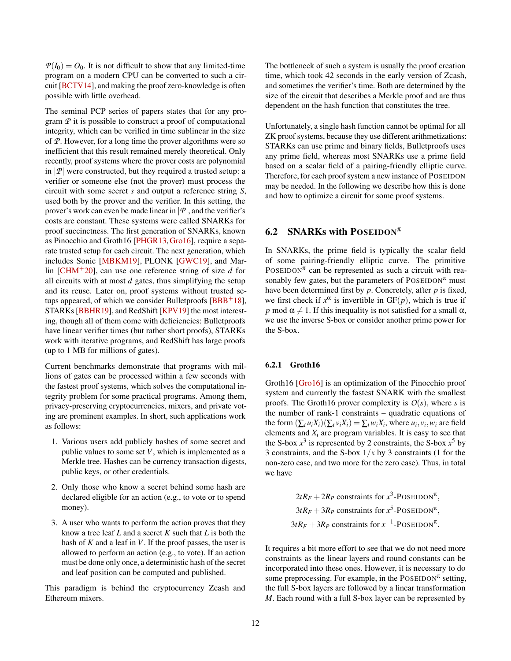$P(I_0) = O_0$ . It is not difficult to show that any limited-time program on a modern CPU can be converted to such a circuit [\[BCTV14\]](#page-15-12), and making the proof zero-knowledge is often possible with little overhead.

The seminal PCP series of papers states that for any program *P* it is possible to construct a proof of computational integrity, which can be verified in time sublinear in the size of *P*. However, for a long time the prover algorithms were so inefficient that this result remained merely theoretical. Only recently, proof systems where the prover costs are polynomial in  $|\mathcal{P}|$  were constructed, but they required a trusted setup: a verifier or someone else (not the prover) must process the circuit with some secret *s* and output a reference string *S*, used both by the prover and the verifier. In this setting, the prover's work can even be made linear in  $|\mathcal{P}|$ , and the verifier's costs are constant. These systems were called SNARKs for proof succinctness. The first generation of SNARKs, known as Pinocchio and Groth16 [\[PHGR13,](#page-17-1)[Gro16\]](#page-16-2), require a separate trusted setup for each circuit. The next generation, which includes Sonic [\[MBKM19\]](#page-17-11), PLONK [\[GWC19\]](#page-16-3), and Marlin [\[CHM](#page-15-2)+20], can use one reference string of size *d* for all circuits with at most *d* gates, thus simplifying the setup and its reuse. Later on, proof systems without trusted setups appeared, of which we consider Bulletproofs  $[BBB^+18]$  $[BBB^+18]$ , STARKs [\[BBHR19\]](#page-15-4), and RedShift [\[KPV19\]](#page-17-12) the most interesting, though all of them come with deficiencies: Bulletproofs have linear verifier times (but rather short proofs), STARKs work with iterative programs, and RedShift has large proofs (up to 1 MB for millions of gates).

Current benchmarks demonstrate that programs with millions of gates can be processed within a few seconds with the fastest proof systems, which solves the computational integrity problem for some practical programs. Among them, privacy-preserving cryptocurrencies, mixers, and private voting are prominent examples. In short, such applications work as follows:

- 1. Various users add publicly hashes of some secret and public values to some set *V*, which is implemented as a Merkle tree. Hashes can be currency transaction digests, public keys, or other credentials.
- 2. Only those who know a secret behind some hash are declared eligible for an action (e.g., to vote or to spend money).
- 3. A user who wants to perform the action proves that they know a tree leaf *L* and a secret *K* such that *L* is both the hash of *K* and a leaf in *V*. If the proof passes, the user is allowed to perform an action (e.g., to vote). If an action must be done only once, a deterministic hash of the secret and leaf position can be computed and published.

This paradigm is behind the cryptocurrency Zcash and Ethereum mixers.

The bottleneck of such a system is usually the proof creation time, which took 42 seconds in the early version of Zcash, and sometimes the verifier's time. Both are determined by the size of the circuit that describes a Merkle proof and are thus dependent on the hash function that constitutes the tree.

Unfortunately, a single hash function cannot be optimal for all ZK proof systems, because they use different arithmetizations: STARKs can use prime and binary fields, Bulletproofs uses any prime field, whereas most SNARKs use a prime field based on a scalar field of a pairing-friendly elliptic curve. Therefore, for each proof system a new instance of POSEIDON may be needed. In the following we describe how this is done and how to optimize a circuit for some proof systems.

#### <span id="page-11-0"></span>6.2 SNARKs with POSEIDON<sup> $\pi$ </sup>

In SNARKs, the prime field is typically the scalar field of some pairing-friendly elliptic curve. The primitive POSEIDON<sup> $\pi$ </sup> can be represented as such a circuit with reasonably few gates, but the parameters of  $\text{POSEIDON}^{\pi}$  must have been determined first by *p*. Concretely, after *p* is fixed, we first check if  $x^{\alpha}$  is invertible in  $GF(p)$ , which is true if *p* mod  $\alpha \neq 1$ . If this inequality is not satisfied for a small  $\alpha$ , we use the inverse S-box or consider another prime power for the S-box.

#### <span id="page-11-1"></span>6.2.1 Groth16

Groth16 [\[Gro16\]](#page-16-2) is an optimization of the Pinocchio proof system and currently the fastest SNARK with the smallest proofs. The Groth16 prover complexity is  $O(s)$ , where *s* is the number of rank-1 constraints – quadratic equations of the form  $(\sum_i u_i X_i)(\sum_i v_i X_i) = \sum_i w_i X_i$ , where  $u_i, v_i, w_i$  are field elements and  $X_i$  are program variables. It is easy to see that the S-box  $x^3$  is represented by 2 constraints, the S-box  $x^5$  by 3 constraints, and the S-box  $1/x$  by 3 constraints (1 for the non-zero case, and two more for the zero case). Thus, in total we have

$$
2tR_F + 2R_P
$$
 constraints for  $x^3$ -POSEIDON <sup>$\pi$</sup> ,  
\n $3tR_F + 3R_P$  constraints for  $x^5$ -POSEIDON <sup>$\pi$</sup> ,  
\n $3tR_F + 3R_P$  constraints for  $x^{-1}$ -POSEIDON <sup>$\pi$</sup> .

It requires a bit more effort to see that we do not need more constraints as the linear layers and round constants can be incorporated into these ones. However, it is necessary to do some preprocessing. For example, in the POSEIDON<sup> $\pi$ </sup> setting, the full S-box layers are followed by a linear transformation *M*. Each round with a full S-box layer can be represented by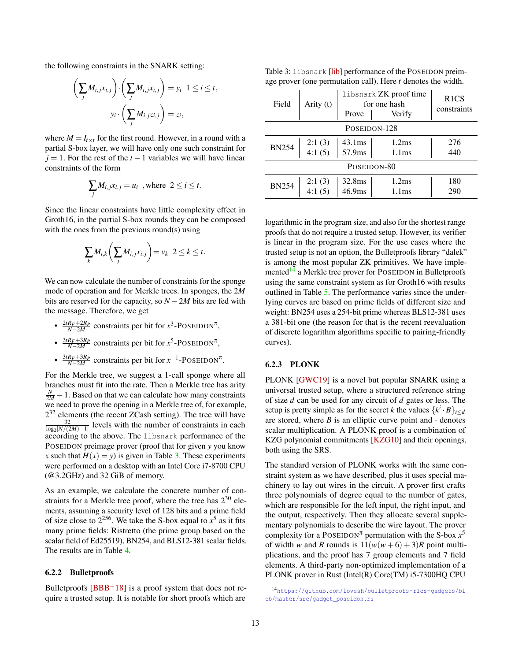the following constraints in the SNARK setting:

$$
\left(\sum_{j} M_{i,j} x_{i,j}\right) \cdot \left(\sum_{j} M_{i,j} x_{i,j}\right) = y_i \quad 1 \le i \le t,
$$

$$
y_i \cdot \left(\sum_{j} M_{i,j} z_{i,j}\right) = z_i,
$$

where  $M = I_{t \times t}$  for the first round. However, in a round with a partial S-box layer, we will have only one such constraint for  $j = 1$ . For the rest of the  $t - 1$  variables we will have linear constraints of the form

$$
\sum_j M_{i,j} x_{i,j} = u_i \text{ , where } 2 \le i \le t.
$$

Since the linear constraints have little complexity effect in Groth16, in the partial S-box rounds they can be composed with the ones from the previous round(s) using

$$
\sum_{k} M_{i,k} \bigg( \sum_{j} M_{i,j} x_{i,j} \bigg) = v_k \ \ 2 \leq k \leq t.
$$

We can now calculate the number of constraints for the sponge mode of operation and for Merkle trees. In sponges, the 2*M* bits are reserved for the capacity, so  $N - 2M$  bits are fed with the message. Therefore, we get

- $\frac{2tR_F+2R_P}{N-2M}$  constraints per bit for  $x^3$ -POSEIDON<sup>π</sup>,
- $\frac{3tR_F+3R_P}{N-2M}$  constraints per bit for  $x^5$ -POSEIDON<sup>π</sup>,
- $\frac{3tR_F+3R_P}{N-2M}$  constraints per bit for  $x^{-1}$ -POSEIDON<sup>π</sup>.

For the Merkle tree, we suggest a 1-call sponge where all branches must fit into the rate. Then a Merkle tree has arity  $\frac{N}{2M}$  − 1. Based on that we can calculate how many constraints we need to prove the opening in a Merkle tree of, for example,  $2^{32}$  elements (the recent ZCash setting). The tree will have  $\frac{32}{\log_2[N/(2M)-1]}$  levels with the number of constraints in each according to the above. The libsnark performance of the POSEIDON preimage prover (proof that for given *y* you know *x* such that  $H(x) = y$  is given in Table [3.](#page-12-2) These experiments were performed on a desktop with an Intel Core i7-8700 CPU (@3.2GHz) and 32 GiB of memory.

As an example, we calculate the concrete number of constraints for a Merkle tree proof, where the tree has  $2^{30}$  elements, assuming a security level of 128 bits and a prime field of size close to  $2^{256}$ . We take the S-box equal to  $x^5$  as it fits many prime fields: Ristretto (the prime group based on the scalar field of Ed25519), BN254, and BLS12-381 scalar fields. The results are in Table [4.](#page-13-4)

#### <span id="page-12-0"></span>6.2.2 Bulletproofs

Bulletproofs  $[BBB<sup>+</sup>18]$  $[BBB<sup>+</sup>18]$  is a proof system that does not require a trusted setup. It is notable for short proofs which are

<span id="page-12-2"></span>Table 3: libsnark [\[lib\]](#page-17-13) performance of the POSEIDON preimage prover (one permutation call). Here *t* denotes the width.

| Field        | Arity (t)        | libsnark <b>ZK</b> proof time<br>for one hash<br>Prove<br>Verify |                                        | R <sub>1</sub> CS<br>constraints |  |  |  |
|--------------|------------------|------------------------------------------------------------------|----------------------------------------|----------------------------------|--|--|--|
| POSEIDON-128 |                  |                                                                  |                                        |                                  |  |  |  |
| <b>BN254</b> | 2:1(3)<br>4:1(5) | $43.1 \text{ms}$<br>57.9ms                                       | 1.2 <sub>ms</sub><br>1.1 <sub>ms</sub> | 276<br>440                       |  |  |  |
| POSEIDON-80  |                  |                                                                  |                                        |                                  |  |  |  |
| <b>BN254</b> | 2:1(3)<br>4:1(5) | 32.8ms<br>46.9 <sub>ms</sub>                                     | 1.2 <sub>ms</sub><br>1.1 <sub>ms</sub> | 180<br>290                       |  |  |  |

logarithmic in the program size, and also for the shortest range proofs that do not require a trusted setup. However, its verifier is linear in the program size. For the use cases where the trusted setup is not an option, the Bulletproofs library "dalek" is among the most popular ZK primitives. We have imple-mented<sup>[14](#page-12-3)</sup> a Merkle tree prover for POSEIDON in Bulletproofs using the same constraint system as for Groth16 with results outlined in Table [5.](#page-13-3) The performance varies since the underlying curves are based on prime fields of different size and weight: BN254 uses a 254-bit prime whereas BLS12-381 uses a 381-bit one (the reason for that is the recent reevaluation of discrete logarithm algorithms specific to pairing-friendly curves).

#### <span id="page-12-1"></span>6.2.3 PLONK

PLONK [\[GWC19\]](#page-16-3) is a novel but popular SNARK using a universal trusted setup, where a structured reference string of size *d* can be used for any circuit of *d* gates or less. The setup is pretty simple as for the secret *k* the values  $\{k^i \cdot B\}_{i \le d}$ are stored, where  $B$  is an elliptic curve point and  $\cdot$  denotes scalar multiplication. A PLONK proof is a combination of KZG polynomial commitments [\[KZG10\]](#page-17-14) and their openings, both using the SRS.

The standard version of PLONK works with the same constraint system as we have described, plus it uses special machinery to lay out wires in the circuit. A prover first crafts three polynomials of degree equal to the number of gates, which are responsible for the left input, the right input, and the output, respectively. Then they allocate several supplementary polynomials to describe the wire layout. The prover complexity for a POSEIDON<sup> $\pi$ </sup> permutation with the S-box  $x^5$ of width *w* and *R* rounds is  $11(w(w+6) + 3)R$  point multiplications, and the proof has 7 group elements and 7 field elements. A third-party non-optimized implementation of a PLONK prover in Rust (Intel(R) Core(TM) i5-7300HQ CPU

<span id="page-12-3"></span><sup>14</sup>[https://github.com/lovesh/bulletproofs-r1cs-gadgets/bl](https://github.com/lovesh/bulletproofs-r1cs-gadgets/blob/master/src/gadget_poseidon.rs) [ob/master/src/gadget\\_poseidon.rs](https://github.com/lovesh/bulletproofs-r1cs-gadgets/blob/master/src/gadget_poseidon.rs)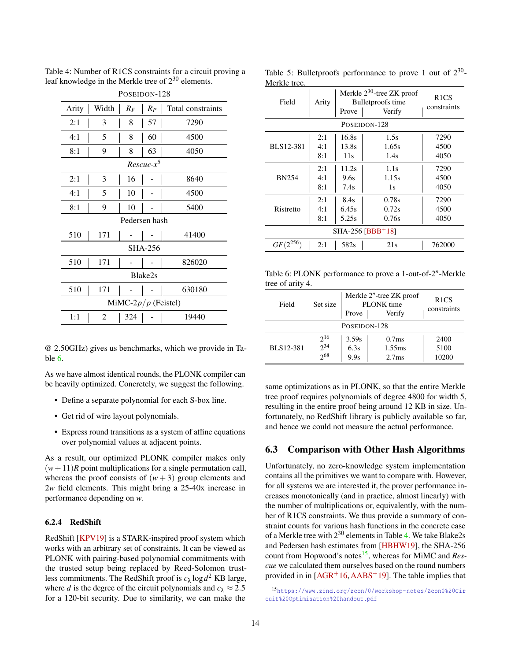<span id="page-13-4"></span>

| POSEIDON-128                                          |              |               |                |        |  |  |  |  |
|-------------------------------------------------------|--------------|---------------|----------------|--------|--|--|--|--|
| Width<br>Arity<br>Total constraints<br>$R_F$<br>$R_P$ |              |               |                |        |  |  |  |  |
| 2:1                                                   | 3            | 8             | 57             | 7290   |  |  |  |  |
| 4:1                                                   | 5            | 8             | 60             | 4500   |  |  |  |  |
| 8:1                                                   | 9            | 8             | 63             | 4050   |  |  |  |  |
|                                                       | $Rescue-x^5$ |               |                |        |  |  |  |  |
| 2:1                                                   | 3            | 16            |                | 8640   |  |  |  |  |
| 4:1                                                   | 5            | 10            |                | 4500   |  |  |  |  |
| 8:1                                                   | 9            | 10            |                | 5400   |  |  |  |  |
|                                                       |              | Pedersen hash |                |        |  |  |  |  |
| 510                                                   | 171          |               |                | 41400  |  |  |  |  |
|                                                       |              |               | <b>SHA-256</b> |        |  |  |  |  |
| 510                                                   | 171          |               |                | 826020 |  |  |  |  |
| Blake2s                                               |              |               |                |        |  |  |  |  |
| 510                                                   | 171          |               |                | 630180 |  |  |  |  |
| MiMC-2 $p/p$ (Feistel)                                |              |               |                |        |  |  |  |  |
| 1:1                                                   | 2            | 324           |                | 19440  |  |  |  |  |

Table 4: Number of R1CS constraints for a circuit proving a leaf knowledge in the Merkle tree of 2<sup>30</sup> elements.

@ 2.50GHz) gives us benchmarks, which we provide in Table [6.](#page-13-2)

As we have almost identical rounds, the PLONK compiler can be heavily optimized. Concretely, we suggest the following.

- Define a separate polynomial for each S-box line.
- Get rid of wire layout polynomials.
- Express round transitions as a system of affine equations over polynomial values at adjacent points.

As a result, our optimized PLONK compiler makes only  $(w+11)$ *R* point multiplications for a single permutation call, whereas the proof consists of  $(w+3)$  group elements and 2*w* field elements. This might bring a 25-40x increase in performance depending on *w*.

# <span id="page-13-0"></span>6.2.4 RedShift

RedShift [\[KPV19\]](#page-17-12) is a STARK-inspired proof system which works with an arbitrary set of constraints. It can be viewed as PLONK with pairing-based polynomial commitments with the trusted setup being replaced by Reed-Solomon trustless commitments. The RedShift proof is  $c_{\lambda} \log d^2$  KB large, where *d* is the degree of the circuit polynomials and  $c_{\lambda} \approx 2.5$ for a 120-bit security. Due to similarity, we can make the

| Field              | Arity | Merkle $2^{30}$ -tree ZK proof<br>Bullet proofs time<br>Prove<br>Verify |              | R <sub>1</sub> CS<br>constraints |  |  |  |
|--------------------|-------|-------------------------------------------------------------------------|--------------|----------------------------------|--|--|--|
|                    |       |                                                                         | POSEIDON-128 |                                  |  |  |  |
|                    | 2:1   | 16.8s                                                                   | 1.5s         | 7290                             |  |  |  |
| BLS12-381          | 4:1   | 13.8s                                                                   | 1.65s        | 4500                             |  |  |  |
|                    | 8:1   |                                                                         | 1.4s         | 4050                             |  |  |  |
|                    | 2:1   | 11.2s                                                                   | 1.1s         | 7290                             |  |  |  |
| <b>BN254</b>       | 4:1   | 9.6s                                                                    | 1.15s        | 4500                             |  |  |  |
|                    | 8:1   | 7.4s                                                                    | 1s           | 4050                             |  |  |  |
|                    | 2:1   | 8.4s                                                                    | 0.78s        | 7290                             |  |  |  |
| Ristretto          | 4:1   | 6.45s                                                                   | 0.72s        | 4500                             |  |  |  |
|                    | 8:1   | 5.25s                                                                   | 0.76s        | 4050                             |  |  |  |
| $SHA-256 [BBB+18]$ |       |                                                                         |              |                                  |  |  |  |
| $GF(2^{256})$      | 2:1   | 582s                                                                    | 21s          | 762000                           |  |  |  |

<span id="page-13-3"></span>Table 5: Bulletproofs performance to prove 1 out of  $2^{30}$ -Merkle tree.

<span id="page-13-2"></span>Table 6: PLONK performance to prove a 1-out-of-2<sup>n</sup>-Merkle tree of arity 4.

| Field        | Set size                    | Merkle $2^n$ -tree ZK proof<br>PLONK time<br>Verify<br>Prove |                                                              | R <sub>1</sub> CS<br>constraints |  |  |  |  |
|--------------|-----------------------------|--------------------------------------------------------------|--------------------------------------------------------------|----------------------------------|--|--|--|--|
| POSEIDON-128 |                             |                                                              |                                                              |                                  |  |  |  |  |
| BLS12-381    | $2^{16}$<br>$2^{34}$<br>268 | 3.59s<br>6.3s<br>9.9s                                        | 0.7 <sub>ms</sub><br>1.55 <sub>ms</sub><br>2.7 <sub>ms</sub> | 2400<br>5100<br>10200            |  |  |  |  |

same optimizations as in PLONK, so that the entire Merkle tree proof requires polynomials of degree 4800 for width 5, resulting in the entire proof being around 12 KB in size. Unfortunately, no RedShift library is publicly available so far, and hence we could not measure the actual performance.

# <span id="page-13-1"></span>6.3 Comparison with Other Hash Algorithms

Unfortunately, no zero-knowledge system implementation contains all the primitives we want to compare with. However, for all systems we are interested it, the prover performance increases monotonically (and in practice, almost linearly) with the number of multiplications or, equivalently, with the number of R1CS constraints. We thus provide a summary of constraint counts for various hash functions in the concrete case of a Merkle tree with 2<sup>30</sup> elements in Table [4.](#page-13-4) We take Blake2s and Pedersen hash estimates from [\[HBHW19\]](#page-17-2), the SHA-256 count from Hopwood's notes<sup>[15](#page-13-5)</sup>, whereas for MiMC and *Rescue* we calculated them ourselves based on the round numbers provided in in  $[AGR<sup>+</sup>16, AABS<sup>+</sup>19]$  $[AGR<sup>+</sup>16, AABS<sup>+</sup>19]$  $[AGR<sup>+</sup>16, AABS<sup>+</sup>19]$  $[AGR<sup>+</sup>16, AABS<sup>+</sup>19]$ . The table implies that

<span id="page-13-5"></span><sup>15</sup>[https://www.zfnd.org/zcon/0/workshop-notes/Zcon0%20Cir](https://www.zfnd.org/zcon/0/workshop-notes/Zcon0%20Circuit%20Optimisation%20handout.pdf) [cuit%20Optimisation%20handout.pdf](https://www.zfnd.org/zcon/0/workshop-notes/Zcon0%20Circuit%20Optimisation%20handout.pdf)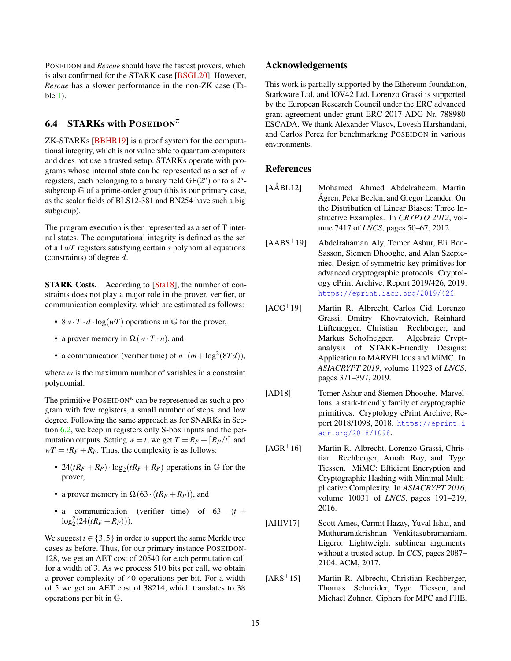POSEIDON and *Rescue* should have the fastest provers, which is also confirmed for the STARK case [\[BSGL20\]](#page-15-13). However, *Rescue* has a slower performance in the non-ZK case (Table [1\)](#page-2-0).

# <span id="page-14-0"></span>6.4 STARKs with POSEIDON<sup> $\pi$ </sup>

ZK-STARKs [\[BBHR19\]](#page-15-4) is a proof system for the computational integrity, which is not vulnerable to quantum computers and does not use a trusted setup. STARKs operate with programs whose internal state can be represented as a set of *w* registers, each belonging to a binary field  $GF(2^n)$  or to a  $2^n$ subgroup G of a prime-order group (this is our primary case, as the scalar fields of BLS12-381 and BN254 have such a big subgroup).

The program execution is then represented as a set of T internal states. The computational integrity is defined as the set of all *wT* registers satisfying certain *s* polynomial equations (constraints) of degree *d*.

STARK Costs. According to [\[Sta18\]](#page-18-3), the number of constraints does not play a major role in the prover, verifier, or communication complexity, which are estimated as follows:

- $8w \cdot T \cdot d \cdot \log(w)$  operations in G for the prover,
- a prover memory in  $\Omega(w \cdot T \cdot n)$ , and
- a communication (verifier time) of  $n \cdot (m + \log^2(8Td))$ ,

where *m* is the maximum number of variables in a constraint polynomial.

The primitive POSEIDON<sup> $\pi$ </sup> can be represented as such a program with few registers, a small number of steps, and low degree. Following the same approach as for SNARKs in Section [6.2,](#page-11-0) we keep in registers only S-box inputs and the permutation outputs. Setting  $w = t$ , we get  $T = R_F + \lceil R_P/t \rceil$  and  $wT = tR_F + R_P$ . Thus, the complexity is as follows:

- $24(tR_F + R_P) \cdot \log_2(tR_F + R_P)$  operations in G for the prover,
- a prover memory in  $\Omega(63 \cdot (tR_F + R_P))$ , and
- a communication (verifier time) of  $63 \cdot (t +$  $log_2^2(24(tR_F+R_P))).$

We suggest  $t \in \{3, 5\}$  in order to support the same Merkle tree cases as before. Thus, for our primary instance POSEIDON-128, we get an AET cost of 20540 for each permutation call for a width of 3. As we process 510 bits per call, we obtain a prover complexity of 40 operations per bit. For a width of 5 we get an AET cost of 38214, which translates to 38 operations per bit in G.

#### Acknowledgements

This work is partially supported by the Ethereum foundation, Starkware Ltd, and IOV42 Ltd. Lorenzo Grassi is supported by the European Research Council under the ERC advanced grant agreement under grant ERC-2017-ADG Nr. 788980 ESCADA. We thank Alexander Vlasov, Lovesh Harshandani, and Carlos Perez for benchmarking POSEIDON in various environments.

### References

- <span id="page-14-7"></span>[AÅBL12] Mohamed Ahmed Abdelraheem, Martin Ågren, Peter Beelen, and Gregor Leander. On the Distribution of Linear Biases: Three Instructive Examples. In *CRYPTO 2012*, volume 7417 of *LNCS*, pages 50–67, 2012.
- <span id="page-14-4"></span>[AABS+19] Abdelrahaman Aly, Tomer Ashur, Eli Ben-Sasson, Siemen Dhooghe, and Alan Szepieniec. Design of symmetric-key primitives for advanced cryptographic protocols. Cryptology ePrint Archive, Report 2019/426, 2019. <https://eprint.iacr.org/2019/426>.
- <span id="page-14-3"></span>[ACG+19] Martin R. Albrecht, Carlos Cid, Lorenzo Grassi, Dmitry Khovratovich, Reinhard Lüftenegger, Christian Rechberger, and Markus Schofnegger. Algebraic Cryptanalysis of STARK-Friendly Designs: Application to MARVELlous and MiMC. In *ASIACRYPT 2019*, volume 11923 of *LNCS*, pages 371–397, 2019.
- <span id="page-14-2"></span>[AD18] Tomer Ashur and Siemen Dhooghe. Marvellous: a stark-friendly family of cryptographic primitives. Cryptology ePrint Archive, Report 2018/1098, 2018. [https://eprint.i](https://eprint.iacr.org/2018/1098) [acr.org/2018/1098](https://eprint.iacr.org/2018/1098).
- <span id="page-14-6"></span>[AGR+16] Martin R. Albrecht, Lorenzo Grassi, Christian Rechberger, Arnab Roy, and Tyge Tiessen. MiMC: Efficient Encryption and Cryptographic Hashing with Minimal Multiplicative Complexity. In *ASIACRYPT 2016*, volume 10031 of *LNCS*, pages 191–219, 2016.
- <span id="page-14-1"></span>[AHIV17] Scott Ames, Carmit Hazay, Yuval Ishai, and Muthuramakrishnan Venkitasubramaniam. Ligero: Lightweight sublinear arguments without a trusted setup. In *CCS*, pages 2087– 2104. ACM, 2017.
- <span id="page-14-5"></span>[ARS+15] Martin R. Albrecht, Christian Rechberger, Thomas Schneider, Tyge Tiessen, and Michael Zohner. Ciphers for MPC and FHE.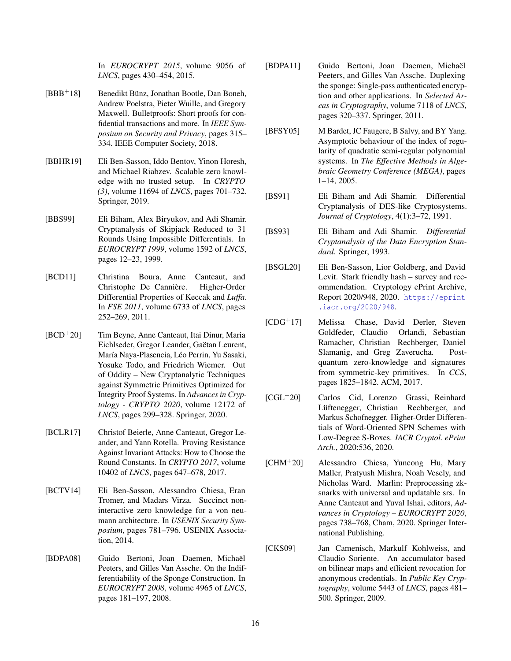In *EUROCRYPT 2015*, volume 9056 of *LNCS*, pages 430–454, 2015.

- <span id="page-15-3"></span>[BBB+18] Benedikt Bünz, Jonathan Bootle, Dan Boneh, Andrew Poelstra, Pieter Wuille, and Gregory Maxwell. Bulletproofs: Short proofs for confidential transactions and more. In *IEEE Symposium on Security and Privacy*, pages 315– 334. IEEE Computer Society, 2018.
- <span id="page-15-4"></span>[BBHR19] Eli Ben-Sasson, Iddo Bentov, Yinon Horesh, and Michael Riabzev. Scalable zero knowledge with no trusted setup. In *CRYPTO (3)*, volume 11694 of *LNCS*, pages 701–732. Springer, 2019.
- <span id="page-15-10"></span>[BBS99] Eli Biham, Alex Biryukov, and Adi Shamir. Cryptanalysis of Skipjack Reduced to 31 Rounds Using Impossible Differentials. In *EUROCRYPT 1999*, volume 1592 of *LNCS*, pages 12–23, 1999.
- <span id="page-15-11"></span>[BCD11] Christina Boura, Anne Canteaut, and Christophe De Cannière. Higher-Order Differential Properties of Keccak and *Luffa*. In *FSE 2011*, volume 6733 of *LNCS*, pages 252–269, 2011.
- <span id="page-15-0"></span>[BCD+20] Tim Beyne, Anne Canteaut, Itai Dinur, Maria Eichlseder, Gregor Leander, Gaëtan Leurent, María Naya-Plasencia, Léo Perrin, Yu Sasaki, Yosuke Todo, and Friedrich Wiemer. Out of Oddity – New Cryptanalytic Techniques against Symmetric Primitives Optimized for Integrity Proof Systems. In *Advances in Cryptology - CRYPTO 2020*, volume 12172 of *LNCS*, pages 299–328. Springer, 2020.
- <span id="page-15-14"></span>[BCLR17] Christof Beierle, Anne Canteaut, Gregor Leander, and Yann Rotella. Proving Resistance Against Invariant Attacks: How to Choose the Round Constants. In *CRYPTO 2017*, volume 10402 of *LNCS*, pages 647–678, 2017.
- <span id="page-15-12"></span>[BCTV14] Eli Ben-Sasson, Alessandro Chiesa, Eran Tromer, and Madars Virza. Succinct noninteractive zero knowledge for a von neumann architecture. In *USENIX Security Symposium*, pages 781–796. USENIX Association, 2014.
- <span id="page-15-6"></span>[BDPA08] Guido Bertoni, Joan Daemen, Michaël Peeters, and Gilles Van Assche. On the Indifferentiability of the Sponge Construction. In *EUROCRYPT 2008*, volume 4965 of *LNCS*, pages 181–197, 2008.
- <span id="page-15-7"></span>[BDPA11] Guido Bertoni, Joan Daemen, Michaël Peeters, and Gilles Van Assche. Duplexing the sponge: Single-pass authenticated encryption and other applications. In *Selected Areas in Cryptography*, volume 7118 of *LNCS*, pages 320–337. Springer, 2011.
- <span id="page-15-15"></span>[BFSY05] M Bardet, JC Faugere, B Salvy, and BY Yang. Asymptotic behaviour of the index of regularity of quadratic semi-regular polynomial systems. In *The Effective Methods in Algebraic Geometry Conference (MEGA)*, pages 1–14, 2005.
- <span id="page-15-8"></span>[BS91] Eli Biham and Adi Shamir. Differential Cryptanalysis of DES-like Cryptosystems. *Journal of Cryptology*, 4(1):3–72, 1991.
- <span id="page-15-9"></span>[BS93] Eli Biham and Adi Shamir. *Differential Cryptanalysis of the Data Encryption Standard*. Springer, 1993.
- <span id="page-15-13"></span>[BSGL20] Eli Ben-Sasson, Lior Goldberg, and David Levit. Stark friendly hash – survey and recommendation. Cryptology ePrint Archive, Report 2020/948, 2020. [https://eprint](https://eprint.iacr.org/2020/948) [.iacr.org/2020/948](https://eprint.iacr.org/2020/948).
- <span id="page-15-5"></span>[CDG+17] Melissa Chase, David Derler, Steven Goldfeder, Claudio Orlandi, Sebastian Ramacher, Christian Rechberger, Daniel Slamanig, and Greg Zaverucha. Postquantum zero-knowledge and signatures from symmetric-key primitives. In *CCS*, pages 1825–1842. ACM, 2017.
- <span id="page-15-16"></span>[CGL+20] Carlos Cid, Lorenzo Grassi, Reinhard Lüftenegger, Christian Rechberger, and Markus Schofnegger. Higher-Order Differentials of Word-Oriented SPN Schemes with Low-Degree S-Boxes. *IACR Cryptol. ePrint Arch.*, 2020:536, 2020.
- <span id="page-15-2"></span>[CHM+20] Alessandro Chiesa, Yuncong Hu, Mary Maller, Pratyush Mishra, Noah Vesely, and Nicholas Ward. Marlin: Preprocessing zksnarks with universal and updatable srs. In Anne Canteaut and Yuval Ishai, editors, *Advances in Cryptology – EUROCRYPT 2020*, pages 738–768, Cham, 2020. Springer International Publishing.
- <span id="page-15-1"></span>[CKS09] Jan Camenisch, Markulf Kohlweiss, and Claudio Soriente. An accumulator based on bilinear maps and efficient revocation for anonymous credentials. In *Public Key Cryptography*, volume 5443 of *LNCS*, pages 481– 500. Springer, 2009.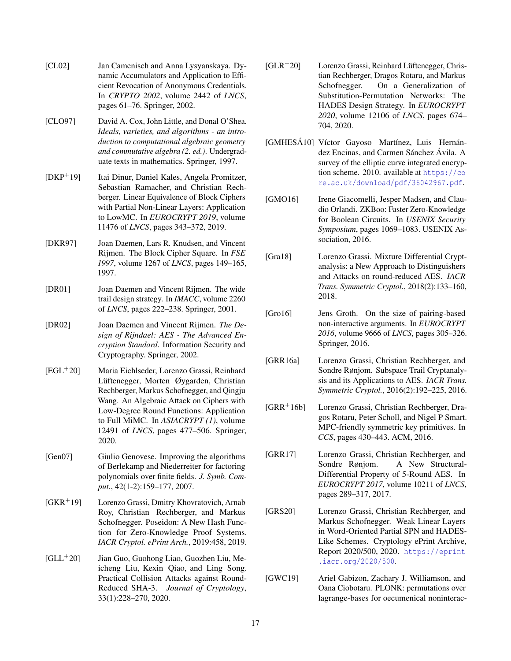- <span id="page-16-1"></span>[CL02] Jan Camenisch and Anna Lysyanskaya. Dynamic Accumulators and Application to Efficient Revocation of Anonymous Credentials. In *CRYPTO 2002*, volume 2442 of *LNCS*, pages 61–76. Springer, 2002.
- <span id="page-16-12"></span>[CLO97] David A. Cox, John Little, and Donal O'Shea. *Ideals, varieties, and algorithms - an introduction to computational algebraic geometry and commutative algebra (2. ed.)*. Undergraduate texts in mathematics. Springer, 1997.
- <span id="page-16-14"></span>[DKP+19] Itai Dinur, Daniel Kales, Angela Promitzer, Sebastian Ramacher, and Christian Rechberger. Linear Equivalence of Block Ciphers with Partial Non-Linear Layers: Application to LowMC. In *EUROCRYPT 2019*, volume 11476 of *LNCS*, pages 343–372, 2019.
- <span id="page-16-17"></span>[DKR97] Joan Daemen, Lars R. Knudsen, and Vincent Rijmen. The Block Cipher Square. In *FSE 1997*, volume 1267 of *LNCS*, pages 149–165, 1997.
- <span id="page-16-7"></span>[DR01] Joan Daemen and Vincent Rijmen. The wide trail design strategy. In *IMACC*, volume 2260 of *LNCS*, pages 222–238. Springer, 2001.
- <span id="page-16-8"></span>[DR02] Joan Daemen and Vincent Rijmen. *The Design of Rijndael: AES - The Advanced Encryption Standard*. Information Security and Cryptography. Springer, 2002.
- <span id="page-16-19"></span>[EGL+20] Maria Eichlseder, Lorenzo Grassi, Reinhard Lüftenegger, Morten Øygarden, Christian Rechberger, Markus Schofnegger, and Qingju Wang. An Algebraic Attack on Ciphers with Low-Degree Round Functions: Application to Full MiMC. In *ASIACRYPT (1)*, volume 12491 of *LNCS*, pages 477–506. Springer, 2020.
- <span id="page-16-18"></span>[Gen07] Giulio Genovese. Improving the algorithms of Berlekamp and Niederreiter for factoring polynomials over finite fields. *J. Symb. Comput.*, 42(1-2):159–177, 2007.
- <span id="page-16-0"></span>[GKR+19] Lorenzo Grassi, Dmitry Khovratovich, Arnab Roy, Christian Rechberger, and Markus Schofnegger. Poseidon: A New Hash Function for Zero-Knowledge Proof Systems. *IACR Cryptol. ePrint Arch.*, 2019:458, 2019.
- <span id="page-16-13"></span>[GLL+20] Jian Guo, Guohong Liao, Guozhen Liu, Meicheng Liu, Kexin Qiao, and Ling Song. Practical Collision Attacks against Round-Reduced SHA-3. *Journal of Cryptology*, 33(1):228–270, 2020.
- <span id="page-16-5"></span> $[GLR<sup>+</sup>20]$  Lorenzo Grassi, Reinhard Lüftenegger, Christian Rechberger, Dragos Rotaru, and Markus Schofnegger. On a Generalization of Substitution-Permutation Networks: The HADES Design Strategy. In *EUROCRYPT 2020*, volume 12106 of *LNCS*, pages 674– 704, 2020.
- <span id="page-16-11"></span>[GMHESÁ10] Víctor Gayoso Martínez, Luis Hernández Encinas, and Carmen Sánchez Ávila. A survey of the elliptic curve integrated encryption scheme. 2010. available at [https://co](https://core.ac.uk/download/pdf/36042967.pdf) [re.ac.uk/download/pdf/36042967.pdf](https://core.ac.uk/download/pdf/36042967.pdf).
- <span id="page-16-4"></span>[GMO16] Irene Giacomelli, Jesper Madsen, and Claudio Orlandi. ZKBoo: Faster Zero-Knowledge for Boolean Circuits. In *USENIX Security Symposium*, pages 1069–1083. USENIX Association, 2016.
- <span id="page-16-16"></span>[Gra18] Lorenzo Grassi. Mixture Differential Cryptanalysis: a New Approach to Distinguishers and Attacks on round-reduced AES. *IACR Trans. Symmetric Cryptol.*, 2018(2):133–160, 2018.
- <span id="page-16-2"></span>[Gro16] Jens Groth. On the size of pairing-based non-interactive arguments. In *EUROCRYPT 2016*, volume 9666 of *LNCS*, pages 305–326. Springer, 2016.
- <span id="page-16-9"></span>[GRR16a] Lorenzo Grassi, Christian Rechberger, and Sondre Rønjom. Subspace Trail Cryptanalysis and its Applications to AES. *IACR Trans. Symmetric Cryptol.*, 2016(2):192–225, 2016.
- <span id="page-16-6"></span>[GRR+16b] Lorenzo Grassi, Christian Rechberger, Dragos Rotaru, Peter Scholl, and Nigel P Smart. MPC-friendly symmetric key primitives. In *CCS*, pages 430–443. ACM, 2016.
- <span id="page-16-15"></span>[GRR17] Lorenzo Grassi, Christian Rechberger, and Sondre Rønjom. A New Structural-Differential Property of 5-Round AES. In *EUROCRYPT 2017*, volume 10211 of *LNCS*, pages 289–317, 2017.
- <span id="page-16-10"></span>[GRS20] Lorenzo Grassi, Christian Rechberger, and Markus Schofnegger. Weak Linear Layers in Word-Oriented Partial SPN and HADES-Like Schemes. Cryptology ePrint Archive, Report 2020/500, 2020. [https://eprint](https://eprint.iacr.org/2020/500) [.iacr.org/2020/500](https://eprint.iacr.org/2020/500).
- <span id="page-16-3"></span>[GWC19] Ariel Gabizon, Zachary J. Williamson, and Oana Ciobotaru. PLONK: permutations over lagrange-bases for oecumenical noninterac-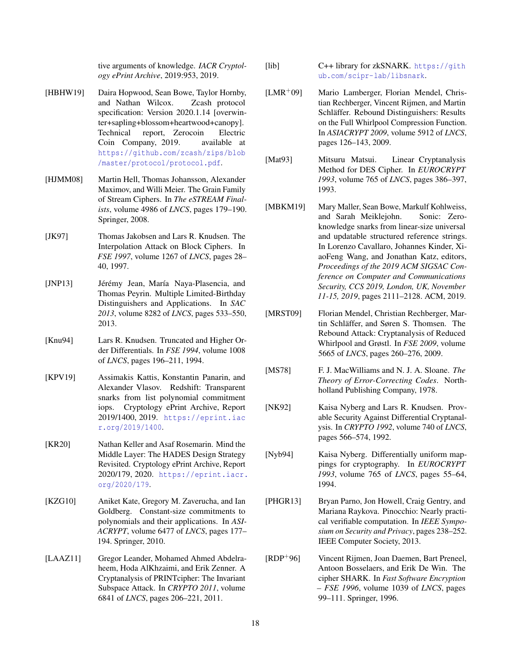tive arguments of knowledge. *IACR Cryptology ePrint Archive*, 2019:953, 2019.

- <span id="page-17-2"></span>[HBHW19] Daira Hopwood, Sean Bowe, Taylor Hornby, and Nathan Wilcox. Zcash protocol specification: Version 2020.1.14 [overwinter+sapling+blossom+heartwood+canopy]. Technical report, Zerocoin Electric Coin Company, 2019. available at [https://github.com/zcash/zips/blob](https://github.com/zcash/zips/blob/master/protocol/protocol.pdf) [/master/protocol/protocol.pdf](https://github.com/zcash/zips/blob/master/protocol/protocol.pdf).
- <span id="page-17-5"></span>[HJMM08] Martin Hell, Thomas Johansson, Alexander Maximov, and Willi Meier. The Grain Family of Stream Ciphers. In *The eSTREAM Finalists*, volume 4986 of *LNCS*, pages 179–190. Springer, 2008.
- <span id="page-17-10"></span>[JK97] Thomas Jakobsen and Lars R. Knudsen. The Interpolation Attack on Block Ciphers. In *FSE 1997*, volume 1267 of *LNCS*, pages 28– 40, 1997.
- <span id="page-17-17"></span>[JNP13] Jérémy Jean, María Naya-Plasencia, and Thomas Peyrin. Multiple Limited-Birthday Distinguishers and Applications. In *SAC 2013*, volume 8282 of *LNCS*, pages 533–550, 2013.
- <span id="page-17-9"></span>[Knu94] Lars R. Knudsen. Truncated and Higher Order Differentials. In *FSE 1994*, volume 1008 of *LNCS*, pages 196–211, 1994.
- <span id="page-17-12"></span>[KPV19] Assimakis Kattis, Konstantin Panarin, and Alexander Vlasov. Redshift: Transparent snarks from list polynomial commitment iops. Cryptology ePrint Archive, Report 2019/1400, 2019. [https://eprint.iac](https://eprint.iacr.org/2019/1400) [r.org/2019/1400](https://eprint.iacr.org/2019/1400).
- <span id="page-17-0"></span>[KR20] Nathan Keller and Asaf Rosemarin. Mind the Middle Layer: The HADES Design Strategy Revisited. Cryptology ePrint Archive, Report 2020/179, 2020. [https://eprint.iacr.](https://eprint.iacr.org/2020/179) [org/2020/179](https://eprint.iacr.org/2020/179).
- <span id="page-17-14"></span>[KZG10] Aniket Kate, Gregory M. Zaverucha, and Ian Goldberg. Constant-size commitments to polynomials and their applications. In *ASI-ACRYPT*, volume 6477 of *LNCS*, pages 177– 194. Springer, 2010.
- <span id="page-17-18"></span>[LAAZ11] Gregor Leander, Mohamed Ahmed Abdelraheem, Hoda AlKhzaimi, and Erik Zenner. A Cryptanalysis of PRINTcipher: The Invariant Subspace Attack. In *CRYPTO 2011*, volume 6841 of *LNCS*, pages 206–221, 2011.
- <span id="page-17-13"></span>[lib] C++ library for zkSNARK. [https://gith](https://github.com/scipr-lab/libsnark) [ub.com/scipr-lab/libsnark](https://github.com/scipr-lab/libsnark).
- <span id="page-17-6"></span>[LMR+09] Mario Lamberger, Florian Mendel, Christian Rechberger, Vincent Rijmen, and Martin Schläffer. Rebound Distinguishers: Results on the Full Whirlpool Compression Function. In *ASIACRYPT 2009*, volume 5912 of *LNCS*, pages 126–143, 2009.
- <span id="page-17-8"></span>[Mat93] Mitsuru Matsui. Linear Cryptanalysis Method for DES Cipher. In *EUROCRYPT 1993*, volume 765 of *LNCS*, pages 386–397, 1993.
- <span id="page-17-11"></span>[MBKM19] Mary Maller, Sean Bowe, Markulf Kohlweiss, and Sarah Meiklejohn. Sonic: Zeroknowledge snarks from linear-size universal and updatable structured reference strings. In Lorenzo Cavallaro, Johannes Kinder, XiaoFeng Wang, and Jonathan Katz, editors, *Proceedings of the 2019 ACM SIGSAC Conference on Computer and Communications Security, CCS 2019, London, UK, November 11-15, 2019*, pages 2111–2128. ACM, 2019.
- <span id="page-17-7"></span>[MRST09] Florian Mendel, Christian Rechberger, Martin Schläffer, and Søren S. Thomsen. The Rebound Attack: Cryptanalysis of Reduced Whirlpool and Grøstl. In *FSE 2009*, volume 5665 of *LNCS*, pages 260–276, 2009.
- <span id="page-17-4"></span>[MS78] F. J. MacWilliams and N. J. A. Sloane. *The Theory of Error-Correcting Codes*. Northholland Publishing Company, 1978.
- <span id="page-17-15"></span>[NK92] Kaisa Nyberg and Lars R. Knudsen. Provable Security Against Differential Cryptanalysis. In *CRYPTO 1992*, volume 740 of *LNCS*, pages 566–574, 1992.
- <span id="page-17-16"></span>[Nyb94] Kaisa Nyberg. Differentially uniform mappings for cryptography. In *EUROCRYPT 1993*, volume 765 of *LNCS*, pages 55–64, 1994.
- <span id="page-17-1"></span>[PHGR13] Bryan Parno, Jon Howell, Craig Gentry, and Mariana Raykova. Pinocchio: Nearly practical verifiable computation. In *IEEE Symposium on Security and Privacy*, pages 238–252. IEEE Computer Society, 2013.
- <span id="page-17-3"></span>[RDP+96] Vincent Rijmen, Joan Daemen, Bart Preneel, Antoon Bosselaers, and Erik De Win. The cipher SHARK. In *Fast Software Encryption – FSE 1996*, volume 1039 of *LNCS*, pages 99–111. Springer, 1996.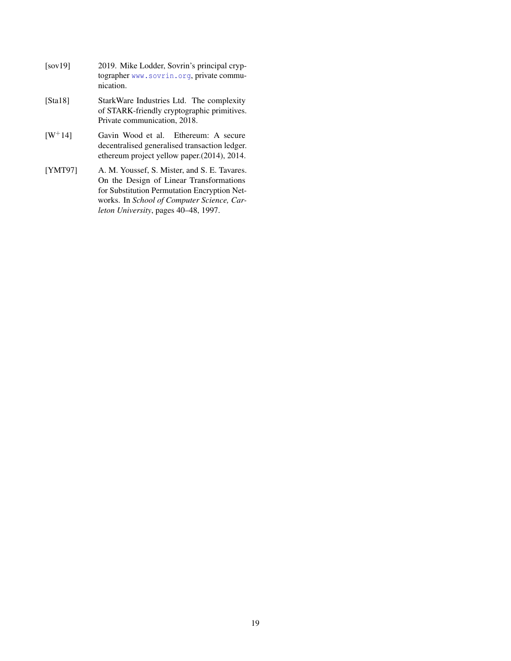<span id="page-18-3"></span><span id="page-18-2"></span><span id="page-18-0"></span>

| [sov19]               | 2019. Mike Lodder, Sovrin's principal cryp-<br>tographer www.sovrin.org, private commu-<br>nication.                                    |
|-----------------------|-----------------------------------------------------------------------------------------------------------------------------------------|
| [Sta18]               | StarkWare Industries Ltd. The complexity<br>of STARK-friendly cryptographic primitives.<br>Private communication, 2018.                 |
| $\lceil W^+14 \rceil$ | Gavin Wood et al. Ethereum: A secure<br>decentralised generalised transaction ledger.<br>ethereum project yellow paper. (2014), 2014.   |
| <b>[YMT97]</b>        | A. M. Youssef, S. Mister, and S. E. Tavares.<br>On the Design of Linear Transformations<br>for Substitution Permutation Encryption Net- |

<span id="page-18-1"></span>works. In *School of Computer Science, Carleton University*, pages 40–48, 1997.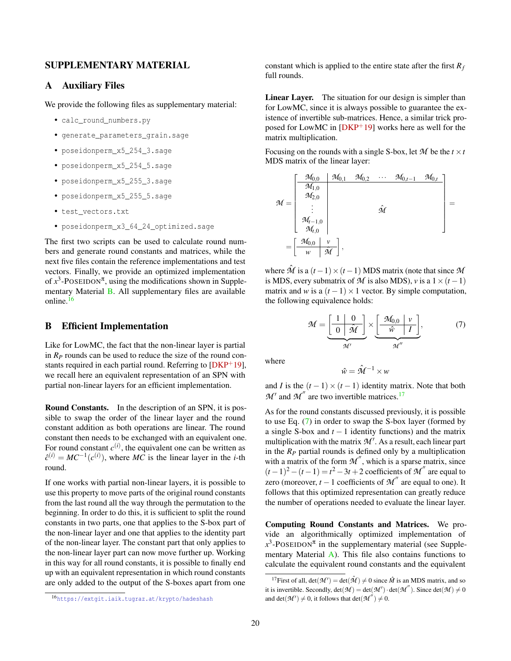# SUPPLEMENTARY MATERIAL

### <span id="page-19-0"></span>A Auxiliary Files

We provide the following files as supplementary material:

- calc\_round\_numbers.py
- generate\_parameters\_grain.sage
- poseidonperm\_x5\_254\_3.sage
- poseidonperm\_x5\_254\_5.sage
- poseidonperm\_x5\_255\_3.sage
- poseidonperm\_x5\_255\_5.sage
- test\_vectors.txt
- poseidonperm\_x3\_64\_24\_optimized.sage

The first two scripts can be used to calculate round numbers and generate round constants and matrices, while the next five files contain the reference implementations and test vectors. Finally, we provide an optimized implementation of  $x^3$ -POSEIDON<sup> $\pi$ </sup>, using the modifications shown in Supplementary Material [B.](#page-19-1) All supplementary files are available online.[16](#page-19-2)

# <span id="page-19-1"></span>B Efficient Implementation

Like for LowMC, the fact that the non-linear layer is partial in  $R<sub>P</sub>$  rounds can be used to reduce the size of the round constants required in each partial round. Referring to  $[DKP^+19]$  $[DKP^+19]$ , we recall here an equivalent representation of an SPN with partial non-linear layers for an efficient implementation.

Round Constants. In the description of an SPN, it is possible to swap the order of the linear layer and the round constant addition as both operations are linear. The round constant then needs to be exchanged with an equivalent one. For round constant  $c^{(i)}$ , the equivalent one can be written as  $\hat{c}^{(i)} = MC^{-1}(c^{(i)})$ , where *MC* is the linear layer in the *i*-th round.

If one works with partial non-linear layers, it is possible to use this property to move parts of the original round constants from the last round all the way through the permutation to the beginning. In order to do this, it is sufficient to split the round constants in two parts, one that applies to the S-box part of the non-linear layer and one that applies to the identity part of the non-linear layer. The constant part that only applies to the non-linear layer part can now move further up. Working in this way for all round constants, it is possible to finally end up with an equivalent representation in which round constants are only added to the output of the S-boxes apart from one constant which is applied to the entire state after the first *R<sup>f</sup>* full rounds.

Linear Layer. The situation for our design is simpler than for LowMC, since it is always possible to guarantee the existence of invertible sub-matrices. Hence, a similar trick proposed for LowMC in [\[DKP](#page-16-14)+19] works here as well for the matrix multiplication.

Focusing on the rounds with a single S-box, let  $M$  be the  $t \times t$ MDS matrix of the linear layer:

$$
\mathcal{M} = \begin{bmatrix} \begin{bmatrix} \frac{\mathcal{M}_{0,0}}{\mathcal{M}_{1,0}} & \mathcal{M}_{0,1} & \mathcal{M}_{0,2} & \cdots & \mathcal{M}_{0,t-1} & \mathcal{M}_{0,t} \\ \frac{\mathcal{M}_{1,0}}{\mathcal{M}_{2,0}} & & & \\ \vdots & & & \hat{\mathcal{M}} \\ \frac{\mathcal{M}_{t-1,0}}{\mathcal{M}_{t,0}} & & & \end{bmatrix} \\ = \begin{bmatrix} \frac{\mathcal{M}_{0,0}}{\mathcal{M}_{0,0}} & \frac{v}{\mathcal{M}} \end{bmatrix},
$$

where  $\hat{\mathcal{M}}$  is a  $(t-1) \times (t-1)$  MDS matrix (note that since  $\mathcal{M}$ is MDS, every submatrix of  $M$  is also MDS), *v* is a  $1 \times (t-1)$ matrix and *w* is a  $(t-1) \times 1$  vector. By simple computation, the following equivalence holds:

<span id="page-19-4"></span>
$$
\mathcal{M} = \underbrace{\begin{bmatrix} 1 & 0 \\ 0 & \hat{\mathcal{M}} \end{bmatrix}}_{\mathcal{M}'} \times \underbrace{\begin{bmatrix} \mathcal{M}_{0,0} & v \\ \hat{w} & I \end{bmatrix}}_{\mathcal{M}''},
$$
 (7)

where

$$
\hat{w} = \hat{\mathcal{M}}^{-1} \times w
$$

and *I* is the  $(t-1) \times (t-1)$  identity matrix. Note that both  $M'$  and  $M''$  are two invertible matrices.<sup>[17](#page-19-3)</sup>

As for the round constants discussed previously, it is possible to use Eq. [\(7\)](#page-19-4) in order to swap the S-box layer (formed by a single S-box and *t* − 1 identity functions) and the matrix multiplication with the matrix  $\mathcal{M}'$ . As a result, each linear part in the  $R_P$  partial rounds is defined only by a multiplication with a matrix of the form  $M''$ , which is a sparse matrix, since  $(t-1)^2 - (t-1) = t^2 - 3t + 2$  coefficients of *M*<sup>"</sup> are equal to zero (moreover,  $t - 1$  coefficients of  $M''$  are equal to one). It follows that this optimized representation can greatly reduce the number of operations needed to evaluate the linear layer.

Computing Round Constants and Matrices. We provide an algorithmically optimized implementation of  $x^3$ -POSEIDON<sup> $\pi$ </sup> in the supplementary material (see Supplementary Material [A\)](#page-19-0). This file also contains functions to calculate the equivalent round constants and the equivalent

<span id="page-19-2"></span><sup>16</sup><https://extgit.iaik.tugraz.at/krypto/hadeshash>

<span id="page-19-3"></span><sup>&</sup>lt;sup>17</sup>First of all,  $det(\mathcal{M}') = det(\hat{\mathcal{M}}) \neq 0$  since  $\hat{M}$  is an MDS matrix, and so it is invertible. Secondly,  $det(\mathcal{M}) = det(\mathcal{M}') \cdot det(\mathcal{M}'')$ . Since  $det(\mathcal{M}) \neq 0$ and det( $M'$ )  $\neq$  0, it follows that det( $M^{''}$ )  $\neq$  0.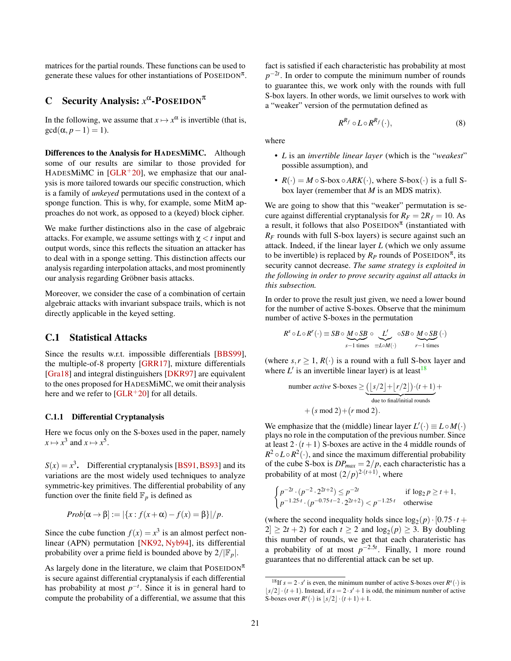matrices for the partial rounds. These functions can be used to generate these values for other instantiations of POSEIDON<sup> $\pi$ </sup>.

# <span id="page-20-0"></span>C Security Analysis:  $x^{\alpha}$ -POSEIDON<sup>π</sup>

In the following, we assume that  $x \mapsto x^{\alpha}$  is invertible (that is,  $gcd(\alpha, p-1) = 1$ .

Differences to the Analysis for HADESMiMC. Although some of our results are similar to those provided for HADESMIMC in  $[GLR+20]$  $[GLR+20]$ , we emphasize that our analysis is more tailored towards our specific construction, which is a family of *unkeyed* permutations used in the context of a sponge function. This is why, for example, some MitM approaches do not work, as opposed to a (keyed) block cipher.

We make further distinctions also in the case of algebraic attacks. For example, we assume settings with  $\chi < t$  input and output words, since this reflects the situation an attacker has to deal with in a sponge setting. This distinction affects our analysis regarding interpolation attacks, and most prominently our analysis regarding Gröbner basis attacks.

Moreover, we consider the case of a combination of certain algebraic attacks with invariant subspace trails, which is not directly applicable in the keyed setting.

### <span id="page-20-1"></span>C.1 Statistical Attacks

Since the results w.r.t. impossible differentials [\[BBS99\]](#page-15-10), the multiple-of-8 property [\[GRR17\]](#page-16-15), mixture differentials [\[Gra18\]](#page-16-16) and integral distinguishers [\[DKR97\]](#page-16-17) are equivalent to the ones proposed for HADESMiMC, we omit their analysis here and we refer to  $[GLR+20]$  $[GLR+20]$  for all details.

### <span id="page-20-2"></span>C.1.1 Differential Cryptanalysis

Here we focus only on the S-boxes used in the paper, namely  $x \mapsto x^3$  and  $x \mapsto x^5$ .

 $S(x) = x^3$ . Differential cryptanalysis [\[BS91,](#page-15-8) [BS93\]](#page-15-9) and its variations are the most widely used techniques to analyze symmetric-key primitives. The differential probability of any function over the finite field  $\mathbb{F}_p$  is defined as

$$
Prob[\alpha \rightarrow \beta] := |\{x : f(x + \alpha) - f(x) = \beta\}|/p.
$$

Since the cube function  $f(x) = x^3$  is an almost perfect nonlinear (APN) permutation [\[NK92,](#page-17-15) [Nyb94\]](#page-17-16), its differential probability over a prime field is bounded above by  $2/|\mathbb{F}_p|$ .

As largely done in the literature, we claim that  $\text{POSEIDON}^{\pi}$ is secure against differential cryptanalysis if each differential has probability at most  $p^{-t}$ . Since it is in general hard to compute the probability of a differential, we assume that this fact is satisfied if each characteristic has probability at most  $p^{-2t}$ . In order to compute the minimum number of rounds to guarantee this, we work only with the rounds with full S-box layers. In other words, we limit ourselves to work with a "weaker" version of the permutation defined as

<span id="page-20-4"></span>
$$
R^{R_f} \circ L \circ R^{R_f}(\cdot),\tag{8}
$$

where

- *L* is an *invertible linear layer* (which is the "*weakest*" possible assumption), and
- $R(.) = M \circ S$ -box  $\circ ARK(.)$ , where S-box $(.)$  is a full Sbox layer (remember that *M* is an MDS matrix).

We are going to show that this "weaker" permutation is secure against differential cryptanalysis for  $R_F = 2R_f = 10$ . As a result, it follows that also  $\text{POSEIDON}^{\pi}$  (instantiated with *R<sup>F</sup>* rounds with full S-box layers) is secure against such an attack. Indeed, if the linear layer *L* (which we only assume to be invertible) is replaced by  $R_P$  rounds of POSEIDON<sup> $\pi$ </sup>, its security cannot decrease. *The same strategy is exploited in the following in order to prove security against all attacks in this subsection.*

In order to prove the result just given, we need a lower bound for the number of active S-boxes. Observe that the minimum number of active S-boxes in the permutation

$$
R^s \circ L \circ R^r(\cdot) \equiv SB \circ \underbrace{M \circ SB}_{s-1 \text{ times}} \circ \underbrace{L'}_{\equiv L \circ M(\cdot)} \circ SB \circ \underbrace{M \circ SB}_{r-1 \text{ times}}(\cdot)
$$

(where  $s, r \geq 1, R(\cdot)$  is a round with a full S-box layer and where  $L'$  is an invertible linear layer) is at least<sup>[18](#page-20-3)</sup>

number *active* S-boxes 
$$
\ge \underbrace{\left(\left[s/2\right]+\left[r/2\right]\right)\cdot (t+1)}_{\text{due to final/inital rounds}} + (s \mod 2) + (r \mod 2).
$$

We emphasize that the (middle) linear layer  $L'(\cdot) \equiv L \circ M(\cdot)$ plays no role in the computation of the previous number. Since at least  $2 \cdot (t+1)$  S-boxes are active in the 4 middle rounds of  $R^2 \circ L \circ R^2(\cdot)$ , and since the maximum differential probability of the cube S-box is  $DP_{max} = 2/p$ , each characteristic has a probability of at most  $(2/p)^{2 \cdot (t+1)}$ , where

$$
\begin{cases} p^{-2t} \cdot (p^{-2} \cdot 2^{2t+2}) \le p^{-2t} & \text{if } \log_2 p \ge t+1, \\ p^{-1.25 \cdot t} \cdot (p^{-0.75 \cdot t-2} \cdot 2^{2t+2}) < p^{-1.25 \cdot t} & \text{otherwise} \end{cases}
$$

(where the second inequality holds since  $log_2(p) \cdot [0.75 \cdot t +$  $2 \ge 2t + 2$  for each  $t \ge 2$  and  $\log_2(p) \ge 3$ . By doubling this number of rounds, we get that each charateristic has a probability of at most  $p^{-2.5t}$ . Finally, 1 more round guarantees that no differential attack can be set up.

<span id="page-20-3"></span><sup>&</sup>lt;sup>18</sup>If  $s = 2 \cdot s'$  is even, the minimum number of active S-boxes over  $R^s(\cdot)$  is  $|s/2| \cdot (t+1)$ . Instead, if  $s = 2 \cdot s' + 1$  is odd, the minimum number of active S-boxes over  $R^s(\cdot)$  is  $\lfloor s/2 \rfloor \cdot (t+1) + 1$ .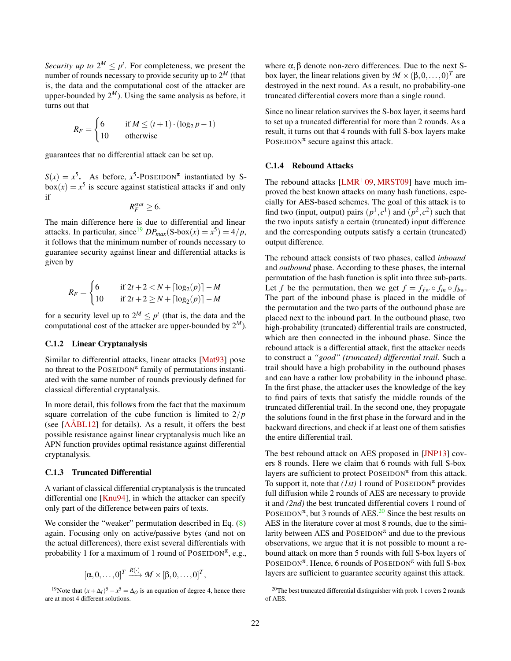*Security up to*  $2^M \le p^t$ . For completeness, we present the number of rounds necessary to provide security up to 2 *<sup>M</sup>* (that is, the data and the computational cost of the attacker are upper-bounded by  $2^M$ ). Using the same analysis as before, it turns out that

$$
R_F = \begin{cases} 6 & \text{if } M \le (t+1) \cdot (\log_2 p - 1) \\ 10 & \text{otherwise} \end{cases}
$$

guarantees that no differential attack can be set up.

 $S(x) = x^5$ . As before,  $x^5$ -POSEIDON<sup>π</sup> instantiated by S $box(x) = x^5$  is secure against statistical attacks if and only if

$$
R_F^{stat} \geq 6.
$$

The main difference here is due to differential and linear attacks. In particular, since<sup>[19](#page-21-3)</sup>  $DP_{max}(S\text{-box}(x) = x^5) = 4/p$ , it follows that the minimum number of rounds necessary to guarantee security against linear and differential attacks is given by

$$
R_F = \begin{cases} 6 & \text{if } 2t + 2 < N + \lceil \log_2(p) \rceil - M \\ 10 & \text{if } 2t + 2 \ge N + \lceil \log_2(p) \rceil - M \end{cases}
$$

for a security level up to  $2^M \leq p^t$  (that is, the data and the computational cost of the attacker are upper-bounded by  $2^M$ ).

# <span id="page-21-0"></span>C.1.2 Linear Cryptanalysis

Similar to differential attacks, linear attacks [\[Mat93\]](#page-17-8) pose no threat to the POSEIDON<sup> $\pi$ </sup> family of permutations instantiated with the same number of rounds previously defined for classical differential cryptanalysis.

In more detail, this follows from the fact that the maximum square correlation of the cube function is limited to 2/*p* (see [\[AÅBL12\]](#page-14-7) for details). As a result, it offers the best possible resistance against linear cryptanalysis much like an APN function provides optimal resistance against differential cryptanalysis.

#### <span id="page-21-1"></span>C.1.3 Truncated Differential

A variant of classical differential cryptanalysis is the truncated differential one [\[Knu94\]](#page-17-9), in which the attacker can specify only part of the difference between pairs of texts.

We consider the "weaker" permutation described in Eq.  $(8)$ again. Focusing only on active/passive bytes (and not on the actual differences), there exist several differentials with probability 1 for a maximum of 1 round of  $\text{POSEIDON}^{\pi}$ , e.g.,

$$
[\alpha,0,\ldots,0]^T \xrightarrow{R(\cdot)} \mathcal{M} \times [\beta,0,\ldots,0]^T,
$$

where  $\alpha$ ,  $\beta$  denote non-zero differences. Due to the next Sbox layer, the linear relations given by  $M \times (\beta, 0, \ldots, 0)^T$  are destroyed in the next round. As a result, no probability-one truncated differential covers more than a single round.

Since no linear relation survives the S-box layer, it seems hard to set up a truncated differential for more than 2 rounds. As a result, it turns out that 4 rounds with full S-box layers make POSEIDON<sup> $\pi$ </sup> secure against this attack.

#### <span id="page-21-2"></span>C.1.4 Rebound Attacks

The rebound attacks  $[LMR+09, MRST09]$  $[LMR+09, MRST09]$  $[LMR+09, MRST09]$  have much improved the best known attacks on many hash functions, especially for AES-based schemes. The goal of this attack is to find two (input, output) pairs  $(p<sup>1</sup>, c<sup>1</sup>)$  and  $(p<sup>2</sup>, c<sup>2</sup>)$  such that the two inputs satisfy a certain (truncated) input difference and the corresponding outputs satisfy a certain (truncated) output difference.

The rebound attack consists of two phases, called *inbound* and *outbound* phase. According to these phases, the internal permutation of the hash function is split into three sub-parts. Let *f* be the permutation, then we get  $f = f_{fw} \circ f_{in} \circ f_{bw}$ . The part of the inbound phase is placed in the middle of the permutation and the two parts of the outbound phase are placed next to the inbound part. In the outbound phase, two high-probability (truncated) differential trails are constructed, which are then connected in the inbound phase. Since the rebound attack is a differential attack, first the attacker needs to construct a *"good" (truncated) differential trail*. Such a trail should have a high probability in the outbound phases and can have a rather low probability in the inbound phase. In the first phase, the attacker uses the knowledge of the key to find pairs of texts that satisfy the middle rounds of the truncated differential trail. In the second one, they propagate the solutions found in the first phase in the forward and in the backward directions, and check if at least one of them satisfies the entire differential trail.

The best rebound attack on AES proposed in [\[JNP13\]](#page-17-17) covers 8 rounds. Here we claim that 6 rounds with full S-box layers are sufficient to protect  $\text{POSEIDON}^{\pi}$  from this attack. To support it, note that  $(Ist)$  1 round of POSEIDON<sup> $\pi$ </sup> provides full diffusion while 2 rounds of AES are necessary to provide it and *(2nd)* the best truncated differential covers 1 round of POSEIDON<sup> $\pi$ </sup>, but 3 rounds of AES.<sup>[20](#page-21-4)</sup> Since the best results on AES in the literature cover at most 8 rounds, due to the similarity between AES and  $\text{POSEIDON}^{\pi}$  and due to the previous observations, we argue that it is not possible to mount a rebound attack on more than 5 rounds with full S-box layers of POSEIDON<sup> $\pi$ </sup>. Hence, 6 rounds of POSEIDON<sup> $\pi$ </sup> with full S-box layers are sufficient to guarantee security against this attack.

<span id="page-21-3"></span><sup>&</sup>lt;sup>19</sup>Note that  $(x + \Delta_I)^5 - x^5 = \Delta_O$  is an equation of degree 4, hence there are at most 4 different solutions.

<span id="page-21-4"></span> $20$ The best truncated differential distinguisher with prob. 1 covers 2 rounds of AES.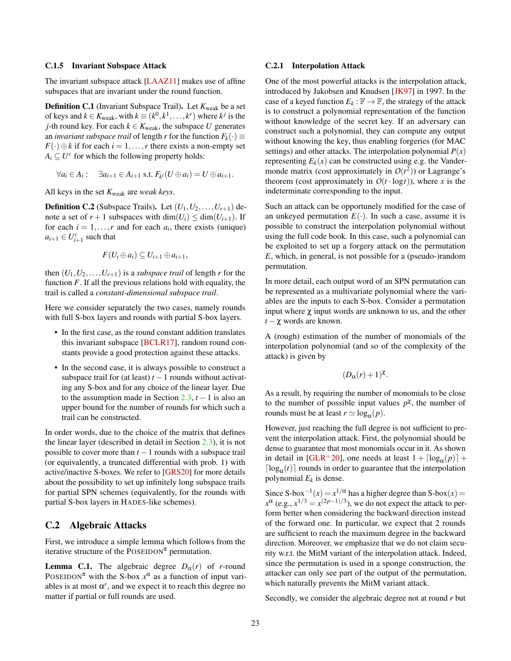#### <span id="page-22-0"></span>C.1.5 Invariant Subspace Attack

The invariant subspace attack [\[LAAZ11\]](#page-17-18) makes use of affine subspaces that are invariant under the round function.

Definition C.1 (Invariant Subspace Trail). Let  $K_{weak}$  be a set of keys and  $k \in K_{weak}$ , with  $k \equiv (k^0, k^1, \ldots, k^r)$  where  $k^j$  is the *j*-th round key. For each  $k \in K_{\text{weak}}$ , the subspace *U* generates an *invariant subspace trail* of length *r* for the function  $F_k(\cdot) \equiv$  $F(\cdot) \oplus k$  if for each  $i = 1, \ldots, r$  there exists a non-empty set  $A_i \subseteq U^c$  for which the following property holds:

$$
\forall a_i \in A_i: \quad \exists a_{i+1} \in A_{i+1} \text{ s.t. } F_{k^i}(U \oplus a_i) = U \oplus a_{i+1}.
$$

All keys in the set *K*weak are *weak keys*.

**Definition C.2** (Subspace Trails). Let  $(U_1, U_2, \ldots, U_{r+1})$  denote a set of  $r + 1$  subspaces with dim( $U_i$ )  $\leq$  dim( $U_{i+1}$ ). If for each  $i = 1, \ldots, r$  and for each  $a_i$ , there exists (unique)  $a_{i+1} \in U_{i+1}^c$  such that

$$
F(U_i\oplus a_i)\subseteq U_{i+1}\oplus a_{i+1},
$$

then  $(U_1, U_2, \ldots, U_{r+1})$  is a *subspace trail* of length *r* for the function *F*. If all the previous relations hold with equality, the trail is called a *constant-dimensional subspace trail*.

Here we consider separately the two cases, namely rounds with full S-box layers and rounds with partial S-box layers.

- In the first case, as the round constant addition translates this invariant subspace [\[BCLR17\]](#page-15-14), random round constants provide a good protection against these attacks.
- In the second case, it is always possible to construct a subspace trail for (at least)  $t - 1$  rounds without activating any S-box and for any choice of the linear layer. Due to the assumption made in Section  $2.3$ ,  $t - 1$  is also an upper bound for the number of rounds for which such a trail can be constructed.

In order words, due to the choice of the matrix that defines the linear layer (described in detail in Section [2.3\)](#page-5-3), it is not possible to cover more than *t* −1 rounds with a subspace trail (or equivalently, a truncated differential with prob. 1) with active/inactive S-boxes. We refer to [\[GRS20\]](#page-16-10) for more details about the possibility to set up infinitely long subspace trails for partial SPN schemes (equivalently, for the rounds with partial S-box layers in HADES-like schemes).

### <span id="page-22-1"></span>C.2 Algebraic Attacks

First, we introduce a simple lemma which follows from the iterative structure of the POSEIDON<sup> $\pi$ </sup> permutation.

**Lemma C.1.** The algebraic degree  $D_\alpha(r)$  of *r*-round POSEIDON<sup> $\pi$ </sup> with the S-box  $x^{\alpha}$  as a function of input variables is at most  $\alpha^r$ , and we expect it to reach this degree no matter if partial or full rounds are used.

#### <span id="page-22-2"></span>C.2.1 Interpolation Attack

One of the most powerful attacks is the interpolation attack, introduced by Jakobsen and Knudsen [\[JK97\]](#page-17-10) in 1997. In the case of a keyed function  $E_k : \mathbb{F} \to \mathbb{F}$ , the strategy of the attack is to construct a polynomial representation of the function without knowledge of the secret key. If an adversary can construct such a polynomial, they can compute any output without knowing the key, thus enabling forgeries (for MAC settings) and other attacks. The interpolation polynomial  $P(x)$ representing  $E_k(x)$  can be constructed using e.g. the Vandermonde matrix (cost approximately in  $O(t^2)$ ) or Lagrange's theorem (cost approximately in  $O(t \cdot \log t)$ ), where *x* is the indeterminate corresponding to the input.

Such an attack can be opportunely modified for the case of an unkeyed permutation  $E(\cdot)$ . In such a case, assume it is possible to construct the interpolation polynomial without using the full code book. In this case, such a polynomial can be exploited to set up a forgery attack on the permutation *E*, which, in general, is not possible for a (pseudo-)random permutation.

In more detail, each output word of an SPN permutation can be represented as a multivariate polynomial where the variables are the inputs to each S-box. Consider a permutation input where  $\chi$  input words are unknown to us, and the other *t* −χ words are known.

A (rough) estimation of the number of monomials of the interpolation polynomial (and so of the complexity of the attack) is given by

$$
(D_{\alpha}(r)+1)^{\chi}.
$$

As a result, by requiring the number of monomials to be close to the number of possible input values  $p^{\chi}$ , the number of rounds must be at least  $r \simeq \log_{\alpha}(p)$ .

However, just reaching the full degree is not sufficient to prevent the interpolation attack. First, the polynomial should be dense to guarantee that most monomials occur in it. As shown in detail in [\[GLR](#page-16-5)<sup>+</sup>20], one needs at least  $1 + \lceil \log_{\alpha}(p) \rceil +$  $\lceil \log_{\alpha}(t) \rceil$  rounds in order to guarantee that the interpolation polynomial  $E_k$  is dense.

Since S-box<sup>-1</sup>(*x*) =  $x^{1/\alpha}$  has a higher degree than S-box(*x*) =  $x^{\alpha}$  (e.g.,  $x^{1/3} = x^{(2p-1)/3}$ ), we do not expect the attack to perform better when considering the backward direction instead of the forward one. In particular, we expect that 2 rounds are sufficient to reach the maximum degree in the backward direction. Moreover, we emphasize that we do not claim security w.r.t. the MitM variant of the interpolation attack. Indeed, since the permutation is used in a sponge construction, the attacker can only see part of the output of the permutation, which naturally prevents the MitM variant attack.

Secondly, we consider the algebraic degree not at round *r* but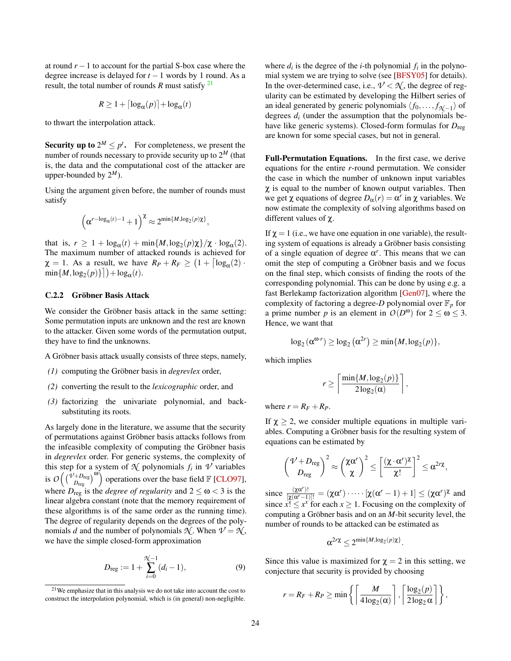at round  $r - 1$  to account for the partial S-box case where the degree increase is delayed for *t* −1 words by 1 round. As a result, the total number of rounds *R* must satisfy  $^{21}$  $^{21}$  $^{21}$ 

$$
R \ge 1 + \lceil \log_{\alpha}(p) \rceil + \log_{\alpha}(t)
$$

to thwart the interpolation attack.

**Security up to**  $2^M \leq p^t$ . For completeness, we present the number of rounds necessary to provide security up to  $2^M$  (that is, the data and the computational cost of the attacker are upper-bounded by  $2^M$ ).

Using the argument given before, the number of rounds must satisfy

$$
\left(\alpha^{r-\log_{\alpha}(t)-1}+1\right)^{\chi}\approx 2^{\min\{M,\log_2(p)\chi\}},
$$

that is,  $r \geq 1 + \log_{\alpha}(t) + \min\{M, \log_2(p)\chi\}/\chi \cdot \log_{\alpha}(2)$ . The maximum number of attacked rounds is achieved for  $\chi = 1$ . As a result, we have  $R_P + R_F \geq (1 + \lceil \log_{\alpha}(2) \rceil)$  $\min\{M, \log_2(p)\}\] + \log_\alpha(t)$ .

#### <span id="page-23-0"></span>C.2.2 Gröbner Basis Attack

We consider the Gröbner basis attack in the same setting: Some permutation inputs are unknown and the rest are known to the attacker. Given some words of the permutation output, they have to find the unknowns.

A Gröbner basis attack usually consists of three steps, namely,

- *(1)* computing the Gröbner basis in *degrevlex* order,
- *(2)* converting the result to the *lexicographic* order, and
- *(3)* factorizing the univariate polynomial, and backsubstituting its roots.

As largely done in the literature, we assume that the security of permutations against Gröbner basis attacks follows from the infeasible complexity of computing the Gröbner basis in *degrevlex* order. For generic systems, the complexity of this step for a system of  $\mathcal{N}$  polynomials  $f_i$  in  $\mathcal{V}$  variables is  $O\left(\binom{\bar{\nu}+D_{\text{reg}}}{D_{\text{reg}}}\right)^{00}$  operations over the base field  $\mathbb{F}$  [\[CLO97\]](#page-16-12), where  $D_{reg}$  is the *degree of regularity* and  $2 \le \omega < 3$  is the linear algebra constant (note that the memory requirement of these algorithms is of the same order as the running time). The degree of regularity depends on the degrees of the polynomials *d* and the number of polynomials  $\mathcal{N}$ . When  $\mathcal{V} = \mathcal{N}$ , we have the simple closed-form approximation

$$
D_{\text{reg}} := 1 + \sum_{i=0}^{\mathcal{H}-1} (d_i - 1), \tag{9}
$$

where  $d_i$  is the degree of the *i*-th polynomial  $f_i$  in the polynomial system we are trying to solve (see [\[BFSY05\]](#page-15-15) for details). In the over-determined case, i.e.,  $\nu < \mathcal{N}$ , the degree of regularity can be estimated by developing the Hilbert series of an ideal generated by generic polynomials  $\langle f_0, \ldots, f_{\mathcal{H}-1} \rangle$  of degrees  $d_i$  (under the assumption that the polynomials behave like generic systems). Closed-form formulas for  $D_{\text{reg}}$ are known for some special cases, but not in general.

Full-Permutation Equations. In the first case, we derive equations for the entire *r*-round permutation. We consider the case in which the number of unknown input variables  $\chi$  is equal to the number of known output variables. Then we get  $\chi$  equations of degree  $D_{\alpha}(r) = \alpha^{r}$  in  $\chi$  variables. We now estimate the complexity of solving algorithms based on different values of χ.

If  $\chi = 1$  (i.e., we have one equation in one variable), the resulting system of equations is already a Gröbner basis consisting of a single equation of degree  $\alpha^r$ . This means that we can omit the step of computing a Gröbner basis and we focus on the final step, which consists of finding the roots of the corresponding polynomial. This can be done by using e.g. a fast Berlekamp factorization algorithm [\[Gen07\]](#page-16-18), where the complexity of factoring a degree-*D* polynomial over  $\mathbb{F}_p$  for a prime number *p* is an element in  $O(D^{\omega})$  for  $2 \le \omega \le 3$ . Hence, we want that

$$
\log_2(\alpha^{\omega \cdot r}) \ge \log_2(\alpha^{2r}) \ge \min\{M, \log_2(p)\},\
$$

which implies

$$
r\geq \left\lceil \frac{\min\{M, \log_2(p)\}}{2\log_2(\alpha)}\right\rceil,
$$

where  $r = R_F + R_P$ .

If  $\chi \geq 2$ , we consider multiple equations in multiple variables. Computing a Gröbner basis for the resulting system of equations can be estimated by

$$
\binom{\mathcal{V}+D_{\text{reg}}}{D_{\text{reg}}}\mathcal{V}\approx\binom{\chi\alpha^r}{\chi}^2\leq\left[\frac{(\chi\cdot\alpha^r)^{\chi}}{\chi!}\right]^2\leq\alpha^{2r\chi},
$$

since  $\frac{(\chi\alpha^r)!}{[\chi(\alpha^r-1)]!} = (\chi\alpha^r) \cdots [\chi(\alpha^r-1)+1] \leq (\chi\alpha^r)^{\chi}$  and since  $x! \leq x^x$  for each  $x \geq 1$ . Focusing on the complexity of computing a Gröbner basis and on an *M*-bit security level, the number of rounds to be attacked can be estimated as

$$
\alpha^{2r\chi}\leq 2^{\min\{M,\log_2(p)\chi\}}.
$$

Since this value is maximized for  $\gamma = 2$  in this setting, we conjecture that security is provided by choosing

$$
r = R_F + R_P \ge \min\left\{ \left\lceil \frac{M}{4\log_2(\alpha)} \right\rceil, \left\lceil \frac{\log_2(p)}{2\log_2 \alpha} \right\rceil \right\},\
$$

<span id="page-23-1"></span> $21$ We emphasize that in this analysis we do not take into account the cost to construct the interpolation polynomial, which is (in general) non-negligible.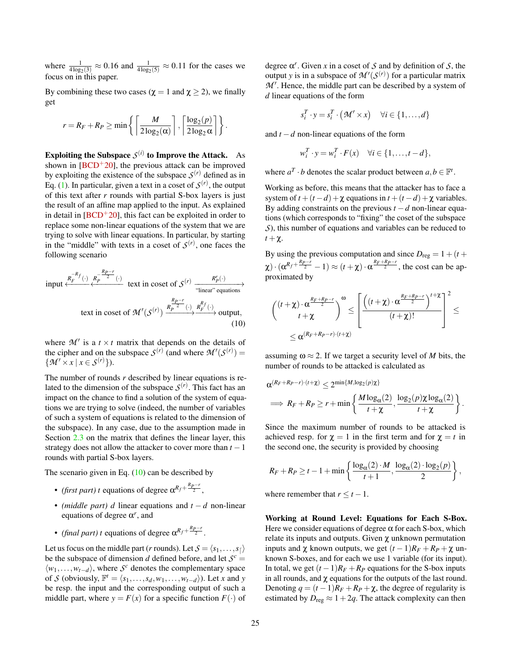where  $\frac{1}{4 \log_2(3)} \approx 0.16$  and  $\frac{1}{4 \log_2(5)} \approx 0.11$  for the cases we focus on in this paper.

By combining these two cases ( $\chi = 1$  and  $\chi \ge 2$ ), we finally get

$$
r = R_F + R_P \ge \min\left\{ \left\lceil \frac{M}{2\log_2(\alpha)} \right\rceil, \left\lceil \frac{\log_2(p)}{2\log_2 \alpha} \right\rceil \right\}.
$$

Exploiting the Subspace  $\mathcal{S}^{(i)}$  to Improve the Attack. As shown in  $[BCD<sup>+</sup>20]$  $[BCD<sup>+</sup>20]$ , the previous attack can be improved by exploiting the existence of the subspace  $S^{(r)}$  defined as in Eq. [\(1\)](#page-5-4). In particular, given a text in a coset of  $S<sup>(r)</sup>$ , the output of this text after *r* rounds with partial S-box layers is just the result of an affine map applied to the input. As explained in detail in  $[BCD<sup>+</sup>20]$  $[BCD<sup>+</sup>20]$ , this fact can be exploited in order to replace some non-linear equations of the system that we are trying to solve with linear equations. In particular, by starting in the "middle" with texts in a coset of  $S^{(r)}$ , one faces the following scenario

<span id="page-24-0"></span>input 
$$
\xleftarrow{R_F^{-R}f(\cdot)} \xleftarrow{R_P^{-R}p^{-r}(\cdot)}
$$
 text in coset of  $S^{(r)}$   $\xrightarrow{\cdot}$  "linear" equations  
\ntext in coset of  $\mathcal{M}'(S^{(r)}) \xrightarrow{R_P^{-r}(\cdot)} \xleftarrow{R_F^{R}f(\cdot)}$  output,  
\n(10)

where  $\mathcal{M}'$  is a  $t \times t$  matrix that depends on the details of the cipher and on the subspace  $S^{(r)}$  (and where  $\mathcal{M}'(S^{(r)}) =$  $\{\mathcal{M}' \times x \mid x \in \mathcal{S}^{(r)}\}\.$ 

The number of rounds *r* described by linear equations is related to the dimension of the subspace  $S<sup>(r)</sup>$ . This fact has an impact on the chance to find a solution of the system of equations we are trying to solve (indeed, the number of variables of such a system of equations is related to the dimension of the subspace). In any case, due to the assumption made in Section [2.3](#page-5-3) on the matrix that defines the linear layer, this strategy does not allow the attacker to cover more than  $t - 1$ rounds with partial S-box layers.

The scenario given in Eq.  $(10)$  can be described by

- *(first part) t* equations of degree  $\alpha^{R_f + \frac{R_p r}{2}}$ ,
- *(middle part) d* linear equations and *t* − *d* non-linear equations of degree  $\alpha^r$ , and
- *(final part) t* equations of degree  $\alpha^{R_f + \frac{R_p r}{2}}$ .

Let us focus on the middle part (*r* rounds). Let  $S = \langle s_1, \ldots, s_{\lceil} \rangle$ be the subspace of dimension *d* defined before, and let  $S^c$  =  $\langle w_1, \ldots, w_{t-d} \rangle$ , where *S<sup>c</sup>* denotes the complementary space of *S* (obviously,  $\mathbb{F}^t = \langle s_1, \ldots, s_d, w_1, \ldots, w_{t-d} \rangle$ ). Let *x* and *y* be resp. the input and the corresponding output of such a middle part, where  $y = F(x)$  for a specific function  $F(\cdot)$  of

degree  $\alpha^r$ . Given *x* in a coset of *S* and by definition of *S*, the output *y* is in a subspace of  $\mathcal{M}'(\mathcal{S}^{(r)})$  for a particular matrix  $M'$ . Hence, the middle part can be described by a system of *d* linear equations of the form

$$
s_i^T \cdot y = s_i^T \cdot (\mathcal{M}' \times x) \quad \forall i \in \{1, \dots, d\}
$$

and *t* −*d* non-linear equations of the form

$$
w_i^T \cdot y = w_i^T \cdot F(x) \quad \forall i \in \{1, \dots, t - d\},
$$

where  $a^T \cdot b$  denotes the scalar product between  $a, b \in \mathbb{F}^t$ .

Working as before, this means that the attacker has to face a system of  $t + (t - d) + \chi$  equations in  $t + (t - d) + \chi$  variables. By adding constraints on the previous  $t - d$  non-linear equations (which corresponds to "fixing" the coset of the subspace *S*), this number of equations and variables can be reduced to  $t + \chi$ .

By using the previous computation and since  $D_{reg} = 1 + (t +$  $\chi$ ) ·  $(\alpha^{R_f + \frac{R_{P}-r}{2}} - 1) \approx (t + \chi) \cdot \alpha^{\frac{R_F + R_{P}-r}{2}}$ , the cost can be approximated by

$$
\begin{aligned}\n\left(\n\frac{(t+\chi)\cdot\alpha^{\frac{R_F+R_P-r}{2}}}{t+\chi}\n\right)^{\omega} &\leq \left[\n\frac{\left((t+\chi)\cdot\alpha^{\frac{R_F+R_P-r}{2}}\right)^{t+\chi}}{(t+\chi)!}\n\right]^2 &\leq \n\alpha^{(R_F+R_P-r)\cdot (t+\chi)}\n\end{aligned}
$$

assuming  $\omega \approx 2$ . If we target a security level of *M* bits, the number of rounds to be attacked is calculated as

$$
\alpha^{(R_F+R_P-r)\cdot (t+\chi)} \leq 2^{\min\{M,\log_2(p)\chi\}} \n\implies R_F+R_P \geq r+\min\left\{\frac{M\log_{\alpha}(2)}{t+\chi}, \frac{\log_2(p)\chi\log_{\alpha}(2)}{t+\chi}\right\}.
$$

Since the maximum number of rounds to be attacked is achieved resp. for  $\chi = 1$  in the first term and for  $\chi = t$  in the second one, the security is provided by choosing

$$
R_F + R_P \geq t - 1 + \min\left\{\frac{\log_{\alpha}(2) \cdot M}{t+1}, \frac{\log_{\alpha}(2) \cdot \log_2(p)}{2}\right\},\,
$$

where remember that  $r \le t - 1$ .

Working at Round Level: Equations for Each S-Box. Here we consider equations of degree  $\alpha$  for each S-box, which relate its inputs and outputs. Given  $\chi$  unknown permutation inputs and  $\chi$  known outputs, we get  $(t-1)R_F + R_P + \chi$  unknown S-boxes, and for each we use 1 variable (for its input). In total, we get  $(t-1)R_F + R_P$  equations for the S-box inputs in all rounds, and  $\chi$  equations for the outputs of the last round. Denoting  $q = (t-1)R_F + R_P + \chi$ , the degree of regularity is estimated by  $D_{reg} \approx 1+2q$ . The attack complexity can then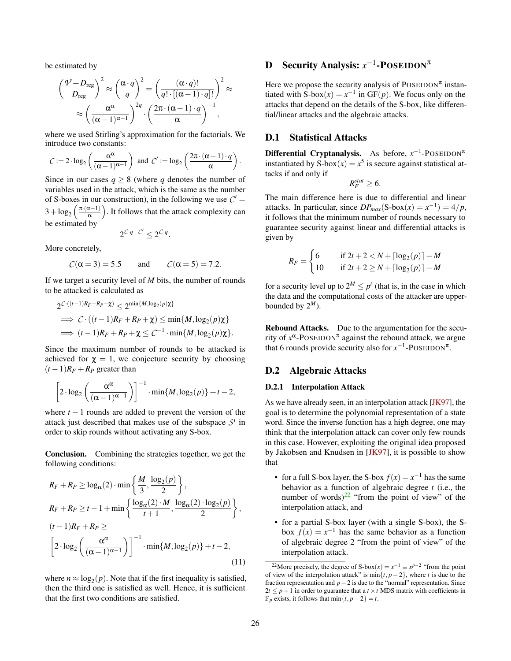be estimated by

$$
\begin{aligned}\n\left(\frac{\mathcal{V}+D_{\text{reg}}}{D_{\text{reg}}}\right)^2 &\approx \left(\frac{\alpha \cdot q}{q}\right)^2 = \left(\frac{(\alpha \cdot q)!}{q! \cdot [(\alpha-1) \cdot q]!}\right)^2 \approx \\
&\approx \left(\frac{\alpha^{\alpha}}{(\alpha-1)^{\alpha-1}}\right)^{2q} \cdot \left(\frac{2\pi \cdot (\alpha-1) \cdot q}{\alpha}\right)^{-1},\n\end{aligned}
$$

where we used Stirling's approximation for the factorials. We introduce two constants:

$$
C := 2 \cdot \log_2 \left( \frac{\alpha^{\alpha}}{(\alpha - 1)^{\alpha - 1}} \right) \text{ and } C' := \log_2 \left( \frac{2\pi \cdot (\alpha - 1) \cdot q}{\alpha} \right).
$$

Since in our cases  $q \geq 8$  (where *q* denotes the number of variables used in the attack, which is the same as the number of S-boxes in our construction), in the following we use  $C'$  $3 + \log_2\left(\frac{\pi \cdot (\alpha - 1)}{\alpha}\right)$  $\left(\frac{\alpha-1}{\alpha}\right)$ . It follows that the attack complexity can be estimated by

$$
2^{\mathcal{C} \cdot q - \mathcal{C}'} \leq 2^{\mathcal{C} \cdot q}.
$$

More concretely,

$$
C(\alpha = 3) = 5.5 \qquad \text{and} \qquad C(\alpha = 5) = 7.2.
$$

If we target a security level of *M* bits, the number of rounds to be attacked is calculated as

$$
2^{C\cdot((t-1)R_F + R_P + \chi)} \leq 2^{\min\{M, \log_2(p)\chi\}} \Rightarrow C\cdot ((t-1)R_F + R_P + \chi) \leq \min\{M, \log_2(p)\chi\} \Rightarrow (t-1)R_F + R_P + \chi \leq C^{-1} \cdot \min\{M, \log_2(p)\chi\}.
$$

Since the maximum number of rounds to be attacked is achieved for  $\chi = 1$ , we conjecture security by choosing  $(t-1)R_F + R_P$  greater than

$$
\[2 \cdot \log_2\left(\frac{\alpha^{\alpha}}{(\alpha-1)^{\alpha-1}}\right)\]^{-1} \cdot \min\{M, \log_2(p)\} + t - 2,
$$

where  $t - 1$  rounds are added to prevent the version of the attack just described that makes use of the subspace  $S^i$  in order to skip rounds without activating any S-box.

Conclusion. Combining the strategies together, we get the following conditions:

$$
R_F + R_P \ge \log_{\alpha}(2) \cdot \min\left\{\frac{M}{3}, \frac{\log_2(p)}{2}\right\},\
$$
  
\n
$$
R_F + R_P \ge t - 1 + \min\left\{\frac{\log_{\alpha}(2) \cdot M}{t + 1}, \frac{\log_{\alpha}(2) \cdot \log_2(p)}{2}\right\},\
$$
  
\n
$$
(t - 1)R_F + R_P \ge \left[2 \cdot \log_2\left(\frac{\alpha^{\alpha}}{(\alpha - 1)^{\alpha - 1}}\right)\right]^{-1} \cdot \min\{M, \log_2(p)\} + t - 2,
$$
  
\n(11)

where  $n \approx \log_2(p)$ . Note that if the first inequality is satisfied, then the third one is satisfied as well. Hence, it is sufficient that the first two conditions are satisfied.

# <span id="page-25-0"></span>**D** Security Analysis:  $x^{-1}$ -POSEIDON<sup>π</sup>

Here we propose the security analysis of POSEIDON<sup> $\pi$ </sup> instantiated with S-box $(x) = x^{-1}$  in GF(*p*). We focus only on the attacks that depend on the details of the S-box, like differential/linear attacks and the algebraic attacks.

# <span id="page-25-1"></span>D.1 Statistical Attacks

Differential Cryptanalysis. As before,  $x^{-1}$ -POSEIDON<sup>π</sup> instantiated by  $S-box(x) = x^5$  is secure against statistical attacks if and only if

$$
R_F^{stat} \geq 6.
$$

The main difference here is due to differential and linear attacks. In particular, since  $DP_{max}(S-box(x) = x^{-1}) = 4/p$ , it follows that the minimum number of rounds necessary to guarantee security against linear and differential attacks is given by

$$
R_F = \begin{cases} 6 & \text{if } 2t + 2 < N + \lceil \log_2(p) \rceil - M \\ 10 & \text{if } 2t + 2 \ge N + \lceil \log_2(p) \rceil - M \end{cases}
$$

for a security level up to  $2^M \leq p^t$  (that is, in the case in which the data and the computational costs of the attacker are upperbounded by  $2^M$ ).

Rebound Attacks. Due to the argumentation for the security of  $x^{\alpha}$ -POSEIDON<sup> $\pi$ </sup> against the rebound attack, we argue that 6 rounds provide security also for  $x^{-1}$ -POSEIDON<sup>π</sup>.

# <span id="page-25-2"></span>D.2 Algebraic Attacks

#### <span id="page-25-3"></span>D.2.1 Interpolation Attack

As we have already seen, in an interpolation attack [\[JK97\]](#page-17-10), the goal is to determine the polynomial representation of a state word. Since the inverse function has a high degree, one may think that the interpolation attack can cover only few rounds in this case. However, exploiting the original idea proposed by Jakobsen and Knudsen in [\[JK97\]](#page-17-10), it is possible to show that

- for a full S-box layer, the S-box  $f(x) = x^{-1}$  has the same behavior as a function of algebraic degree *t* (i.e., the number of words) $^{22}$  $^{22}$  $^{22}$  "from the point of view" of the interpolation attack, and
- for a partial S-box layer (with a single S-box), the Sbox  $f(x) = x^{-1}$  has the same behavior as a function of algebraic degree 2 "from the point of view" of the interpolation attack.

<span id="page-25-4"></span><sup>&</sup>lt;sup>22</sup>More precisely, the degree of S-box $(x) = x^{-1} \equiv x^{p-2}$  "from the point of view of the interpolation attack" is  $\min\{t, p-2\}$ , where *t* is due to the fraction representation and  $p-2$  is due to the "normal" representation. Since  $2t \leq p+1$  in order to guarantee that a  $t \times t$  MDS matrix with coefficients in F*<sup>p</sup>* exists, it follows that min{*t*, *p*−2} = *t*.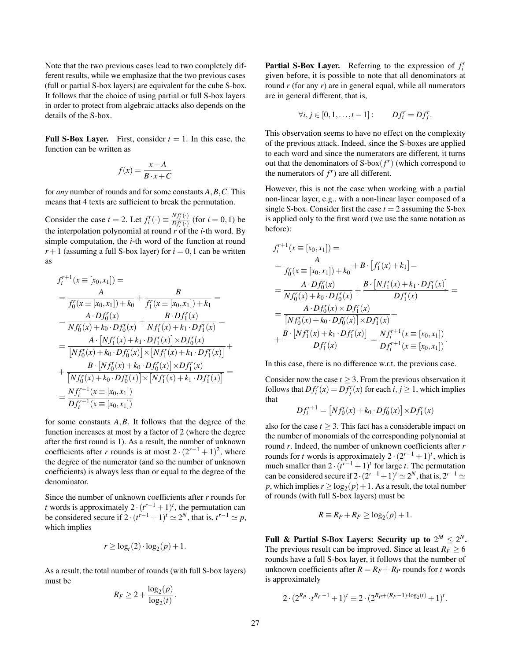Note that the two previous cases lead to two completely different results, while we emphasize that the two previous cases (full or partial S-box layers) are equivalent for the cube S-box. It follows that the choice of using partial or full S-box layers in order to protect from algebraic attacks also depends on the details of the S-box.

**Full S-Box Layer.** First, consider  $t = 1$ . In this case, the function can be written as

$$
f(x) = \frac{x+A}{B \cdot x + C}
$$

for *any* number of rounds and for some constants *A*,*B*,*C*. This means that 4 texts are sufficient to break the permutation.

Consider the case  $t = 2$ . Let  $f_i^r(\cdot) \equiv \frac{Nf_i^r(\cdot)}{Df_i^r(\cdot)}$  (for  $i = 0, 1$ ) be the interpolation polynomial at round *r* of the *i*-th word. By simple computation, the *i*-th word of the function at round  $r+1$  (assuming a full S-box layer) for  $i = 0, 1$  can be written as

$$
f_i^{r+1}(x = [x_0, x_1]) =
$$
  
= 
$$
\frac{A}{f'_0(x = [x_0, x_1]) + k_0} + \frac{B}{f'_1(x = [x_0, x_1]) + k_1} =
$$
  
= 
$$
\frac{A \cdot Df'_0(x)}{Nf'_0(x) + k_0 \cdot Df'_0(x)} + \frac{B \cdot Df'_1(x)}{Nf'_1(x) + k_1 \cdot Df'_1(x)} =
$$
  
= 
$$
\frac{A \cdot [Nf'_1(x) + k_1 \cdot Df'_1(x)] \times Df'_0(x)}{[Nf'_0(x) + k_0 \cdot Df'_0(x)] \times [Nf'_1(x) + k_1 \cdot Df'_1(x)]} +
$$
  
+ 
$$
\frac{B \cdot [Nf'_0(x) + k_0 \cdot Df'_0(x)] \times [Nf'_1(x) + k_1 \cdot Df'_1(x)]}{[Nf'_0(x) + k_0 \cdot Df'_0(x)] \times [Nf'_1(x) + k_1 \cdot Df'_1(x)]} =
$$
  
= 
$$
\frac{Nf_i^{r+1}(x = [x_0, x_1])}{Df_i^{r+1}(x = [x_0, x_1])}
$$

for some constants *A*,*B*. It follows that the degree of the function increases at most by a factor of 2 (where the degree after the first round is 1). As a result, the number of unknown coefficients after *r* rounds is at most  $2 \cdot (2^{r-1} + 1)^2$ , where the degree of the numerator (and so the number of unknown coefficients) is always less than or equal to the degree of the denominator.

Since the number of unknown coefficients after *r* rounds for *t* words is approximately  $2 \cdot (t^{r-1} + 1)^t$ , the permutation can be considered secure if  $2 \cdot (t^{r-1} + 1)^t \approx 2^N$ , that is,  $t^{r-1} \approx p$ , which implies

$$
r \geq \log_t(2) \cdot \log_2(p) + 1.
$$

As a result, the total number of rounds (with full S-box layers) must be

$$
R_F \geq 2 + \frac{\log_2(p)}{\log_2(t)}.
$$

Partial S-Box Layer. Referring to the expression of  $f_i^r$ given before, it is possible to note that all denominators at round *r* (for any *r*) are in general equal, while all numerators are in general different, that is,

$$
\forall i, j \in [0, 1, \ldots, t-1]: \qquad Df_i^r = Df_j^r.
$$

This observation seems to have no effect on the complexity of the previous attack. Indeed, since the S-boxes are applied to each word and since the numerators are different, it turns out that the denominators of  $S-box(f^r)$  (which correspond to the numerators of  $f^r$ ) are all different.

However, this is not the case when working with a partial non-linear layer, e.g., with a non-linear layer composed of a single S-box. Consider first the case  $t = 2$  assuming the S-box is applied only to the first word (we use the same notation as before):

$$
f_i^{r+1}(x \equiv [x_0, x_1]) =
$$
  
= 
$$
\frac{A}{f_0^r(x \equiv [x_0, x_1]) + k_0} + B \cdot [f_1^r(x) + k_1] =
$$
  
= 
$$
\frac{A \cdot Df_0^r(x)}{Nf_0^r(x) + k_0 \cdot Df_0^r(x)} + \frac{B \cdot [Nf_1^r(x) + k_1 \cdot Df_1^r(x)]}{Df_1^r(x)}
$$
  
= 
$$
\frac{A \cdot Df_0^r(x) \times Df_1^r(x)}{[Nf_0^r(x) + k_0 \cdot Df_0^r(x)] \times Df_1^r(x)} +
$$
  
+ 
$$
\frac{B \cdot [Nf_1^r(x) + k_1 \cdot Df_1^r(x)]}{Df_1^r(x)} = \frac{Nf_i^{r+1}(x \equiv [x_0, x_1])}{Df_i^{r+1}(x \equiv [x_0, x_1])}.
$$

In this case, there is no difference w.r.t. the previous case.

Consider now the case  $t \geq 3$ . From the previous observation it follows that  $Df_i^r(x) = Df_j^r(x)$  for each  $i, j \ge 1$ , which implies that

$$
Df_i^{r+1} = [Nf_0^r(x) + k_0 \cdot Df_0^r(x)] \times Df_1^r(x)
$$

also for the case  $t \geq 3$ . This fact has a considerable impact on the number of monomials of the corresponding polynomial at round *r*. Indeed, the number of unknown coefficients after *r* rounds for *t* words is approximately  $2 \cdot (2^{r-1} + 1)^t$ , which is much smaller than  $2 \cdot (t^{r-1} + 1)^t$  for large *t*. The permutation can be considered secure if  $2 \cdot (2^{r-1}+1)^t \simeq 2^N$ , that is,  $2^{r-1} \simeq$  $p$ , which implies  $r \geq \log_2(p) + 1$ . As a result, the total number of rounds (with full S-box layers) must be

$$
R \equiv R_P + R_F \ge \log_2(p) + 1.
$$

Full & Partial S-Box Layers: Security up to  $2^M \leq 2^N$ . The previous result can be improved. Since at least  $R_F \geq 6$ rounds have a full S-box layer, it follows that the number of unknown coefficients after  $R = R_F + R_P$  rounds for *t* words is approximately

$$
2 \cdot (2^{R_P} \cdot t^{R_F - 1} + 1)^t \equiv 2 \cdot (2^{R_P + (R_F - 1) \cdot \log_2(t)} + 1)^t.
$$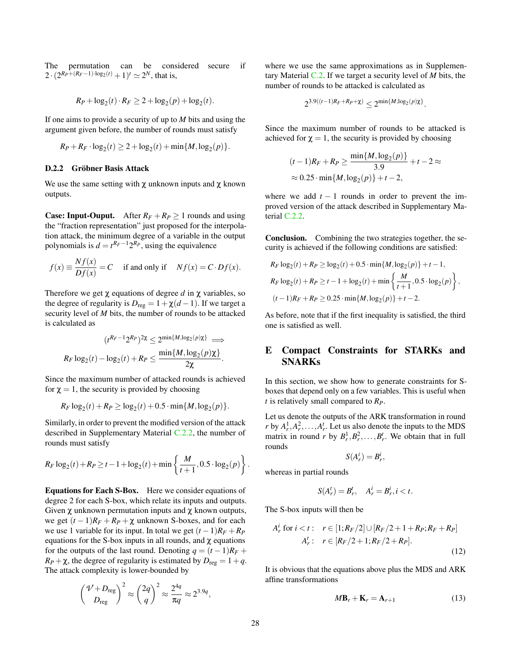The permutation can be considered secure if 2 ·  $(2^{R_P + (R_F - 1) \cdot \log_2(t)} + 1)^t \simeq 2^N$ , that is,

$$
R_P + \log_2(t) \cdot R_F \ge 2 + \log_2(p) + \log_2(t).
$$

If one aims to provide a security of up to *M* bits and using the argument given before, the number of rounds must satisfy

$$
R_P + R_F \cdot \log_2(t) \ge 2 + \log_2(t) + \min\{M, \log_2(p)\}.
$$

#### <span id="page-27-0"></span>D.2.2 Gröbner Basis Attack

We use the same setting with  $\chi$  unknown inputs and  $\chi$  known outputs.

**Case: Input-Ouput.** After  $R_F + R_P \ge 1$  rounds and using the "fraction representation" just proposed for the interpolation attack, the minimum degree of a variable in the output polynomials is  $d = t^{R_F-1}2^{R_P}$ , using the equivalence

$$
f(x) \equiv \frac{Nf(x)}{Df(x)} = C
$$
 if and only if  $Nf(x) = C \cdot Df(x)$ .

Therefore we get  $\chi$  equations of degree  $d$  in  $\chi$  variables, so the degree of regularity is  $D_{reg} = 1 + \chi(d-1)$ . If we target a security level of *M* bits, the number of rounds to be attacked is calculated as

$$
(t^{R_F-1}2^{R_P})^{2\chi} \leq 2^{\min\{M,\log_2(p)\chi\}} \implies
$$

$$
R_F \log_2(t) - \log_2(t) + R_P \leq \frac{\min\{M,\log_2(p)\chi\}}{2\chi}.
$$

Since the maximum number of attacked rounds is achieved for  $\chi = 1$ , the security is provided by choosing

$$
R_F \log_2(t) + R_P \ge \log_2(t) + 0.5 \cdot \min\{M, \log_2(p)\}.
$$

Similarly, in order to prevent the modified version of the attack described in Supplementary Material [C.2.2,](#page-23-0) the number of rounds must satisfy

$$
R_F \log_2(t) + R_P \ge t - 1 + \log_2(t) + \min\left\{\frac{M}{t+1}, 0.5 \cdot \log_2(p)\right\}.
$$

Equations for Each S-Box. Here we consider equations of degree 2 for each S-box, which relate its inputs and outputs. Given  $\chi$  unknown permutation inputs and  $\chi$  known outputs, we get  $(t-1)R_F + R_P + \chi$  unknown S-boxes, and for each we use 1 variable for its input. In total we get  $(t-1)R_F + R_P$ equations for the S-box inputs in all rounds, and  $\chi$  equations for the outputs of the last round. Denoting  $q = (t-1)R_F +$  $R_P + \chi$ , the degree of regularity is estimated by  $D_{\text{reg}} = 1 + q$ . The attack complexity is lower-bounded by

$$
\binom{\mathcal{V}+D_{\mathrm{reg}}}{D_{\mathrm{reg}}}\simeq \binom{2q}{q}^2\approx \frac{2^{4q}}{\pi q}\approx 2^{3.9q},
$$

where we use the same approximations as in Supplementary Material [C.2.](#page-22-1) If we target a security level of *M* bits, the number of rounds to be attacked is calculated as

$$
2^{3.9((t-1)R_F + R_P + \chi)} \leq 2^{\min\{M, \log_2(p)\chi\}}.
$$

Since the maximum number of rounds to be attacked is achieved for  $\chi = 1$ , the security is provided by choosing

$$
(t-1)R_F + R_P \ge \frac{\min\{M, \log_2(p)\}}{3.9} + t - 2 \approx
$$
  
 
$$
\approx 0.25 \cdot \min\{M, \log_2(p)\} + t - 2,
$$

where we add  $t - 1$  rounds in order to prevent the improved version of the attack described in Supplementary Material [C.2.2.](#page-23-0)

Conclusion. Combining the two strategies together, the security is achieved if the following conditions are satisfied:

$$
R_F \log_2(t) + R_P \ge \log_2(t) + 0.5 \cdot \min\{M, \log_2(p)\} + t - 1,
$$
  
\n
$$
R_F \log_2(t) + R_P \ge t - 1 + \log_2(t) + \min\left\{\frac{M}{t+1}, 0.5 \cdot \log_2(p)\right\},
$$
  
\n
$$
(t-1)R_F + R_P \ge 0.25 \cdot \min\{M, \log_2(p)\} + t - 2.
$$

As before, note that if the first inequality is satisfied, the third one is satisfied as well.

# <span id="page-27-1"></span>E Compact Constraints for STARKs and SNARKs

In this section, we show how to generate constraints for Sboxes that depend only on a few variables. This is useful when *t* is relatively small compared to *RP*.

Let us denote the outputs of the ARK transformation in round *r* by  $A_r^1, A_r^2, \ldots, A_r^t$ . Let us also denote the inputs to the MDS matrix in round *r* by  $B_r^1, B_r^2, \ldots, B_r^t$ . We obtain that in full rounds

$$
S(A_r^i) = B_r^i,
$$

whereas in partial rounds

$$
S(A_r^t) = B_r^t, \quad A_r^i = B_r^i, i < t.
$$

The S-box inputs will then be

$$
A_r^i \text{ for } i < t: \quad r \in [1; R_F/2] \cup [R_F/2 + 1 + R_P; R_F + R_P] \\
 A_r^i: \quad r \in [R_F/2 + 1; R_F/2 + R_P].\n \tag{12}
$$

It is obvious that the equations above plus the MDS and ARK affine transformations

<span id="page-27-2"></span>
$$
M\mathbf{B}_r + \mathbf{K}_r = \mathbf{A}_{r+1} \tag{13}
$$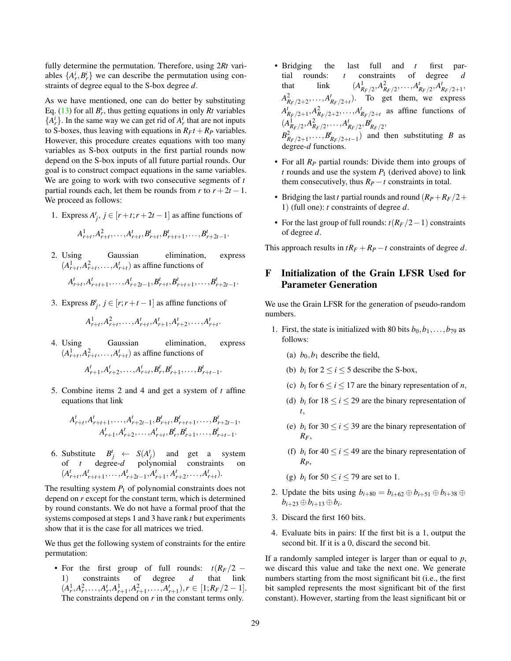fully determine the permutation. Therefore, using 2*Rt* variables  $\{A_r^i, B_r^i\}$  we can describe the permutation using constraints of degree equal to the S-box degree *d*.

As we have mentioned, one can do better by substituting Eq. [\(13\)](#page-27-2) for all  $B_r^i$ , thus getting equations in only  $Rt$  variables  ${A_r^i}$ . In the same way we can get rid of  $A_r^i$  that are not inputs to S-boxes, thus leaving with equations in  $R_F t + R_P$  variables. However, this procedure creates equations with too many variables as S-box outputs in the first partial rounds now depend on the S-box inputs of all future partial rounds. Our goal is to construct compact equations in the same variables. We are going to work with two consecutive segments of *t* partial rounds each, let them be rounds from *r* to  $r + 2t - 1$ . We proceed as follows:

1. Express  $A_j^t$ ,  $j \in [r + t; r + 2t - 1]$  as affine functions of

$$
A_{r+t}^1, A_{r+t}^2, \ldots, A_{r+t}^t, B_{r+t}^t, B_{r+t+1}^t, \ldots, B_{r+2t-1}^t.
$$

2. Using Gaussian elimination, express  $(A_{r+t}^1, A_{r+t}^2, \ldots, A_{r+t}^t)$  as affine functions of

 $A_{r+t}^t, A_{r+t+1}^t, \ldots, A_{r+2t-1}^t, B_{r+t}^t, B_{r+t+1}^t, \ldots, B_{r+2t-1}^t.$ 

3. Express  $B_j^t$ ,  $j \in [r; r+t-1]$  as affine functions of

$$
A_{r+t}^1, A_{r+t}^2, \ldots, A_{r+t}^t, A_{r+1}^t, A_{r+2}^t, \ldots, A_{r+t}^t
$$
.

4. Using Gaussian elimination, express  $(A_{r+t}^1, A_{r+t}^2, \ldots, A_{r+t}^t)$  as affine functions of

$$
A_{r+1}^t, A_{r+2}^t, \ldots, A_{r+t}^t, B_r^t, B_{r+1}^t, \ldots, B_{r+t-1}^t.
$$

5. Combine items 2 and 4 and get a system of *t* affine equations that link

$$
A'_{r+t}, A'_{r+t+1}, \ldots, A'_{r+2t-1}, B'_{r+t}, B'_{r+t+1}, \ldots, B'_{r+2t-1},
$$
  

$$
A'_{r+1}, A'_{r+2}, \ldots, A'_{r+t}, B'_{r}, B'_{r+1}, \ldots, B'_{r+t-1}.
$$

6. Substitute  $B^t_j \leftarrow S(A^t_j)$  and get a system of *t* degree-*d* polynomial constraints on  $(A_{r+t}^t, A_{r+t+1}^t, \ldots, A_{r+2t-1}^t, A_{r+1}^t, A_{r+2}^t, \ldots, A_{r+t}^t).$ 

The resulting system  $P_1$  of polynomial constraints does not depend on *r* except for the constant term, which is determined by round constants. We do not have a formal proof that the systems composed at steps 1 and 3 have rank *t* but experiments show that it is the case for all matrices we tried.

We thus get the following system of constraints for the entire permutation:

• For the first group of full rounds: *t*(*RF*/2 − 1) constraints of degree *d*  $(A_r^1, A_r^2, \ldots, A_r^t, A_{r+1}^1, A_{r+1}^2, \ldots, A_{r+1}^t), r \in [1; R_F/2 - 1].$ The constraints depend on *r* in the constant terms only.

- Bridging the last full and *t* first partial rounds: *t* constraints of degree *d* that  $(A_{R_F/2}^1, A_{R_F/2}^2, \ldots, A_{R_F/2}^t, A_{R_F/2+1}^t,$  $A_{R_F/2+2}^2, \ldots, A_{R_F/2+t}^t$ . To get them, we express  $A_{R_F/2+1}^t$ ,  $A_{R_F/2+2}^2$ , ...,  $A_{R_F/2+t}^t$  as affine functions of  $(A_{R_F/2}^1, A_{R_F/2}^2, \ldots, A_{R_F/2}^t, B_{R_F/2}^t,$  $B_{R_F/2+1}^2, \ldots, B_{R_F/2+t-1}^t$  and then substituting *B* as degree-*d* functions.
- For all  $R_P$  partial rounds: Divide them into groups of *t* rounds and use the system  $P_1$  (derived above) to link them consecutively, thus  $R_P - t$  constraints in total.
- Bridging the last *t* partial rounds and round  $(R_P + R_F/2 +$ 1) (full one): *t* constraints of degree *d*.
- For the last group of full rounds:  $t(R_F/2-1)$  constraints of degree *d*.

This approach results in  $tR_F + R_P - t$  constraints of degree *d*.

# <span id="page-28-0"></span>F Initialization of the Grain LFSR Used for Parameter Generation

We use the Grain LFSR for the generation of pseudo-random numbers.

- 1. First, the state is initialized with 80 bits  $b_0, b_1, \ldots, b_{79}$  as follows:
	- (a)  $b_0$ ,  $b_1$  describe the field,
	- (b)  $b_i$  for  $2 \le i \le 5$  describe the S-box,
	- (c)  $b_i$  for  $6 \le i \le 17$  are the binary representation of *n*,
	- (d)  $b_i$  for  $18 \le i \le 29$  are the binary representation of *t*,
	- (e)  $b_i$  for 30  $\le i \le 39$  are the binary representation of *RF*,
	- (f)  $b_i$  for  $40 \le i \le 49$  are the binary representation of *RP*,
	- (g)  $b_i$  for  $50 \le i \le 79$  are set to 1.
- 2. Update the bits using  $b_{i+80} = b_{i+62} \oplus b_{i+51} \oplus b_{i+38} \oplus$  $b_{i+23} \oplus b_{i+13} \oplus b_i.$
- 3. Discard the first 160 bits.
- 4. Evaluate bits in pairs: If the first bit is a 1, output the second bit. If it is a 0, discard the second bit.

If a randomly sampled integer is larger than or equal to *p*, we discard this value and take the next one. We generate numbers starting from the most significant bit (i.e., the first bit sampled represents the most significant bit of the first constant). However, starting from the least significant bit or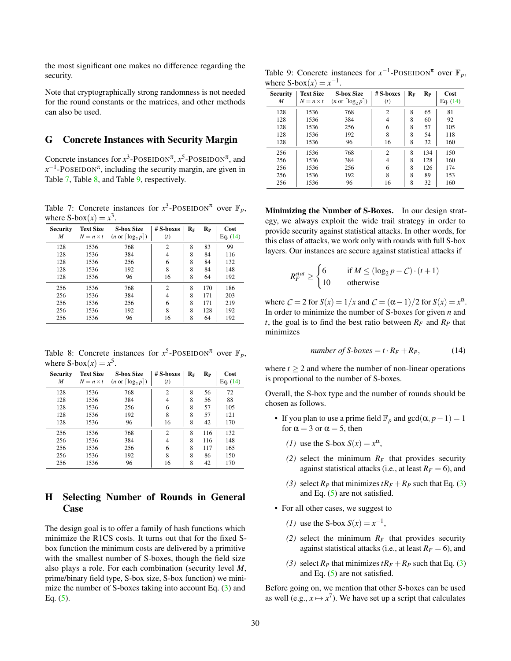the most significant one makes no difference regarding the security.

Note that cryptographically strong randomness is not needed for the round constants or the matrices, and other methods can also be used.

### <span id="page-29-0"></span>G Concrete Instances with Security Margin

Concrete instances for  $x^3$ -POSEIDON<sup> $\pi$ </sup>,  $x^5$ -POSEIDON<sup> $\pi$ </sup>, and  $x^{-1}$ -POSEIDON<sup> $\pi$ </sup>, including the security margin, are given in Table [7,](#page-29-2) Table [8,](#page-29-3) and Table [9,](#page-29-4) respectively.

<span id="page-29-2"></span>Table 7: Concrete instances for  $x^3$ -POSEIDON<sup> $\pi$ </sup> over  $\mathbb{F}_p$ , where  $S-box(x) = x^3$ .

| <b>Security</b><br>M | <b>Text Size</b><br>$N = n \times t$ | <b>S-box Size</b><br>$(n \text{ or } \lceil \log_2 p \rceil)$ | $#$ S-boxes<br>(t) | $\mathbf{R}_{\text{F}}$ | $R_{P}$ | Cost<br>Eq. $(14)$ |
|----------------------|--------------------------------------|---------------------------------------------------------------|--------------------|-------------------------|---------|--------------------|
| 128                  | 1536                                 | 768                                                           | $\overline{2}$     | 8                       | 83      | 99                 |
| 128                  | 1536                                 | 384                                                           | 4                  | 8                       | 84      | 116                |
| 128                  | 1536                                 | 256                                                           | 6                  | 8                       | 84      | 132                |
| 128                  | 1536                                 | 192                                                           | 8                  | 8                       | 84      | 148                |
| 128                  | 1536                                 | 96                                                            | 16                 | 8                       | 64      | 192                |
| 256                  | 1536                                 | 768                                                           | $\overline{c}$     | 8                       | 170     | 186                |
| 256                  | 1536                                 | 384                                                           | 4                  | 8                       | 171     | 203                |
| 256                  | 1536                                 | 256                                                           | 6                  | 8                       | 171     | 219                |
| 256                  | 1536                                 | 192                                                           | 8                  | 8                       | 128     | 192                |
| 256                  | 1536                                 | 96                                                            | 16                 | 8                       | 64      | 192                |

<span id="page-29-3"></span>Table 8: Concrete instances for  $x^5$ -POSEIDON<sup> $\pi$ </sup> over  $\mathbb{F}_p$ , where  $S-box(x) = x^5$ .

| Security<br>M | <b>Text Size</b><br>$N = n \times t$ | <b>S-box Size</b><br>$(n \text{ or } \lceil \log_2 p \rceil)$ | # S-boxes<br>(t) | $R_F$ | $R_{P}$ | Cost<br>Eq. $(14)$ |
|---------------|--------------------------------------|---------------------------------------------------------------|------------------|-------|---------|--------------------|
| 128           | 1536                                 | 768                                                           | $\overline{c}$   | 8     | 56      | 72                 |
| 128           | 1536                                 | 384                                                           | 4                | 8     | 56      | 88                 |
| 128           | 1536                                 | 256                                                           | 6                | 8     | 57      | 105                |
| 128           | 1536                                 | 192                                                           | 8                | 8     | 57      | 121                |
| 128           | 1536                                 | 96                                                            | 16               | 8     | 42      | 170                |
| 256           | 1536                                 | 768                                                           | $\overline{2}$   | 8     | 116     | 132                |
| 256           | 1536                                 | 384                                                           | 4                | 8     | 116     | 148                |
| 256           | 1536                                 | 256                                                           | 6                | 8     | 117     | 165                |
| 256           | 1536                                 | 192                                                           | 8                | 8     | 86      | 150                |
| 256           | 1536                                 | 96                                                            | 16               | 8     | 42      | 170                |

# <span id="page-29-1"></span>H Selecting Number of Rounds in General Case

The design goal is to offer a family of hash functions which minimize the R1CS costs. It turns out that for the fixed Sbox function the minimum costs are delivered by a primitive with the smallest number of S-boxes, though the field size also plays a role. For each combination (security level *M*, prime/binary field type, S-box size, S-box function) we minimize the number of S-boxes taking into account Eq. [\(3\)](#page-9-3) and Eq.  $(5)$ .

<span id="page-29-4"></span>Table 9: Concrete instances for  $x^{-1}$ -POSEIDON<sup> $\pi$ </sup> over  $\mathbb{F}_p$ , where  $S-box(x) = x^{-1}$ .

| <b>Security</b><br>M | <b>Text Size</b><br>$N = n \times t$ | <b>S-box Size</b><br>$(n \text{ or } \lceil \log_2 p \rceil)$ | # S-boxes<br>(t) | $R_F$ | $R_{P}$ | Cost<br>Eq. $(14)$ |
|----------------------|--------------------------------------|---------------------------------------------------------------|------------------|-------|---------|--------------------|
| 128                  | 1536                                 | 768                                                           | $\overline{c}$   | 8     | 65      | 81                 |
| 128                  | 1536                                 | 384                                                           | 4                | 8     | 60      | 92                 |
| 128                  | 1536                                 | 256                                                           | 6                | 8     | 57      | 105                |
| 128                  | 1536                                 | 192                                                           | 8                | 8     | 54      | 118                |
| 128                  | 1536                                 | 96                                                            | 16               | 8     | 32      | 160                |
| 256                  | 1536                                 | 768                                                           | $\overline{c}$   | 8     | 134     | 150                |
| 256                  | 1536                                 | 384                                                           | 4                | 8     | 128     | 160                |
| 256                  | 1536                                 | 256                                                           | 6                | 8     | 126     | 174                |
| 256                  | 1536                                 | 192                                                           | 8                | 8     | 89      | 153                |
| 256                  | 1536                                 | 96                                                            | 16               | 8     | 32      | 160                |

Minimizing the Number of S-Boxes. In our design strategy, we always exploit the wide trail strategy in order to provide security against statistical attacks. In other words, for this class of attacks, we work only with rounds with full S-box layers. Our instances are secure against statistical attacks if

$$
R_F^{stat} \ge \begin{cases} 6 & \text{if } M \le (\log_2 p - C) \cdot (t+1) \\ 10 & \text{otherwise} \end{cases}
$$

where  $C = 2$  for  $S(x) = 1/x$  and  $C = (\alpha - 1)/2$  for  $S(x) = x^{\alpha}$ . In order to minimize the number of S-boxes for given *n* and *t*, the goal is to find the best ratio between  $R_F$  and  $R_P$  that minimizes

<span id="page-29-5"></span>number of S-boxes = 
$$
t \cdot R_F + R_P
$$
, (14)

where  $t > 2$  and where the number of non-linear operations is proportional to the number of S-boxes.

Overall, the S-box type and the number of rounds should be chosen as follows.

- If you plan to use a prime field  $\mathbb{F}_p$  and  $gcd(\alpha, p-1) = 1$ for  $\alpha = 3$  or  $\alpha = 5$ , then
	- *(1)* use the S-box  $S(x) = x^{\alpha}$ ,
	- *(2)* select the minimum  $R_F$  that provides security against statistical attacks (i.e., at least  $R_F = 6$ ), and
	- *[\(3\)](#page-9-3)* select  $R_P$  that minimizes  $tR_F + R_P$  such that Eq. (3) and Eq.  $(5)$  are not satisfied.
- For all other cases, we suggest to
	- *(1)* use the S-box  $S(x) = x^{-1}$ ,
	- (2) select the minimum  $R_F$  that provides security against statistical attacks (i.e., at least  $R_F = 6$ ), and
	- *[\(3\)](#page-9-3)* select  $R_P$  that minimizes  $tR_F + R_P$  such that Eq. (3) and Eq. [\(5\)](#page-10-2) are not satisfied.

Before going on, we mention that other S-boxes can be used as well (e.g.,  $x \mapsto x^7$ ). We have set up a script that calculates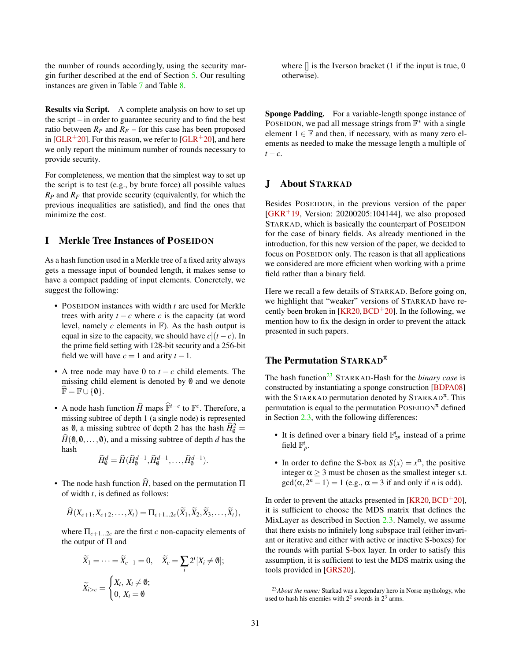the number of rounds accordingly, using the security margin further described at the end of Section [5.](#page-7-2) Our resulting instances are given in Table [7](#page-29-2) and Table [8.](#page-29-3)

Results via Script. A complete analysis on how to set up the script – in order to guarantee security and to find the best ratio between  $R_p$  and  $R_f$  – for this case has been proposed in [\[GLR](#page-16-5)<sup>+</sup>20]. For this reason, we refer to [GLR<sup>+</sup>20], and here we only report the minimum number of rounds necessary to provide security.

For completeness, we mention that the simplest way to set up the script is to test (e.g., by brute force) all possible values  $R_P$  and  $R_F$  that provide security (equivalently, for which the previous inequalities are satisfied), and find the ones that minimize the cost.

# <span id="page-30-0"></span>I Merkle Tree Instances of POSEIDON

As a hash function used in a Merkle tree of a fixed arity always gets a message input of bounded length, it makes sense to have a compact padding of input elements. Concretely, we suggest the following:

- POSEIDON instances with width *t* are used for Merkle trees with arity  $t - c$  where *c* is the capacity (at word level, namely  $c$  elements in  $\mathbb{F}$ ). As the hash output is equal in size to the capacity, we should have  $c|(t - c)$ . In the prime field setting with 128-bit security and a 256-bit field we will have  $c = 1$  and arity  $t - 1$ .
- A tree node may have 0 to *t* − *c* child elements. The missing child element is denoted by  $\emptyset$  and we denote  $\mathbb{F} = \mathbb{F} \cup \{0\}.$
- A node hash function  $\widehat{H}$  maps  $\widehat{\mathbb{F}}^{t-c}$  to  $\mathbb{F}^c$ . Therefore, a missing subtree of depth 1 (a single node) is represented as  $\theta$ , a missing subtree of depth 2 has the hash  $\hat{H}_{\theta}^2 = \hat{Q}$  $\hat{H}(\emptyset,0,\ldots,0)$ , and a missing subtree of depth *d* has the hash

$$
\widehat{H}_{\mathbf{0}}^d = \widehat{H}(\widehat{H}_{\mathbf{0}}^{d-1}, \widehat{H}_{\mathbf{0}}^{d-1}, \dots, \widehat{H}_{\mathbf{0}}^{d-1}).
$$

• The node hash function  $\hat{H}$ , based on the permutation  $\Pi$ of width *t*, is defined as follows:

$$
\widehat{H}(X_{c+1},X_{c+2},\ldots,X_t)=\Pi_{c+1\ldots 2c}(\widetilde{X}_1,\widetilde{X}_2,\widetilde{X}_3,\ldots,\widetilde{X}_t),
$$

where  $\Pi_{c+1...2c}$  are the first *c* non-capacity elements of the output of  $\Pi$  and

$$
\widetilde{X}_1 = \dots = \widetilde{X}_{c-1} = 0, \quad \widetilde{X}_c = \sum_i 2^i [X_i \neq \emptyset];
$$

$$
\widetilde{X}_{i>c} = \begin{cases} X_i, X_i \neq \emptyset; \\ 0, X_i = \emptyset \end{cases}
$$

where  $\parallel$  is the Iverson bracket (1 if the input is true, 0 otherwise).

Sponge Padding. For a variable-length sponge instance of POSEIDON, we pad all message strings from  $\mathbb{F}^*$  with a single element  $1 \in \mathbb{F}$  and then, if necessary, with as many zero elements as needed to make the message length a multiple of  $t - c$ .

# <span id="page-30-1"></span>J About STARKAD

Besides POSEIDON, in the previous version of the paper  $[GKR+19, Version: 20200205:104144]$  $[GKR+19, Version: 20200205:104144]$ , we also proposed STARKAD, which is basically the counterpart of POSEIDON for the case of binary fields. As already mentioned in the introduction, for this new version of the paper, we decided to focus on POSEIDON only. The reason is that all applications we considered are more efficient when working with a prime field rather than a binary field.

Here we recall a few details of STARKAD. Before going on, we highlight that "weaker" versions of STARKAD have recently been broken in  $[KR20, BCD+20]$  $[KR20, BCD+20]$  $[KR20, BCD+20]$  $[KR20, BCD+20]$ . In the following, we mention how to fix the design in order to prevent the attack presented in such papers.

# The Permutation  $STARKAD^{\pi}$

The hash function<sup>[23](#page-30-2)</sup> STARKAD-Hash for the *binary case* is constructed by instantiating a sponge construction [\[BDPA08\]](#page-15-6) with the STARKAD permutation denoted by STARKAD<sup> $\pi$ </sup>. This permutation is equal to the permutation  $\text{Poss}$  defined in Section [2.3,](#page-5-0) with the following differences:

- It is defined over a binary field  $\mathbb{F}_{2^n}^t$  instead of a prime field  $\mathbb{F}_p^t$ .
- In order to define the S-box as  $S(x) = x^{\alpha}$ , the positive integer  $\alpha \geq 3$  must be chosen as the smallest integer s.t.  $gcd(\alpha, 2^n - 1) = 1$  (e.g.,  $\alpha = 3$  if and only if *n* is odd).

In order to prevent the attacks presented in [\[KR20,](#page-17-0)  $BCD<sup>+</sup>20$  $BCD<sup>+</sup>20$ ], it is sufficient to choose the MDS matrix that defines the MixLayer as described in Section [2.3.](#page-5-3) Namely, we assume that there exists no infinitely long subspace trail (either invariant or iterative and either with active or inactive S-boxes) for the rounds with partial S-box layer. In order to satisfy this assumption, it is sufficient to test the MDS matrix using the tools provided in [\[GRS20\]](#page-16-10).

<span id="page-30-2"></span><sup>23</sup>*About the name:* Starkad was a legendary hero in Norse mythology, who used to hash his enemies with  $2^2$  swords in  $2^3$  arms.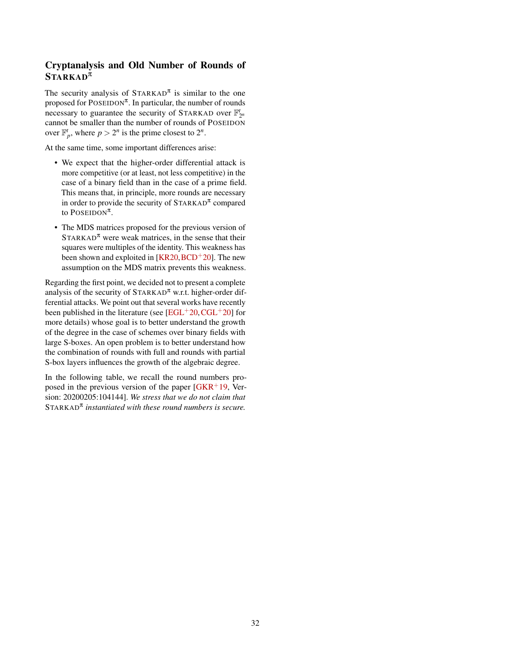# Cryptanalysis and Old Number of Rounds of  $STARKAD^{\pi}$

The security analysis of  $S\text{TARKAD}^{\pi}$  is similar to the one proposed for  $\text{POSEIDON}^{\pi}$ . In particular, the number of rounds necessary to guarantee the security of STARKAD over  $\mathbb{F}_{2^n}^t$ cannot be smaller than the number of rounds of POSEIDON over  $\mathbb{F}_p^t$ , where  $p > 2^n$  is the prime closest to  $2^n$ .

At the same time, some important differences arise:

- We expect that the higher-order differential attack is more competitive (or at least, not less competitive) in the case of a binary field than in the case of a prime field. This means that, in principle, more rounds are necessary in order to provide the security of  $S\text{TARKAD}^{\pi}$  compared to  $\text{PosEIDON}^{\pi}$ .
- The MDS matrices proposed for the previous version of  $STARKAD^{\pi}$  were weak matrices, in the sense that their squares were multiples of the identity. This weakness has been shown and exploited in  $[KR20, BCD<sup>+</sup>20]$  $[KR20, BCD<sup>+</sup>20]$  $[KR20, BCD<sup>+</sup>20]$  $[KR20, BCD<sup>+</sup>20]$ . The new assumption on the MDS matrix prevents this weakness.

Regarding the first point, we decided not to present a complete analysis of the security of  $S\text{TARKAD}^{\pi}$  w.r.t. higher-order differential attacks. We point out that several works have recently been published in the literature (see  $[EGL^+20, CGL^+20]$  $[EGL^+20, CGL^+20]$  $[EGL^+20, CGL^+20]$  $[EGL^+20, CGL^+20]$  for more details) whose goal is to better understand the growth of the degree in the case of schemes over binary fields with large S-boxes. An open problem is to better understand how the combination of rounds with full and rounds with partial S-box layers influences the growth of the algebraic degree.

In the following table, we recall the round numbers proposed in the previous version of the paper  $[GKR<sup>+</sup>19,$  $[GKR<sup>+</sup>19,$  Version: 20200205:104144]. *We stress that we do not claim that* STARKAD<sup>π</sup> *instantiated with these round numbers is secure.*